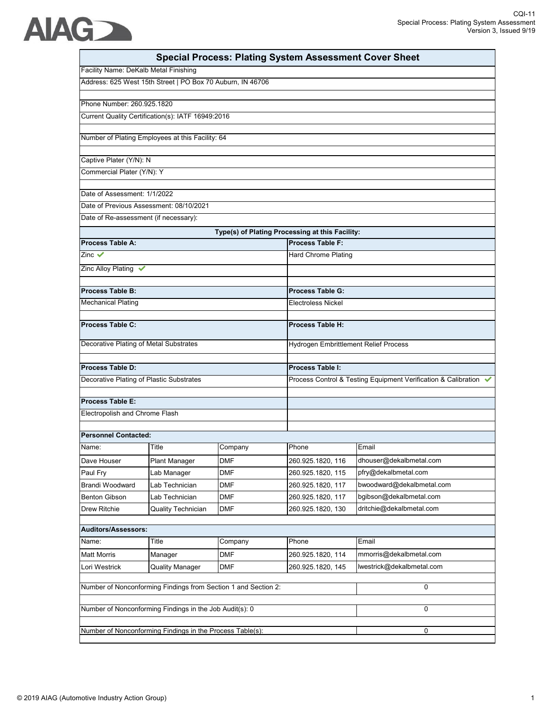|                                          |                                                            |            | <b>Special Process: Plating System Assessment Cover Sheet</b> |                                                                  |
|------------------------------------------|------------------------------------------------------------|------------|---------------------------------------------------------------|------------------------------------------------------------------|
| Facility Name: DeKalb Metal Finishing    |                                                            |            |                                                               |                                                                  |
|                                          | Address: 625 West 15th Street   PO Box 70 Auburn, IN 46706 |            |                                                               |                                                                  |
| Phone Number: 260.925.1820               |                                                            |            |                                                               |                                                                  |
|                                          | Current Quality Certification(s): IATF 16949:2016          |            |                                                               |                                                                  |
|                                          | Number of Plating Employees at this Facility: 64           |            |                                                               |                                                                  |
| Captive Plater (Y/N): N                  |                                                            |            |                                                               |                                                                  |
| Commercial Plater (Y/N): Y               |                                                            |            |                                                               |                                                                  |
| Date of Assessment: 1/1/2022             |                                                            |            |                                                               |                                                                  |
|                                          | Date of Previous Assessment: 08/10/2021                    |            |                                                               |                                                                  |
| Date of Re-assessment (if necessary):    |                                                            |            |                                                               |                                                                  |
|                                          |                                                            |            | Type(s) of Plating Processing at this Facility:               |                                                                  |
| Process Table A:                         |                                                            |            | <b>Process Table F:</b>                                       |                                                                  |
| Zinc $\checkmark$                        |                                                            |            | Hard Chrome Plating                                           |                                                                  |
| Zinc Alloy Plating ↓                     |                                                            |            |                                                               |                                                                  |
| <b>Process Table B:</b>                  |                                                            |            | Process Table G:                                              |                                                                  |
| <b>Mechanical Plating</b>                |                                                            |            | <b>Electroless Nickel</b>                                     |                                                                  |
| Process Table C:                         |                                                            |            | <b>Process Table H:</b>                                       |                                                                  |
| Decorative Plating of Metal Substrates   |                                                            |            | Hydrogen Embrittlement Relief Process                         |                                                                  |
|                                          |                                                            |            |                                                               |                                                                  |
| Process Table D:                         |                                                            |            | Process Table I:                                              |                                                                  |
| Decorative Plating of Plastic Substrates |                                                            |            |                                                               | Process Control & Testing Equipment Verification & Calibration ↓ |
| Process Table E:                         |                                                            |            |                                                               |                                                                  |
| Electropolish and Chrome Flash           |                                                            |            |                                                               |                                                                  |
| <b>Personnel Contacted:</b>              |                                                            |            |                                                               |                                                                  |
| Name:                                    | Title                                                      | Company    | Phone                                                         | Email                                                            |
| Dave Houser                              | <b>Plant Manager</b>                                       | DMF        | 260.925.1820, 116                                             | dhouser@dekalbmetal.com                                          |
| Paul Fry                                 | Lab Manager                                                | <b>DMF</b> | 260.925.1820, 115                                             | pfry@dekalbmetal.com                                             |
| <b>Brandi Woodward</b>                   | Lab Technician                                             | <b>DMF</b> | 260.925.1820, 117                                             | bwoodward@dekalbmetal.com                                        |
| <b>Benton Gibson</b>                     | Lab Technician                                             | <b>DMF</b> | 260.925.1820, 117                                             | bgibson@dekalbmetal.com                                          |
| Drew Ritchie                             | <b>Quality Technician</b>                                  | <b>DMF</b> | 260.925.1820, 130                                             | dritchie@dekalbmetal.com                                         |
| Auditors/Assessors:                      |                                                            |            |                                                               |                                                                  |
| Name:                                    | Title                                                      | Company    | Phone                                                         | Email                                                            |
| <b>Matt Morris</b>                       | Manager                                                    | <b>DMF</b> | 260.925.1820, 114                                             | mmorris@dekalbmetal.com                                          |
| Lori Westrick                            | <b>Quality Manager</b>                                     | <b>DMF</b> | 260.925.1820, 145                                             | lwestrick@dekalbmetal.com                                        |
|                                          |                                                            |            |                                                               |                                                                  |

Number of Nonconforming Findings in the Process Table(s): 0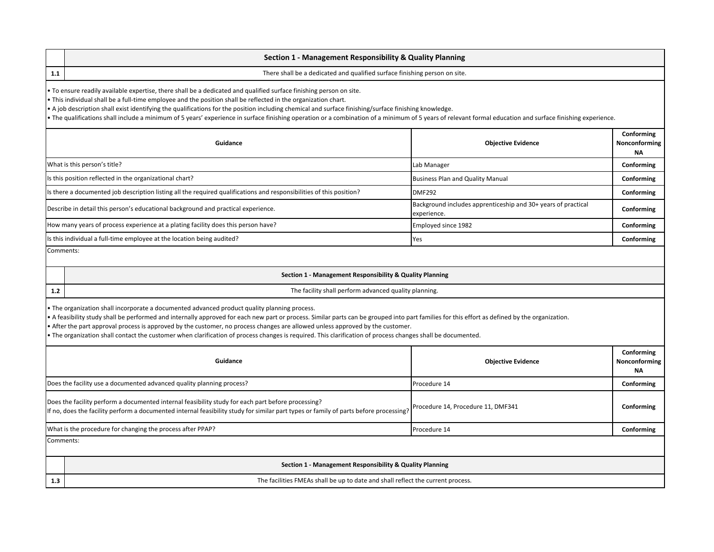|           | Section 1 - Management Responsibility & Quality Planning                                                                                                                                                                                                                                                                                                                                                                                                                                                                                                                                                     |                                                                              |                                          |  |  |
|-----------|--------------------------------------------------------------------------------------------------------------------------------------------------------------------------------------------------------------------------------------------------------------------------------------------------------------------------------------------------------------------------------------------------------------------------------------------------------------------------------------------------------------------------------------------------------------------------------------------------------------|------------------------------------------------------------------------------|------------------------------------------|--|--|
| 1.1       | There shall be a dedicated and qualified surface finishing person on site.                                                                                                                                                                                                                                                                                                                                                                                                                                                                                                                                   |                                                                              |                                          |  |  |
|           | • To ensure readily available expertise, there shall be a dedicated and qualified surface finishing person on site.<br>• This individual shall be a full-time employee and the position shall be reflected in the organization chart.<br>• A job description shall exist identifying the qualifications for the position including chemical and surface finishing/surface finishing knowledge.<br>• The qualifications shall include a minimum of 5 years' experience in surface finishing operation or a combination of a minimum of 5 years of relevant formal education and surface finishing experience. |                                                                              |                                          |  |  |
|           | Conforming<br>Guidance<br><b>Objective Evidence</b><br>Nonconforming<br><b>NA</b>                                                                                                                                                                                                                                                                                                                                                                                                                                                                                                                            |                                                                              |                                          |  |  |
|           | What is this person's title?                                                                                                                                                                                                                                                                                                                                                                                                                                                                                                                                                                                 | Lab Manager                                                                  | Conforming                               |  |  |
|           | Is this position reflected in the organizational chart?                                                                                                                                                                                                                                                                                                                                                                                                                                                                                                                                                      | <b>Business Plan and Quality Manual</b>                                      | Conforming                               |  |  |
|           | Is there a documented job description listing all the required qualifications and responsibilities of this position?                                                                                                                                                                                                                                                                                                                                                                                                                                                                                         | <b>DMF292</b>                                                                | Conforming                               |  |  |
|           | Describe in detail this person's educational background and practical experience.                                                                                                                                                                                                                                                                                                                                                                                                                                                                                                                            | Background includes apprenticeship and 30+ years of practical<br>experience. | Conforming                               |  |  |
|           | How many years of process experience at a plating facility does this person have?                                                                                                                                                                                                                                                                                                                                                                                                                                                                                                                            | Employed since 1982                                                          | Conforming                               |  |  |
|           | Is this individual a full-time employee at the location being audited?                                                                                                                                                                                                                                                                                                                                                                                                                                                                                                                                       | Yes                                                                          | Conforming                               |  |  |
| Comments: |                                                                                                                                                                                                                                                                                                                                                                                                                                                                                                                                                                                                              |                                                                              |                                          |  |  |
|           | Section 1 - Management Responsibility & Quality Planning                                                                                                                                                                                                                                                                                                                                                                                                                                                                                                                                                     |                                                                              |                                          |  |  |
| $1.2$     | The facility shall perform advanced quality planning.                                                                                                                                                                                                                                                                                                                                                                                                                                                                                                                                                        |                                                                              |                                          |  |  |
|           | • The organization shall incorporate a documented advanced product quality planning process.<br>• A feasibility study shall be performed and internally approved for each new part or process. Similar parts can be grouped into part families for this effort as defined by the organization.<br>• After the part approval process is approved by the customer, no process changes are allowed unless approved by the customer.<br>• The organization shall contact the customer when clarification of process changes is required. This clarification of process changes shall be documented.              |                                                                              |                                          |  |  |
|           |                                                                                                                                                                                                                                                                                                                                                                                                                                                                                                                                                                                                              |                                                                              |                                          |  |  |
|           | Guidance                                                                                                                                                                                                                                                                                                                                                                                                                                                                                                                                                                                                     | <b>Objective Evidence</b>                                                    | Conforming<br>Nonconforming<br><b>NA</b> |  |  |
|           | Does the facility use a documented advanced quality planning process?                                                                                                                                                                                                                                                                                                                                                                                                                                                                                                                                        | Procedure 14                                                                 | Conforming                               |  |  |
|           | Does the facility perform a documented internal feasibility study for each part before processing?<br>If no, does the facility perform a documented internal feasibility study for similar part types or family of parts before processing?                                                                                                                                                                                                                                                                                                                                                                  | Procedure 14, Procedure 11, DMF341                                           | Conforming                               |  |  |
|           | What is the procedure for changing the process after PPAP?                                                                                                                                                                                                                                                                                                                                                                                                                                                                                                                                                   | Procedure 14                                                                 | Conforming                               |  |  |
| Comments: |                                                                                                                                                                                                                                                                                                                                                                                                                                                                                                                                                                                                              |                                                                              |                                          |  |  |
|           | Section 1 - Management Responsibility & Quality Planning                                                                                                                                                                                                                                                                                                                                                                                                                                                                                                                                                     |                                                                              |                                          |  |  |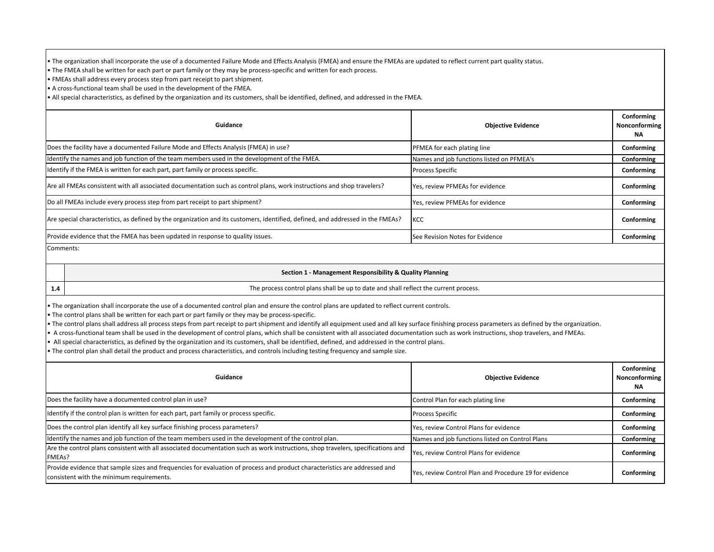• The organization shall incorporate the use of a documented Failure Mode and Effects Analysis (FMEA) and ensure the FMEAs are updated to reflect current part quality status.

• The FMEA shall be written for each part or part family or they may be process-specific and written for each process.

• FMEAs shall address every process step from part receipt to part shipment.

• A cross-functional team shall be used in the development of the FMEA.

• All special characteristics, as defined by the organization and its customers, shall be identified, defined, and addressed in the FMEA.

| Guidance                                                                                                                        | <b>Objective Evidence</b>                 | Conforming<br>Nonconforming<br><b>NA</b> |
|---------------------------------------------------------------------------------------------------------------------------------|-------------------------------------------|------------------------------------------|
| Does the facility have a documented Failure Mode and Effects Analysis (FMEA) in use?                                            | PFMEA for each plating line               | Conforming                               |
| Identify the names and job function of the team members used in the development of the FMEA.                                    | Names and job functions listed on PFMEA's | Conforming                               |
| Identify if the FMEA is written for each part, part family or process specific.                                                 | <b>Process Specific</b>                   | Conforming                               |
| Are all FMEAs consistent with all associated documentation such as control plans, work instructions and shop travelers?         | Yes, review PFMEAs for evidence           | Conforming                               |
| Do all FMEAs include every process step from part receipt to part shipment?                                                     | Yes, review PFMEAs for evidence           | Conforming                               |
| Are special characteristics, as defined by the organization and its customers, identified, defined, and addressed in the FMEAs? | KCC                                       | Conforming                               |
| Provide evidence that the FMEA has been updated in response to quality issues.                                                  | See Revision Notes for Evidence           | Conforming                               |

Comments:

**1.4**

## **Section 1 - Management Responsibility & Quality Planning**

The process control plans shall be up to date and shall reflect the current process.

• The organization shall incorporate the use of a documented control plan and ensure the control plans are updated to reflect current controls.

• The control plans shall be written for each part or part family or they may be process-specific.

• The control plans shall address all process steps from part receipt to part shipment and identify all equipment used and all key surface finishing process parameters as defined by the organization.

• A cross-functional team shall be used in the development of control plans, which shall be consistent with all associated documentation such as work instructions, shop travelers, and FMEAs.

• All special characteristics, as defined by the organization and its customers, shall be identified, defined, and addressed in the control plans.

• The control plan shall detail the product and process characteristics, and controls including testing frequency and sample size.

| Guidance                                                                                                                                                                | <b>Objective Evidence</b>                              | Conforming<br>Nonconforming<br>NA |
|-------------------------------------------------------------------------------------------------------------------------------------------------------------------------|--------------------------------------------------------|-----------------------------------|
| Does the facility have a documented control plan in use?                                                                                                                | Control Plan for each plating line                     | Conforming                        |
| Identify if the control plan is written for each part, part family or process specific.                                                                                 | <b>Process Specific</b>                                | Conforming                        |
| Does the control plan identify all key surface finishing process parameters?                                                                                            | Yes, review Control Plans for evidence                 | Conforming                        |
| ldentify the names and job function of the team members used in the development of the control plan.                                                                    | Names and job functions listed on Control Plans        | Conforming                        |
| Are the control plans consistent with all associated documentation such as work instructions, shop travelers, specifications and<br>FMEAs?                              | Yes, review Control Plans for evidence                 | Conforming                        |
| Provide evidence that sample sizes and frequencies for evaluation of process and product characteristics are addressed and<br>consistent with the minimum requirements. | Yes, review Control Plan and Procedure 19 for evidence | Conforming                        |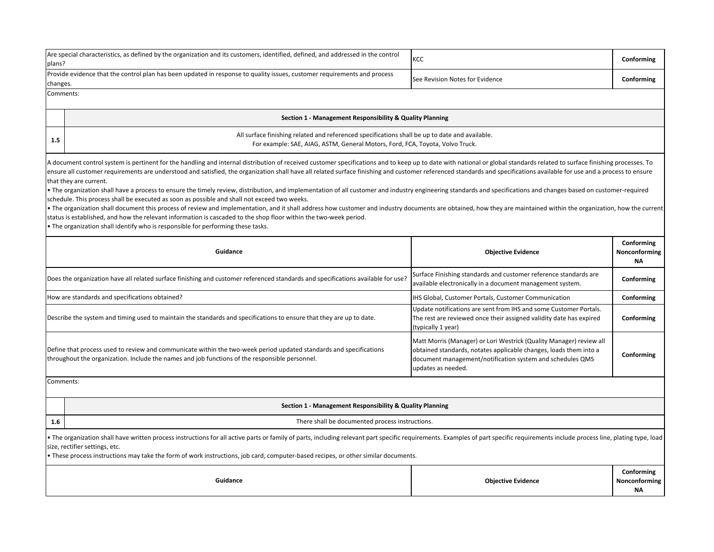| Are special characteristics, as defined by the organization and its customers, identified, defined, and addressed in the control<br>plans?                                                                                                                                                                                                                                                                                                                                                                                                                                                                                                                                                                                                                                                                                                                                                                                                                                                                                                                                                                                                                                                                                            |  | KCC                                                                                                                                                                                                                         | Conforming                               |
|---------------------------------------------------------------------------------------------------------------------------------------------------------------------------------------------------------------------------------------------------------------------------------------------------------------------------------------------------------------------------------------------------------------------------------------------------------------------------------------------------------------------------------------------------------------------------------------------------------------------------------------------------------------------------------------------------------------------------------------------------------------------------------------------------------------------------------------------------------------------------------------------------------------------------------------------------------------------------------------------------------------------------------------------------------------------------------------------------------------------------------------------------------------------------------------------------------------------------------------|--|-----------------------------------------------------------------------------------------------------------------------------------------------------------------------------------------------------------------------------|------------------------------------------|
| Provide evidence that the control plan has been updated in response to quality issues, customer requirements and process<br>changes.                                                                                                                                                                                                                                                                                                                                                                                                                                                                                                                                                                                                                                                                                                                                                                                                                                                                                                                                                                                                                                                                                                  |  | See Revision Notes for Evidence                                                                                                                                                                                             | Conforming                               |
| Comments:                                                                                                                                                                                                                                                                                                                                                                                                                                                                                                                                                                                                                                                                                                                                                                                                                                                                                                                                                                                                                                                                                                                                                                                                                             |  |                                                                                                                                                                                                                             |                                          |
| Section 1 - Management Responsibility & Quality Planning                                                                                                                                                                                                                                                                                                                                                                                                                                                                                                                                                                                                                                                                                                                                                                                                                                                                                                                                                                                                                                                                                                                                                                              |  |                                                                                                                                                                                                                             |                                          |
| All surface finishing related and referenced specifications shall be up to date and available.<br>1.5<br>For example: SAE, AIAG, ASTM, General Motors, Ford, FCA, Toyota, Volvo Truck.                                                                                                                                                                                                                                                                                                                                                                                                                                                                                                                                                                                                                                                                                                                                                                                                                                                                                                                                                                                                                                                |  |                                                                                                                                                                                                                             |                                          |
| A document control system is pertinent for the handling and internal distribution of received customer specifications and to keep up to date with national or global standards related to surface finishing processes. To<br>ensure all customer requirements are understood and satisfied, the organization shall have all related surface finishing and customer referenced standards and specifications available for use and a process to ensure<br>that they are current.<br>• The organization shall have a process to ensure the timely review, distribution, and implementation of all customer and industry engineering standards and specifications and changes based on customer-required<br>schedule. This process shall be executed as soon as possible and shall not exceed two weeks.<br>• The organization shall document this process of review and implementation, and it shall address how customer and industry documents are obtained, how they are maintained within the organization, how the current<br>status is established, and how the relevant information is cascaded to the shop floor within the two-week period.<br>. The organization shall identify who is responsible for performing these tasks. |  |                                                                                                                                                                                                                             |                                          |
| Guidance<br><b>Objective Evidence</b>                                                                                                                                                                                                                                                                                                                                                                                                                                                                                                                                                                                                                                                                                                                                                                                                                                                                                                                                                                                                                                                                                                                                                                                                 |  |                                                                                                                                                                                                                             | Conforming<br>Nonconforming<br><b>NA</b> |
| Does the organization have all related surface finishing and customer referenced standards and specifications available for use?                                                                                                                                                                                                                                                                                                                                                                                                                                                                                                                                                                                                                                                                                                                                                                                                                                                                                                                                                                                                                                                                                                      |  | Surface Finishing standards and customer reference standards are<br>available electronically in a document management system.                                                                                               | Conforming                               |
| How are standards and specifications obtained?                                                                                                                                                                                                                                                                                                                                                                                                                                                                                                                                                                                                                                                                                                                                                                                                                                                                                                                                                                                                                                                                                                                                                                                        |  | IHS Global, Customer Portals, Customer Communication                                                                                                                                                                        | Conforming                               |
| Describe the system and timing used to maintain the standards and specifications to ensure that they are up to date.                                                                                                                                                                                                                                                                                                                                                                                                                                                                                                                                                                                                                                                                                                                                                                                                                                                                                                                                                                                                                                                                                                                  |  | Update notifications are sent from IHS and some Customer Portals.<br>The rest are reviewed once their assigned validity date has expired<br>(typically 1 year)                                                              | Conforming                               |
| Define that process used to review and communicate within the two-week period updated standards and specifications<br>throughout the organization. Include the names and job functions of the responsible personnel.                                                                                                                                                                                                                                                                                                                                                                                                                                                                                                                                                                                                                                                                                                                                                                                                                                                                                                                                                                                                                  |  | Matt Morris (Manager) or Lori Westrick (Quality Manager) review all<br>obtained standards, notates applicable changes, loads them into a<br>document management/notification system and schedules QMS<br>updates as needed. | Conforming                               |
| Comments:                                                                                                                                                                                                                                                                                                                                                                                                                                                                                                                                                                                                                                                                                                                                                                                                                                                                                                                                                                                                                                                                                                                                                                                                                             |  |                                                                                                                                                                                                                             |                                          |
| Section 1 - Management Responsibility & Quality Planning                                                                                                                                                                                                                                                                                                                                                                                                                                                                                                                                                                                                                                                                                                                                                                                                                                                                                                                                                                                                                                                                                                                                                                              |  |                                                                                                                                                                                                                             |                                          |
| There shall be documented process instructions.<br>1.6                                                                                                                                                                                                                                                                                                                                                                                                                                                                                                                                                                                                                                                                                                                                                                                                                                                                                                                                                                                                                                                                                                                                                                                |  |                                                                                                                                                                                                                             |                                          |
| • The organization shall have written process instructions for all active parts or family of parts, including relevant part specific requirements. Examples of part specific requirements include process line, plating type,<br>size, rectifier settings, etc.<br>These process instructions may take the form of work instructions, job card, computer-based recipes, or other similar documents.<br>Guidance<br><b>Objective Evidence</b>                                                                                                                                                                                                                                                                                                                                                                                                                                                                                                                                                                                                                                                                                                                                                                                          |  |                                                                                                                                                                                                                             |                                          |
|                                                                                                                                                                                                                                                                                                                                                                                                                                                                                                                                                                                                                                                                                                                                                                                                                                                                                                                                                                                                                                                                                                                                                                                                                                       |  |                                                                                                                                                                                                                             | Conforming<br>Nonconforming<br><b>NA</b> |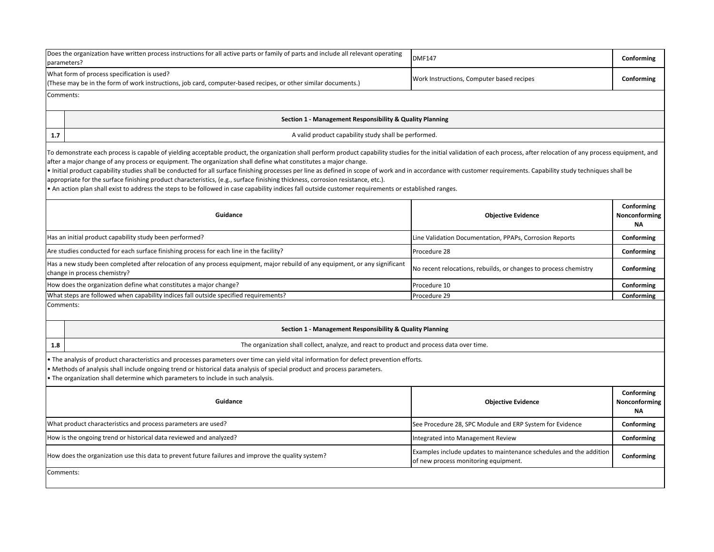| Does the organization have written process instructions for all active parts or family of parts and include all relevant operating<br>parameters?                                                                                                                                                                                                                                                                                                                                                                                                                                                                                                                                                                                                                                                                                                                              | <b>DMF147</b>                                                                                              | Conforming          |  |
|--------------------------------------------------------------------------------------------------------------------------------------------------------------------------------------------------------------------------------------------------------------------------------------------------------------------------------------------------------------------------------------------------------------------------------------------------------------------------------------------------------------------------------------------------------------------------------------------------------------------------------------------------------------------------------------------------------------------------------------------------------------------------------------------------------------------------------------------------------------------------------|------------------------------------------------------------------------------------------------------------|---------------------|--|
| What form of process specification is used?<br>(These may be in the form of work instructions, job card, computer-based recipes, or other similar documents.)                                                                                                                                                                                                                                                                                                                                                                                                                                                                                                                                                                                                                                                                                                                  | Work Instructions, Computer based recipes                                                                  | Conforming          |  |
| Comments:                                                                                                                                                                                                                                                                                                                                                                                                                                                                                                                                                                                                                                                                                                                                                                                                                                                                      |                                                                                                            |                     |  |
| Section 1 - Management Responsibility & Quality Planning                                                                                                                                                                                                                                                                                                                                                                                                                                                                                                                                                                                                                                                                                                                                                                                                                       |                                                                                                            |                     |  |
| A valid product capability study shall be performed.<br>1.7                                                                                                                                                                                                                                                                                                                                                                                                                                                                                                                                                                                                                                                                                                                                                                                                                    |                                                                                                            |                     |  |
| To demonstrate each process is capable of yielding acceptable product, the organization shall perform product capability studies for the initial validation of each process, after relocation of any process equipment, and<br>after a major change of any process or equipment. The organization shall define what constitutes a major change.<br>Initial product capability studies shall be conducted for all surface finishing processes per line as defined in scope of work and in accordance with customer requirements. Capability study techniques shall be<br>appropriate for the surface finishing product characteristics, (e.g., surface finishing thickness, corrosion resistance, etc.).<br>• An action plan shall exist to address the steps to be followed in case capability indices fall outside customer requirements or established ranges.<br>Conforming |                                                                                                            |                     |  |
| Guidance                                                                                                                                                                                                                                                                                                                                                                                                                                                                                                                                                                                                                                                                                                                                                                                                                                                                       | <b>Objective Evidence</b>                                                                                  | Nonconforming<br>ΝA |  |
| Has an initial product capability study been performed?                                                                                                                                                                                                                                                                                                                                                                                                                                                                                                                                                                                                                                                                                                                                                                                                                        | Line Validation Documentation, PPAPs, Corrosion Reports                                                    | Conforming          |  |
| Are studies conducted for each surface finishing process for each line in the facility?                                                                                                                                                                                                                                                                                                                                                                                                                                                                                                                                                                                                                                                                                                                                                                                        | Procedure 28                                                                                               | Conforming          |  |
| Has a new study been completed after relocation of any process equipment, major rebuild of any equipment, or any significant<br>change in process chemistry?                                                                                                                                                                                                                                                                                                                                                                                                                                                                                                                                                                                                                                                                                                                   | No recent relocations, rebuilds, or changes to process chemistry                                           | Conforming          |  |
| How does the organization define what constitutes a major change?                                                                                                                                                                                                                                                                                                                                                                                                                                                                                                                                                                                                                                                                                                                                                                                                              | Procedure 10                                                                                               | Conforming          |  |
| What steps are followed when capability indices fall outside specified requirements?                                                                                                                                                                                                                                                                                                                                                                                                                                                                                                                                                                                                                                                                                                                                                                                           | Procedure 29                                                                                               | Conforming          |  |
| Comments:                                                                                                                                                                                                                                                                                                                                                                                                                                                                                                                                                                                                                                                                                                                                                                                                                                                                      |                                                                                                            |                     |  |
| Section 1 - Management Responsibility & Quality Planning                                                                                                                                                                                                                                                                                                                                                                                                                                                                                                                                                                                                                                                                                                                                                                                                                       |                                                                                                            |                     |  |
| The organization shall collect, analyze, and react to product and process data over time.<br>1.8                                                                                                                                                                                                                                                                                                                                                                                                                                                                                                                                                                                                                                                                                                                                                                               |                                                                                                            |                     |  |
| • The analysis of product characteristics and processes parameters over time can yield vital information for defect prevention efforts.<br>• Methods of analysis shall include ongoing trend or historical data analysis of special product and process parameters.<br>• The organization shall determine which parameters to include in such analysis.                                                                                                                                                                                                                                                                                                                                                                                                                                                                                                                        |                                                                                                            |                     |  |
| Conforming<br>Guidance<br><b>Objective Evidence</b><br>Nonconforming<br>ΝA                                                                                                                                                                                                                                                                                                                                                                                                                                                                                                                                                                                                                                                                                                                                                                                                     |                                                                                                            |                     |  |
| What product characteristics and process parameters are used?                                                                                                                                                                                                                                                                                                                                                                                                                                                                                                                                                                                                                                                                                                                                                                                                                  | See Procedure 28, SPC Module and ERP System for Evidence                                                   | Conforming          |  |
| How is the ongoing trend or historical data reviewed and analyzed?                                                                                                                                                                                                                                                                                                                                                                                                                                                                                                                                                                                                                                                                                                                                                                                                             | Integrated into Management Review                                                                          | Conforming          |  |
| How does the organization use this data to prevent future failures and improve the quality system?                                                                                                                                                                                                                                                                                                                                                                                                                                                                                                                                                                                                                                                                                                                                                                             | Examples include updates to maintenance schedules and the addition<br>of new process monitoring equipment. | Conforming          |  |
| Comments:                                                                                                                                                                                                                                                                                                                                                                                                                                                                                                                                                                                                                                                                                                                                                                                                                                                                      |                                                                                                            |                     |  |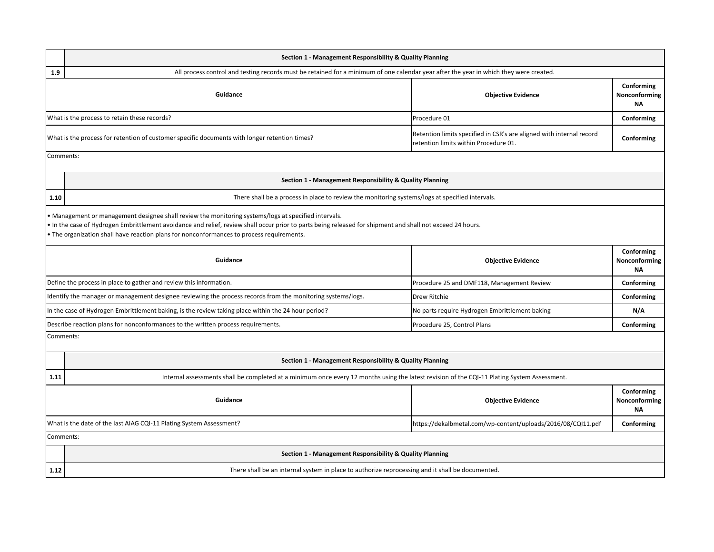|           | Section 1 - Management Responsibility & Quality Planning                                                                                                                                                                                                                                                                                                  |                                                |            |  |  |
|-----------|-----------------------------------------------------------------------------------------------------------------------------------------------------------------------------------------------------------------------------------------------------------------------------------------------------------------------------------------------------------|------------------------------------------------|------------|--|--|
| 1.9       | All process control and testing records must be retained for a minimum of one calendar year after the year in which they were created.                                                                                                                                                                                                                    |                                                |            |  |  |
|           | Conforming<br>Guidance<br>Nonconforming<br><b>Objective Evidence</b>                                                                                                                                                                                                                                                                                      |                                                |            |  |  |
|           | What is the process to retain these records?<br>Procedure 01<br>Conforming                                                                                                                                                                                                                                                                                |                                                |            |  |  |
|           | Retention limits specified in CSR's are aligned with internal record<br>What is the process for retention of customer specific documents with longer retention times?<br>retention limits within Procedure 01.                                                                                                                                            |                                                | Conforming |  |  |
| Comments: |                                                                                                                                                                                                                                                                                                                                                           |                                                |            |  |  |
|           | Section 1 - Management Responsibility & Quality Planning                                                                                                                                                                                                                                                                                                  |                                                |            |  |  |
| 1.10      | There shall be a process in place to review the monitoring systems/logs at specified intervals.                                                                                                                                                                                                                                                           |                                                |            |  |  |
|           | Management or management designee shall review the monitoring systems/logs at specified intervals.<br>In the case of Hydrogen Embrittlement avoidance and relief, review shall occur prior to parts being released for shipment and shall not exceed 24 hours.<br>The organization shall have reaction plans for nonconformances to process requirements. |                                                |            |  |  |
|           | Conforming<br>Guidance<br><b>Objective Evidence</b><br>Nonconforming<br><b>NA</b>                                                                                                                                                                                                                                                                         |                                                |            |  |  |
|           | Define the process in place to gather and review this information.                                                                                                                                                                                                                                                                                        | Procedure 25 and DMF118, Management Review     | Conforming |  |  |
|           | Identify the manager or management designee reviewing the process records from the monitoring systems/logs.                                                                                                                                                                                                                                               | Drew Ritchie                                   | Conforming |  |  |
|           | In the case of Hydrogen Embrittlement baking, is the review taking place within the 24 hour period?                                                                                                                                                                                                                                                       | No parts require Hydrogen Embrittlement baking | N/A        |  |  |
|           | Describe reaction plans for nonconformances to the written process requirements.                                                                                                                                                                                                                                                                          | Procedure 25, Control Plans                    | Conforming |  |  |
| Comments: |                                                                                                                                                                                                                                                                                                                                                           |                                                |            |  |  |
|           | Section 1 - Management Responsibility & Quality Planning                                                                                                                                                                                                                                                                                                  |                                                |            |  |  |
| 1.11      | Internal assessments shall be completed at a minimum once every 12 months using the latest revision of the CQI-11 Plating System Assessment.                                                                                                                                                                                                              |                                                |            |  |  |
|           | Conforming<br>Guidance<br>Nonconforming<br><b>Objective Evidence</b><br><b>NA</b>                                                                                                                                                                                                                                                                         |                                                |            |  |  |
|           | What is the date of the last AIAG CQI-11 Plating System Assessment?<br>https://dekalbmetal.com/wp-content/uploads/2016/08/CQI11.pdf                                                                                                                                                                                                                       |                                                | Conforming |  |  |
| Comments: |                                                                                                                                                                                                                                                                                                                                                           |                                                |            |  |  |
|           | Section 1 - Management Responsibility & Quality Planning                                                                                                                                                                                                                                                                                                  |                                                |            |  |  |
| 1.12      | There shall be an internal system in place to authorize reprocessing and it shall be documented.                                                                                                                                                                                                                                                          |                                                |            |  |  |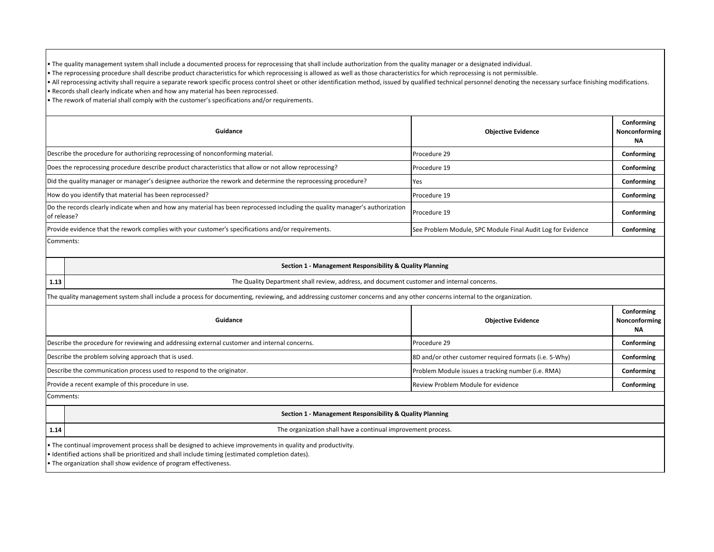• The quality management system shall include a documented process for reprocessing that shall include authorization from the quality manager or a designated individual.

• The reprocessing procedure shall describe product characteristics for which reprocessing is allowed as well as those characteristics for which reprocessing is not permissible.

• All reprocessing activity shall require a separate rework specific process control sheet or other identification method, issued by qualified technical personnel denoting the necessary surface finishing modifications.

• Records shall clearly indicate when and how any material has been reprocessed.

• The rework of material shall comply with the customer's specifications and/or requirements.

| Guidance                                                                                                                                    | <b>Objective Evidence</b>                                   | Conforming<br>Nonconforming<br>NA |
|---------------------------------------------------------------------------------------------------------------------------------------------|-------------------------------------------------------------|-----------------------------------|
| Describe the procedure for authorizing reprocessing of nonconforming material.                                                              | Procedure 29                                                | Conforming                        |
| Does the reprocessing procedure describe product characteristics that allow or not allow reprocessing?                                      | Procedure 19                                                | Conforming                        |
| [Did the quality manager or manager's designee authorize the rework and determine the reprocessing procedure?                               | Yes                                                         | Conforming                        |
| How do you identify that material has been reprocessed?                                                                                     | Procedure 19                                                | Conforming                        |
| Do the records clearly indicate when and how any material has been reprocessed including the quality manager's authorization<br>of release? | Procedure 19                                                | Conforming                        |
| Provide evidence that the rework complies with your customer's specifications and/or requirements.                                          | See Problem Module, SPC Module Final Audit Log for Evidence | Conforming                        |
|                                                                                                                                             |                                                             |                                   |

Comments:

**1.13**

### **Section 1 - Management Responsibility & Quality Planning**

The Quality Department shall review, address, and document customer and internal concerns.

The quality management system shall include a process for documenting, reviewing, and addressing customer concerns and any other concerns internal to the organization.

| Guidance                                                                                     | <b>Objective Evidence</b>                              | Conforming<br>Nonconforming<br><b>NA</b> |
|----------------------------------------------------------------------------------------------|--------------------------------------------------------|------------------------------------------|
| Describe the procedure for reviewing and addressing external customer and internal concerns. | Procedure 29                                           | Conforming                               |
| Describe the problem solving approach that is used.                                          | 8D and/or other customer required formats (i.e. 5-Why) | Conforming                               |
| Describe the communication process used to respond to the originator.                        | Problem Module issues a tracking number (i.e. RMA)     | Conforming                               |
| Provide a recent example of this procedure in use.                                           | Review Problem Module for evidence                     | Conforming                               |
| Comments:                                                                                    |                                                        |                                          |

### **Section 1 - Management Responsibility & Quality Planning**

**1.14** The organization shall have a continual improvement process.

• The continual improvement process shall be designed to achieve improvements in quality and productivity.

• Identified actions shall be prioritized and shall include timing (estimated completion dates).

• The organization shall show evidence of program effectiveness.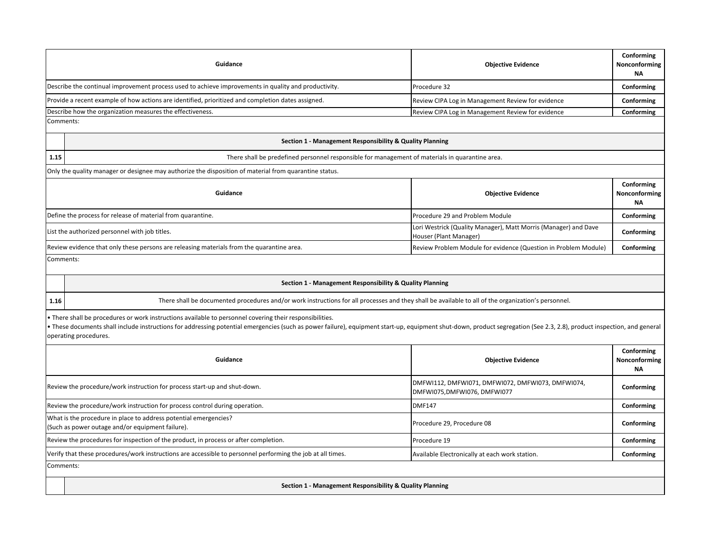|           | Guidance                                                                                                                                                                                                                                                                                                                                                   | <b>Objective Evidence</b>                                                                 | Conforming<br>Nonconforming<br><b>NA</b> |
|-----------|------------------------------------------------------------------------------------------------------------------------------------------------------------------------------------------------------------------------------------------------------------------------------------------------------------------------------------------------------------|-------------------------------------------------------------------------------------------|------------------------------------------|
|           | Describe the continual improvement process used to achieve improvements in quality and productivity.                                                                                                                                                                                                                                                       | Procedure 32                                                                              | Conforming                               |
|           | Provide a recent example of how actions are identified, prioritized and completion dates assigned.                                                                                                                                                                                                                                                         | Review CIPA Log in Management Review for evidence                                         | Conforming                               |
|           | Describe how the organization measures the effectiveness.                                                                                                                                                                                                                                                                                                  | Review CIPA Log in Management Review for evidence                                         | Conforming                               |
|           | Comments:                                                                                                                                                                                                                                                                                                                                                  |                                                                                           |                                          |
|           | Section 1 - Management Responsibility & Quality Planning                                                                                                                                                                                                                                                                                                   |                                                                                           |                                          |
| 1.15      | There shall be predefined personnel responsible for management of materials in quarantine area.                                                                                                                                                                                                                                                            |                                                                                           |                                          |
|           | Only the quality manager or designee may authorize the disposition of material from quarantine status.                                                                                                                                                                                                                                                     |                                                                                           |                                          |
|           | Guidance                                                                                                                                                                                                                                                                                                                                                   | <b>Objective Evidence</b>                                                                 | Conforming<br>Nonconforming<br><b>NA</b> |
|           | Define the process for release of material from quarantine.                                                                                                                                                                                                                                                                                                | Procedure 29 and Problem Module                                                           | Conforming                               |
|           | List the authorized personnel with job titles.                                                                                                                                                                                                                                                                                                             | Lori Westrick (Quality Manager), Matt Morris (Manager) and Dave<br>Houser (Plant Manager) | Conforming                               |
|           | Review evidence that only these persons are releasing materials from the quarantine area.                                                                                                                                                                                                                                                                  | Review Problem Module for evidence (Question in Problem Module)                           | Conforming                               |
|           | Comments:                                                                                                                                                                                                                                                                                                                                                  |                                                                                           |                                          |
|           |                                                                                                                                                                                                                                                                                                                                                            |                                                                                           |                                          |
|           | Section 1 - Management Responsibility & Quality Planning                                                                                                                                                                                                                                                                                                   |                                                                                           |                                          |
| 1.16      | There shall be documented procedures and/or work instructions for all processes and they shall be available to all of the organization's personnel.                                                                                                                                                                                                        |                                                                                           |                                          |
|           | There shall be procedures or work instructions available to personnel covering their responsibilities.<br>• These documents shall include instructions for addressing potential emergencies (such as power failure), equipment start-up, equipment shut-down, product segregation (See 2.3, 2.8), product inspection, and general<br>operating procedures. |                                                                                           |                                          |
|           | Guidance                                                                                                                                                                                                                                                                                                                                                   | <b>Objective Evidence</b>                                                                 | Conforming<br>Nonconforming<br><b>NA</b> |
|           | Review the procedure/work instruction for process start-up and shut-down.                                                                                                                                                                                                                                                                                  | DMFWI112, DMFWI071, DMFWI072, DMFWI073, DMFWI074,<br>DMFWI075,DMFWI076, DMFWI077          | Conforming                               |
|           | Review the procedure/work instruction for process control during operation.                                                                                                                                                                                                                                                                                | <b>DMF147</b>                                                                             | Conforming                               |
|           | What is the procedure in place to address potential emergencies?<br>(Such as power outage and/or equipment failure).                                                                                                                                                                                                                                       | Procedure 29, Procedure 08                                                                | Conforming                               |
|           | Review the procedures for inspection of the product, in process or after completion.                                                                                                                                                                                                                                                                       | Procedure 19                                                                              | Conforming                               |
|           | Verify that these procedures/work instructions are accessible to personnel performing the job at all times.                                                                                                                                                                                                                                                | Available Electronically at each work station.                                            | Conforming                               |
| Comments: |                                                                                                                                                                                                                                                                                                                                                            |                                                                                           |                                          |
|           |                                                                                                                                                                                                                                                                                                                                                            |                                                                                           |                                          |
|           | Section 1 - Management Responsibility & Quality Planning                                                                                                                                                                                                                                                                                                   |                                                                                           |                                          |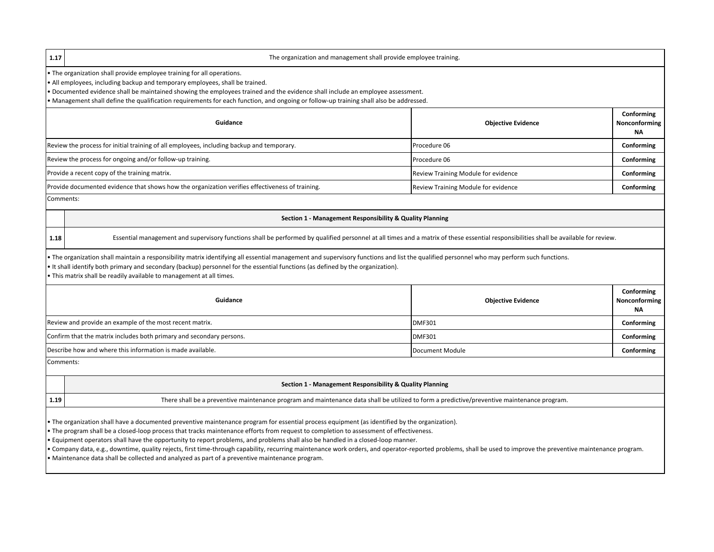**1.17**

### The organization and management shall provide employee training.

• The organization shall provide employee training for all operations.

• All employees, including backup and temporary employees, shall be trained.

• Documented evidence shall be maintained showing the employees trained and the evidence shall include an employee assessment.

• Management shall define the qualification requirements for each function, and ongoing or follow-up training shall also be addressed.

| Guidance                                                                                        | <b>Objective Evidence</b>           | Conforming<br>Nonconforming<br><b>NA</b> |
|-------------------------------------------------------------------------------------------------|-------------------------------------|------------------------------------------|
| Review the process for initial training of all employees, including backup and temporary.       | Procedure 06                        | Conforming                               |
| Review the process for ongoing and/or follow-up training.                                       | Procedure 06                        | Conforming                               |
| Provide a recent copy of the training matrix.                                                   | Review Training Module for evidence | Conforming                               |
| Provide documented evidence that shows how the organization verifies effectiveness of training. | Review Training Module for evidence | Conforming                               |
| $\sim$ $\sim$ $\sim$                                                                            |                                     |                                          |

Comments:

**1.18**

### **Section 1 - Management Responsibility & Quality Planning**

Essential management and supervisory functions shall be performed by qualified personnel at all times and a matrix of these essential responsibilities shall be available for review.

• The organization shall maintain a responsibility matrix identifying all essential management and supervisory functions and list the qualified personnel who may perform such functions.

• It shall identify both primary and secondary (backup) personnel for the essential functions (as defined by the organization).

• This matrix shall be readily available to management at all times.

| Guidance                                                             | <b>Objective Evidence</b> | Conforming<br>Nonconforming<br><b>NA</b> |
|----------------------------------------------------------------------|---------------------------|------------------------------------------|
| Review and provide an example of the most recent matrix.             | <b>DMF301</b>             | Conforming                               |
| Confirm that the matrix includes both primary and secondary persons. | <b>DMF301</b>             | Conforming                               |
| Describe how and where this information is made available.           | Document Module           | Conforming                               |

Comments:

### **Section 1 - Management Responsibility & Quality Planning**

**1.19**

There shall be a preventive maintenance program and maintenance data shall be utilized to form a predictive/preventive maintenance program.

• The organization shall have a documented preventive maintenance program for essential process equipment (as identified by the organization).

• The program shall be a closed-loop process that tracks maintenance efforts from request to completion to assessment of effectiveness.

• Equipment operators shall have the opportunity to report problems, and problems shall also be handled in a closed-loop manner.

• Company data, e.g., downtime, quality rejects, first time-through capability, recurring maintenance work orders, and operator-reported problems, shall be used to improve the preventive maintenance program. • Maintenance data shall be collected and analyzed as part of a preventive maintenance program.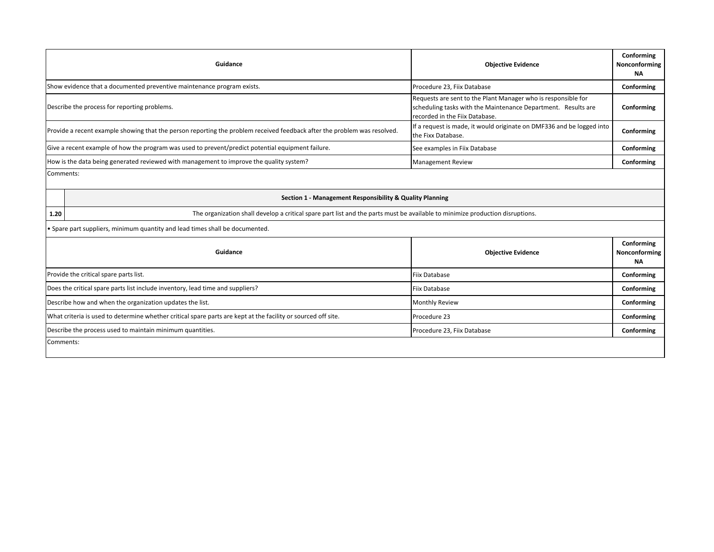|      | Guidance                                                                                                                      | <b>Objective Evidence</b>                                                                                                                                        | Conforming<br>Nonconforming<br><b>NA</b> |
|------|-------------------------------------------------------------------------------------------------------------------------------|------------------------------------------------------------------------------------------------------------------------------------------------------------------|------------------------------------------|
|      | Show evidence that a documented preventive maintenance program exists.                                                        | Procedure 23, Fiix Database                                                                                                                                      | Conforming                               |
|      | Describe the process for reporting problems.                                                                                  | Requests are sent to the Plant Manager who is responsible for<br>scheduling tasks with the Maintenance Department. Results are<br>recorded in the Fiix Database. | Conforming                               |
|      | Provide a recent example showing that the person reporting the problem received feedback after the problem was resolved.      | If a request is made, it would originate on DMF336 and be logged into<br>the Fixx Database.                                                                      | Conforming                               |
|      | Give a recent example of how the program was used to prevent/predict potential equipment failure.                             | See examples in Fiix Database                                                                                                                                    | Conforming                               |
|      | How is the data being generated reviewed with management to improve the quality system?                                       | <b>Management Review</b>                                                                                                                                         | Conforming                               |
|      | Section 1 - Management Responsibility & Quality Planning                                                                      |                                                                                                                                                                  |                                          |
| 1.20 | The organization shall develop a critical spare part list and the parts must be available to minimize production disruptions. |                                                                                                                                                                  |                                          |
|      | . Spare part suppliers, minimum quantity and lead times shall be documented.<br>Guidance                                      | <b>Objective Evidence</b>                                                                                                                                        | Conforming<br><b>NA</b>                  |
|      | Provide the critical spare parts list.                                                                                        | <b>Fiix Database</b>                                                                                                                                             | Nonconforming<br>Conforming              |
|      | Does the critical spare parts list include inventory, lead time and suppliers?                                                | Fiix Database                                                                                                                                                    | Conforming                               |
|      | Describe how and when the organization updates the list.                                                                      | <b>Monthly Review</b>                                                                                                                                            | Conforming                               |
|      | What criteria is used to determine whether critical spare parts are kept at the facility or sourced off site.                 | Procedure 23                                                                                                                                                     | Conforming                               |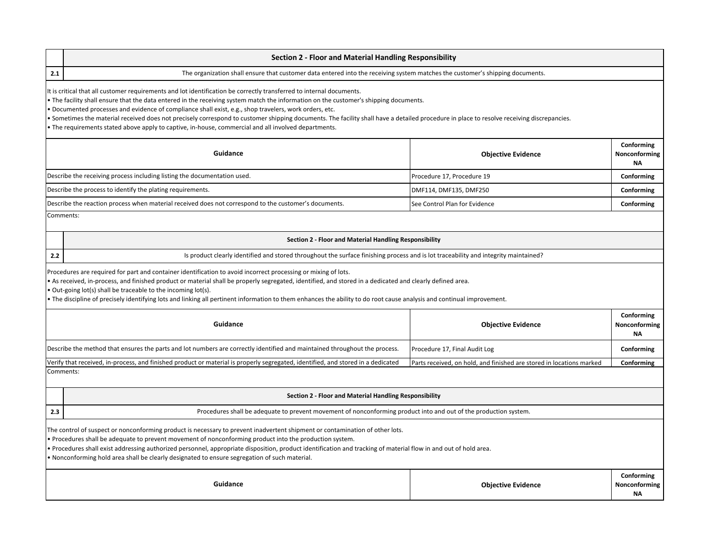|     | <b>Section 2 - Floor and Material Handling Responsibility</b>                                                                                                                                                                                                                                                                                                                                                                                                                                                                                                                                                                                                        |                                                                      |                                          |  |  |
|-----|----------------------------------------------------------------------------------------------------------------------------------------------------------------------------------------------------------------------------------------------------------------------------------------------------------------------------------------------------------------------------------------------------------------------------------------------------------------------------------------------------------------------------------------------------------------------------------------------------------------------------------------------------------------------|----------------------------------------------------------------------|------------------------------------------|--|--|
| 2.1 | The organization shall ensure that customer data entered into the receiving system matches the customer's shipping documents.                                                                                                                                                                                                                                                                                                                                                                                                                                                                                                                                        |                                                                      |                                          |  |  |
|     | It is critical that all customer requirements and lot identification be correctly transferred to internal documents.<br>The facility shall ensure that the data entered in the receiving system match the information on the customer's shipping documents.<br>Documented processes and evidence of compliance shall exist, e.g., shop travelers, work orders, etc.<br>Sometimes the material received does not precisely correspond to customer shipping documents. The facility shall have a detailed procedure in place to resolve receiving discrepancies.<br>The requirements stated above apply to captive, in-house, commercial and all involved departments. |                                                                      |                                          |  |  |
|     | Guidance                                                                                                                                                                                                                                                                                                                                                                                                                                                                                                                                                                                                                                                             | <b>Objective Evidence</b>                                            | Conforming<br>Nonconforming<br>ΝA        |  |  |
|     | Describe the receiving process including listing the documentation used.                                                                                                                                                                                                                                                                                                                                                                                                                                                                                                                                                                                             | Procedure 17, Procedure 19                                           | Conforming                               |  |  |
|     | Describe the process to identify the plating requirements.                                                                                                                                                                                                                                                                                                                                                                                                                                                                                                                                                                                                           | DMF114, DMF135, DMF250                                               | Conforming                               |  |  |
|     | Describe the reaction process when material received does not correspond to the customer's documents.                                                                                                                                                                                                                                                                                                                                                                                                                                                                                                                                                                | See Control Plan for Evidence                                        | Conforming                               |  |  |
|     | Comments:                                                                                                                                                                                                                                                                                                                                                                                                                                                                                                                                                                                                                                                            |                                                                      |                                          |  |  |
|     | Section 2 - Floor and Material Handling Responsibility                                                                                                                                                                                                                                                                                                                                                                                                                                                                                                                                                                                                               |                                                                      |                                          |  |  |
| 2.2 | Is product clearly identified and stored throughout the surface finishing process and is lot traceability and integrity maintained?                                                                                                                                                                                                                                                                                                                                                                                                                                                                                                                                  |                                                                      |                                          |  |  |
|     | Procedures are required for part and container identification to avoid incorrect processing or mixing of lots.<br>As received, in-process, and finished product or material shall be properly segregated, identified, and stored in a dedicated and clearly defined area.<br>Out-going lot(s) shall be traceable to the incoming lot(s).<br>The discipline of precisely identifying lots and linking all pertinent information to them enhances the ability to do root cause analysis and continual improvement.                                                                                                                                                     |                                                                      |                                          |  |  |
|     | Guidance                                                                                                                                                                                                                                                                                                                                                                                                                                                                                                                                                                                                                                                             | <b>Objective Evidence</b>                                            | Conforming<br>Nonconforming<br>ΝA        |  |  |
|     | Describe the method that ensures the parts and lot numbers are correctly identified and maintained throughout the process.                                                                                                                                                                                                                                                                                                                                                                                                                                                                                                                                           | Procedure 17, Final Audit Log                                        | Conforming                               |  |  |
|     | Verify that received, in-process, and finished product or material is properly segregated, identified, and stored in a dedicated                                                                                                                                                                                                                                                                                                                                                                                                                                                                                                                                     | Parts received, on hold, and finished are stored in locations marked | Conforming                               |  |  |
|     | Comments:                                                                                                                                                                                                                                                                                                                                                                                                                                                                                                                                                                                                                                                            |                                                                      |                                          |  |  |
|     | Section 2 - Floor and Material Handling Responsibility                                                                                                                                                                                                                                                                                                                                                                                                                                                                                                                                                                                                               |                                                                      |                                          |  |  |
| 2.3 | Procedures shall be adequate to prevent movement of nonconforming product into and out of the production system.                                                                                                                                                                                                                                                                                                                                                                                                                                                                                                                                                     |                                                                      |                                          |  |  |
|     | The control of suspect or nonconforming product is necessary to prevent inadvertent shipment or contamination of other lots.<br>Procedures shall be adequate to prevent movement of nonconforming product into the production system.<br>Procedures shall exist addressing authorized personnel, appropriate disposition, product identification and tracking of material flow in and out of hold area.<br>• Nonconforming hold area shall be clearly designated to ensure segregation of such material.                                                                                                                                                             |                                                                      |                                          |  |  |
|     | Guidance                                                                                                                                                                                                                                                                                                                                                                                                                                                                                                                                                                                                                                                             | <b>Objective Evidence</b>                                            | Conforming<br>Nonconforming<br><b>NA</b> |  |  |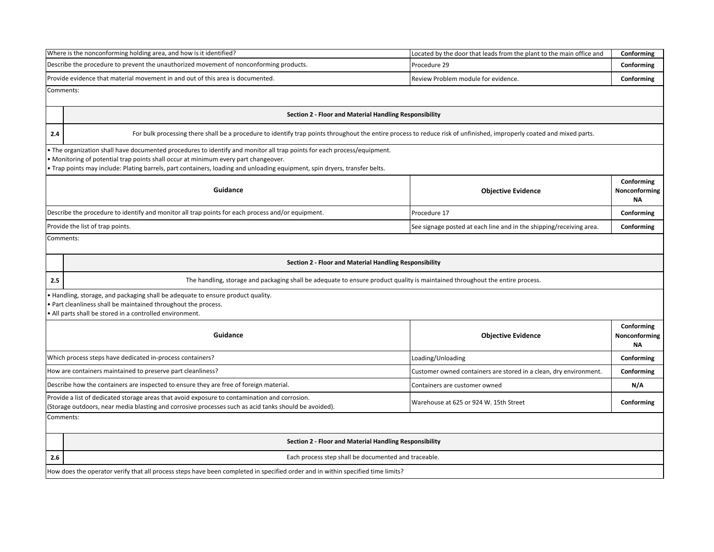|           | Where is the nonconforming holding area, and how is it identified?                                                                                                                                                                                                                                                                           | Located by the door that leads from the plant to the main office and | Conforming                               |  |  |  |
|-----------|----------------------------------------------------------------------------------------------------------------------------------------------------------------------------------------------------------------------------------------------------------------------------------------------------------------------------------------------|----------------------------------------------------------------------|------------------------------------------|--|--|--|
|           | Describe the procedure to prevent the unauthorized movement of nonconforming products.                                                                                                                                                                                                                                                       | Procedure 29                                                         | Conforming                               |  |  |  |
|           | Provide evidence that material movement in and out of this area is documented.                                                                                                                                                                                                                                                               | Review Problem module for evidence.                                  | Conforming                               |  |  |  |
| Comments: |                                                                                                                                                                                                                                                                                                                                              |                                                                      |                                          |  |  |  |
|           | Section 2 - Floor and Material Handling Responsibility                                                                                                                                                                                                                                                                                       |                                                                      |                                          |  |  |  |
| 2.4       | For bulk processing there shall be a procedure to identify trap points throughout the entire process to reduce risk of unfinished, improperly coated and mixed parts.                                                                                                                                                                        |                                                                      |                                          |  |  |  |
|           | • The organization shall have documented procedures to identify and monitor all trap points for each process/equipment.<br>. Monitoring of potential trap points shall occur at minimum every part changeover.<br>. Trap points may include: Plating barrels, part containers, loading and unloading equipment, spin dryers, transfer belts. |                                                                      |                                          |  |  |  |
|           | Guidance                                                                                                                                                                                                                                                                                                                                     | <b>Objective Evidence</b>                                            | Conforming<br>Nonconforming<br><b>NA</b> |  |  |  |
|           | Describe the procedure to identify and monitor all trap points for each process and/or equipment.                                                                                                                                                                                                                                            | Procedure 17                                                         | Conforming                               |  |  |  |
|           | Provide the list of trap points.                                                                                                                                                                                                                                                                                                             | See signage posted at each line and in the shipping/receiving area.  | Conforming                               |  |  |  |
| Comments: |                                                                                                                                                                                                                                                                                                                                              |                                                                      |                                          |  |  |  |
|           | Section 2 - Floor and Material Handling Responsibility                                                                                                                                                                                                                                                                                       |                                                                      |                                          |  |  |  |
| 2.5       | The handling, storage and packaging shall be adequate to ensure product quality is maintained throughout the entire process.                                                                                                                                                                                                                 |                                                                      |                                          |  |  |  |
|           | . Handling, storage, and packaging shall be adequate to ensure product quality.<br>Part cleanliness shall be maintained throughout the process.<br>All parts shall be stored in a controlled environment.                                                                                                                                    |                                                                      |                                          |  |  |  |
|           | Conforming<br>Guidance<br>Nonconforming<br><b>Objective Evidence</b>                                                                                                                                                                                                                                                                         |                                                                      |                                          |  |  |  |
|           | Which process steps have dedicated in-process containers?                                                                                                                                                                                                                                                                                    | Loading/Unloading                                                    | Conforming                               |  |  |  |
|           | How are containers maintained to preserve part cleanliness?                                                                                                                                                                                                                                                                                  | Customer owned containers are stored in a clean, dry environment.    | Conforming                               |  |  |  |
|           | Describe how the containers are inspected to ensure they are free of foreign material.                                                                                                                                                                                                                                                       | Containers are customer owned                                        | N/A                                      |  |  |  |
|           | Provide a list of dedicated storage areas that avoid exposure to contamination and corrosion.<br>Conforming<br>Warehouse at 625 or 924 W. 15th Street<br>(Storage outdoors, near media blasting and corrosive processes such as acid tanks should be avoided).                                                                               |                                                                      |                                          |  |  |  |
| Comments: |                                                                                                                                                                                                                                                                                                                                              |                                                                      |                                          |  |  |  |
|           | Section 2 - Floor and Material Handling Responsibility                                                                                                                                                                                                                                                                                       |                                                                      |                                          |  |  |  |
| 2.6       | Each process step shall be documented and traceable.                                                                                                                                                                                                                                                                                         |                                                                      |                                          |  |  |  |
|           | How does the operator verify that all process steps have been completed in specified order and in within specified time limits?                                                                                                                                                                                                              |                                                                      |                                          |  |  |  |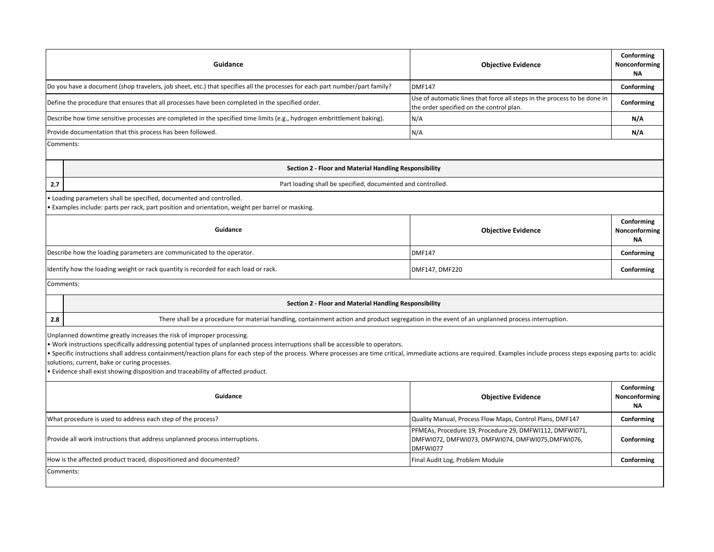|     | Guidance                                                                                                                                                                                                                                                                                                                                                                                                                                                                                                                                                                     | <b>Objective Evidence</b>                                                                                                | Conforming<br>Nonconforming<br><b>NA</b> |
|-----|------------------------------------------------------------------------------------------------------------------------------------------------------------------------------------------------------------------------------------------------------------------------------------------------------------------------------------------------------------------------------------------------------------------------------------------------------------------------------------------------------------------------------------------------------------------------------|--------------------------------------------------------------------------------------------------------------------------|------------------------------------------|
|     | Do you have a document (shop travelers, job sheet, etc.) that specifies all the processes for each part number/part family?                                                                                                                                                                                                                                                                                                                                                                                                                                                  | <b>DMF147</b>                                                                                                            | Conforming                               |
|     | Define the procedure that ensures that all processes have been completed in the specified order.                                                                                                                                                                                                                                                                                                                                                                                                                                                                             | Use of automatic lines that force all steps in the process to be done in<br>the order specified on the control plan.     | Conforming                               |
|     | Describe how time sensitive processes are completed in the specified time limits (e.g., hydrogen embrittlement baking).                                                                                                                                                                                                                                                                                                                                                                                                                                                      | N/A                                                                                                                      | N/A                                      |
|     | Provide documentation that this process has been followed.                                                                                                                                                                                                                                                                                                                                                                                                                                                                                                                   | N/A                                                                                                                      | N/A                                      |
|     | Comments:                                                                                                                                                                                                                                                                                                                                                                                                                                                                                                                                                                    |                                                                                                                          |                                          |
|     | Section 2 - Floor and Material Handling Responsibility                                                                                                                                                                                                                                                                                                                                                                                                                                                                                                                       |                                                                                                                          |                                          |
| 2.7 | Part loading shall be specified, documented and controlled.                                                                                                                                                                                                                                                                                                                                                                                                                                                                                                                  |                                                                                                                          |                                          |
|     | . Loading parameters shall be specified, documented and controlled.<br>• Examples include: parts per rack, part position and orientation, weight per barrel or masking.                                                                                                                                                                                                                                                                                                                                                                                                      |                                                                                                                          |                                          |
|     | Guidance                                                                                                                                                                                                                                                                                                                                                                                                                                                                                                                                                                     | <b>Objective Evidence</b>                                                                                                | Conforming<br>Nonconforming<br><b>NA</b> |
|     | Describe how the loading parameters are communicated to the operator.                                                                                                                                                                                                                                                                                                                                                                                                                                                                                                        | <b>DMF147</b>                                                                                                            | Conforming                               |
|     | Identify how the loading weight or rack quantity is recorded for each load or rack.                                                                                                                                                                                                                                                                                                                                                                                                                                                                                          | DMF147, DMF220                                                                                                           | Conforming                               |
|     | Comments:                                                                                                                                                                                                                                                                                                                                                                                                                                                                                                                                                                    |                                                                                                                          |                                          |
|     | Section 2 - Floor and Material Handling Responsibility                                                                                                                                                                                                                                                                                                                                                                                                                                                                                                                       |                                                                                                                          |                                          |
| 2.8 | There shall be a procedure for material handling, containment action and product segregation in the event of an unplanned process interruption.                                                                                                                                                                                                                                                                                                                                                                                                                              |                                                                                                                          |                                          |
|     | Unplanned downtime greatly increases the risk of improper processing.<br>• Work instructions specifically addressing potential types of unplanned process interruptions shall be accessible to operators.<br>• Specific instructions shall address containment/reaction plans for each step of the process. Where processes are time critical, immediate actions are required. Examples include process steps exposing parts to: acidic<br>solutions, current, bake or curing processes.<br>. Evidence shall exist showing disposition and traceability of affected product. |                                                                                                                          |                                          |
|     | Guidance                                                                                                                                                                                                                                                                                                                                                                                                                                                                                                                                                                     | <b>Objective Evidence</b>                                                                                                | Conforming<br>Nonconforming<br><b>NA</b> |
|     | What procedure is used to address each step of the process?                                                                                                                                                                                                                                                                                                                                                                                                                                                                                                                  | Quality Manual, Process Flow Maps, Control Plans, DMF147                                                                 | Conforming                               |
|     | Provide all work instructions that address unplanned process interruptions.                                                                                                                                                                                                                                                                                                                                                                                                                                                                                                  | PFMEAs, Procedure 19, Procedure 29, DMFWI112, DMFWI071,<br>DMFWI072, DMFWI073, DMFWI074, DMFWI075, DMFWI076,<br>DMFWI077 | Conforming                               |
|     | How is the affected product traced, dispositioned and documented?                                                                                                                                                                                                                                                                                                                                                                                                                                                                                                            | Final Audit Log, Problem Module                                                                                          | Conforming                               |
|     | Comments:                                                                                                                                                                                                                                                                                                                                                                                                                                                                                                                                                                    |                                                                                                                          |                                          |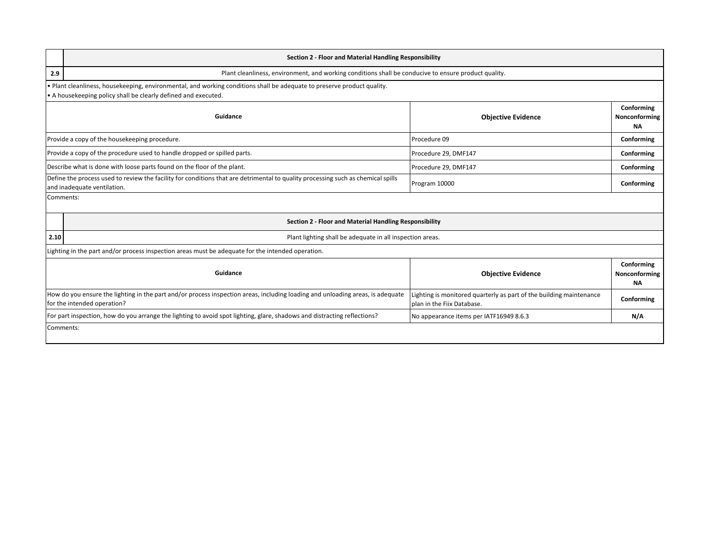|      | Section 2 - Floor and Material Handling Responsibility                                                                                                                                |                                                                                                   |                                          |
|------|---------------------------------------------------------------------------------------------------------------------------------------------------------------------------------------|---------------------------------------------------------------------------------------------------|------------------------------------------|
| 2.9  | Plant cleanliness, environment, and working conditions shall be conducive to ensure product quality.                                                                                  |                                                                                                   |                                          |
|      | Plant cleanliness, housekeeping, environmental, and working conditions shall be adequate to preserve product quality.<br>A housekeeping policy shall be clearly defined and executed. |                                                                                                   |                                          |
|      | Guidance                                                                                                                                                                              | <b>Objective Evidence</b>                                                                         | Conforming<br>Nonconforming<br><b>NA</b> |
|      | Provide a copy of the housekeeping procedure.                                                                                                                                         | Procedure 09                                                                                      | Conforming                               |
|      | Provide a copy of the procedure used to handle dropped or spilled parts.                                                                                                              | Procedure 29, DMF147                                                                              | Conforming                               |
|      | Describe what is done with loose parts found on the floor of the plant.                                                                                                               | Procedure 29, DMF147                                                                              | Conforming                               |
|      | Define the process used to review the facility for conditions that are detrimental to quality processing such as chemical spills<br>and inadequate ventilation.                       | Program 10000                                                                                     | Conforming                               |
|      | Comments:                                                                                                                                                                             |                                                                                                   |                                          |
|      | Section 2 - Floor and Material Handling Responsibility                                                                                                                                |                                                                                                   |                                          |
| 2.10 | Plant lighting shall be adequate in all inspection areas.                                                                                                                             |                                                                                                   |                                          |
|      | Lighting in the part and/or process inspection areas must be adequate for the intended operation.                                                                                     |                                                                                                   |                                          |
|      | Guidance                                                                                                                                                                              | <b>Objective Evidence</b>                                                                         | Conforming<br>Nonconforming<br><b>NA</b> |
|      | How do you ensure the lighting in the part and/or process inspection areas, including loading and unloading areas, is adequate<br>for the intended operation?                         | Lighting is monitored quarterly as part of the building maintenance<br>plan in the Fiix Database. | Conforming                               |
|      | For part inspection, how do you arrange the lighting to avoid spot lighting, glare, shadows and distracting reflections?                                                              | No appearance items per IATF16949 8.6.3                                                           | N/A                                      |
|      | Comments:                                                                                                                                                                             |                                                                                                   |                                          |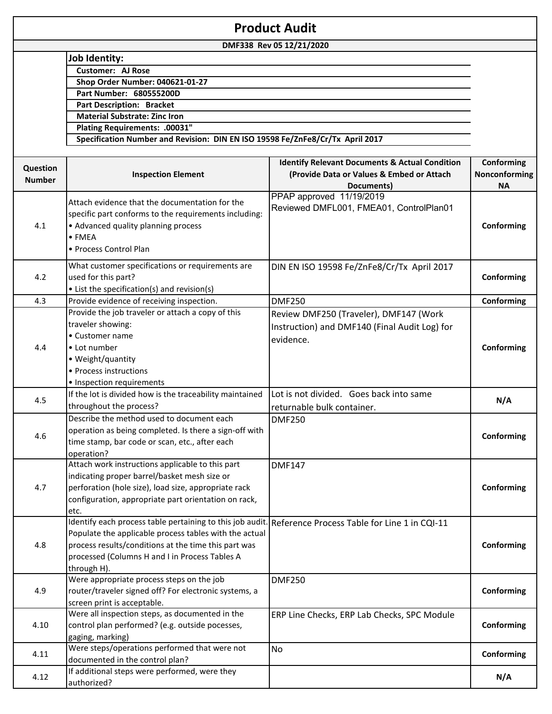| <b>Product Audit</b> |                                                                                                        |                                                           |               |
|----------------------|--------------------------------------------------------------------------------------------------------|-----------------------------------------------------------|---------------|
|                      |                                                                                                        | DMF338 Rev 05 12/21/2020                                  |               |
|                      | <b>Job Identity:</b>                                                                                   |                                                           |               |
|                      | <b>Customer: AJ Rose</b>                                                                               |                                                           |               |
|                      | <b>Shop Order Number: 040621-01-27</b>                                                                 |                                                           |               |
|                      | Part Number: 680555200D                                                                                |                                                           |               |
|                      | <b>Part Description: Bracket</b>                                                                       |                                                           |               |
|                      | <b>Material Substrate: Zinc Iron</b>                                                                   |                                                           |               |
|                      | Plating Requirements: .00031"                                                                          |                                                           |               |
|                      | Specification Number and Revision: DIN EN ISO 19598 Fe/ZnFe8/Cr/Tx April 2017                          |                                                           |               |
|                      |                                                                                                        |                                                           |               |
|                      |                                                                                                        | <b>Identify Relevant Documents &amp; Actual Condition</b> | Conforming    |
| Question             | <b>Inspection Element</b>                                                                              | (Provide Data or Values & Embed or Attach                 | Nonconforming |
| <b>Number</b>        |                                                                                                        | Documents)                                                | <b>NA</b>     |
|                      |                                                                                                        | PPAP approved 11/19/2019                                  |               |
|                      | Attach evidence that the documentation for the                                                         | Reviewed DMFL001, FMEA01, ControlPlan01                   |               |
|                      | specific part conforms to the requirements including:                                                  |                                                           |               |
| 4.1                  | • Advanced quality planning process                                                                    |                                                           | Conforming    |
|                      | $\bullet$ FMEA                                                                                         |                                                           |               |
|                      | • Process Control Plan                                                                                 |                                                           |               |
|                      | What customer specifications or requirements are                                                       | DIN EN ISO 19598 Fe/ZnFe8/Cr/Tx April 2017                |               |
| 4.2                  | used for this part?                                                                                    |                                                           | Conforming    |
|                      | • List the specification(s) and revision(s)                                                            |                                                           |               |
| 4.3                  | Provide evidence of receiving inspection.                                                              | <b>DMF250</b>                                             | Conforming    |
|                      | Provide the job traveler or attach a copy of this                                                      | Review DMF250 (Traveler), DMF147 (Work                    |               |
|                      | traveler showing:                                                                                      |                                                           |               |
|                      | • Customer name                                                                                        | Instruction) and DMF140 (Final Audit Log) for             |               |
| 4.4                  | • Lot number                                                                                           | evidence.                                                 | Conforming    |
|                      | • Weight/quantity                                                                                      |                                                           |               |
|                      | • Process instructions                                                                                 |                                                           |               |
|                      |                                                                                                        |                                                           |               |
|                      | • Inspection requirements<br>If the lot is divided how is the traceability maintained                  | Lot is not divided. Goes back into same                   |               |
| 4.5                  |                                                                                                        |                                                           | N/A           |
|                      | throughout the process?                                                                                | returnable bulk container.                                |               |
|                      | Describe the method used to document each                                                              | <b>DMF250</b>                                             |               |
| 4.6                  | operation as being completed. Is there a sign-off with                                                 |                                                           | Conforming    |
|                      | time stamp, bar code or scan, etc., after each                                                         |                                                           |               |
|                      | operation?                                                                                             |                                                           |               |
|                      | Attach work instructions applicable to this part                                                       | <b>DMF147</b>                                             |               |
|                      | indicating proper barrel/basket mesh size or                                                           |                                                           |               |
| 4.7                  | perforation (hole size), load size, appropriate rack                                                   |                                                           | Conforming    |
|                      | configuration, appropriate part orientation on rack,                                                   |                                                           |               |
|                      | etc.                                                                                                   |                                                           |               |
|                      | Identify each process table pertaining to this job audit. Reference Process Table for Line 1 in CQI-11 |                                                           |               |
|                      | Populate the applicable process tables with the actual                                                 |                                                           |               |
| 4.8                  | process results/conditions at the time this part was                                                   |                                                           | Conforming    |
|                      | processed (Columns H and I in Process Tables A                                                         |                                                           |               |
|                      | through H).                                                                                            |                                                           |               |
|                      | Were appropriate process steps on the job                                                              | <b>DMF250</b>                                             |               |
| 4.9                  | router/traveler signed off? For electronic systems, a                                                  |                                                           | Conforming    |
|                      | screen print is acceptable.                                                                            |                                                           |               |
|                      | Were all inspection steps, as documented in the                                                        | ERP Line Checks, ERP Lab Checks, SPC Module               |               |
| 4.10                 | control plan performed? (e.g. outside pocesses,                                                        |                                                           | Conforming    |
|                      | gaging, marking)                                                                                       |                                                           |               |
|                      | Were steps/operations performed that were not                                                          | No                                                        |               |
| 4.11                 | documented in the control plan?                                                                        |                                                           | Conforming    |
|                      | If additional steps were performed, were they                                                          |                                                           |               |
| 4.12                 | authorized?                                                                                            |                                                           | N/A           |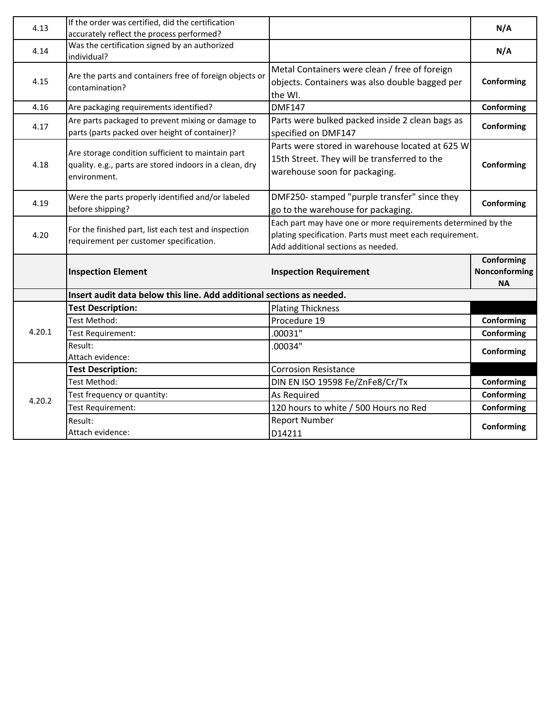| 4.13   | If the order was certified, did the certification                                                                            |                                                                                                                                                                 | N/A                                      |
|--------|------------------------------------------------------------------------------------------------------------------------------|-----------------------------------------------------------------------------------------------------------------------------------------------------------------|------------------------------------------|
| 4.14   | accurately reflect the process performed?<br>Was the certification signed by an authorized<br>individual?                    |                                                                                                                                                                 | N/A                                      |
| 4.15   | Are the parts and containers free of foreign objects or<br>contamination?                                                    | Metal Containers were clean / free of foreign<br>objects. Containers was also double bagged per<br>the WI.                                                      | Conforming                               |
| 4.16   | Are packaging requirements identified?                                                                                       | <b>DMF147</b>                                                                                                                                                   | Conforming                               |
| 4.17   | Are parts packaged to prevent mixing or damage to<br>parts (parts packed over height of container)?                          | Parts were bulked packed inside 2 clean bags as<br>specified on DMF147                                                                                          | Conforming                               |
| 4.18   | Are storage condition sufficient to maintain part<br>quality. e.g., parts are stored indoors in a clean, dry<br>environment. | Parts were stored in warehouse located at 625 W<br>15th Street. They will be transferred to the<br>warehouse soon for packaging.                                | Conforming                               |
| 4.19   | Were the parts properly identified and/or labeled<br>before shipping?                                                        | DMF250- stamped "purple transfer" since they<br>go to the warehouse for packaging.                                                                              | Conforming                               |
| 4.20   | For the finished part, list each test and inspection<br>requirement per customer specification.                              | Each part may have one or more requirements determined by the<br>plating specification. Parts must meet each requirement.<br>Add additional sections as needed. |                                          |
|        | <b>Inspection Element</b>                                                                                                    | <b>Inspection Requirement</b>                                                                                                                                   | Conforming<br>Nonconforming<br><b>NA</b> |
|        | Insert audit data below this line. Add additional sections as needed.                                                        |                                                                                                                                                                 |                                          |
|        | <b>Test Description:</b>                                                                                                     | <b>Plating Thickness</b>                                                                                                                                        |                                          |
|        | Test Method:                                                                                                                 | Procedure 19                                                                                                                                                    | Conforming                               |
| 4.20.1 | <b>Test Requirement:</b>                                                                                                     | .00031"                                                                                                                                                         | Conforming                               |
|        | Result:<br>Attach evidence:                                                                                                  | .00034"                                                                                                                                                         | Conforming                               |
|        | <b>Test Description:</b>                                                                                                     | <b>Corrosion Resistance</b>                                                                                                                                     |                                          |
|        | Test Method:                                                                                                                 | DIN EN ISO 19598 Fe/ZnFe8/Cr/Tx                                                                                                                                 | Conforming                               |
| 4.20.2 | Test frequency or quantity:                                                                                                  | As Required                                                                                                                                                     | Conforming                               |
|        | Test Requirement:                                                                                                            | 120 hours to white / 500 Hours no Red                                                                                                                           | Conforming                               |
|        | Result:<br>Attach evidence:                                                                                                  | <b>Report Number</b><br>D14211                                                                                                                                  | Conforming                               |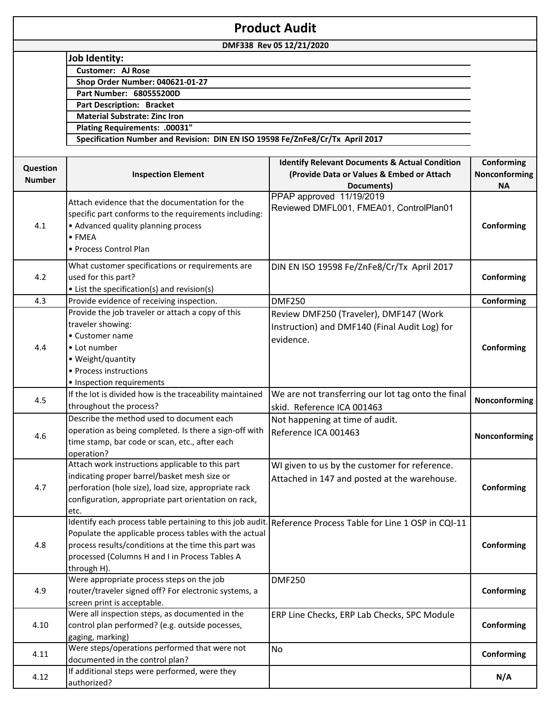| DMF338 Rev 05 12/21/2020<br><b>Job Identity:</b><br><b>Customer: AJ Rose</b><br><b>Shop Order Number: 040621-01-27</b><br>Part Number: 680555200D<br><b>Part Description: Bracket</b><br><b>Material Substrate: Zinc Iron</b><br>Plating Requirements: .00031"<br>Specification Number and Revision: DIN EN ISO 19598 Fe/ZnFe8/Cr/Tx April 2017<br><b>Identify Relevant Documents &amp; Actual Condition</b><br>Conforming<br>Question<br>Nonconforming<br><b>Inspection Element</b><br>(Provide Data or Values & Embed or Attach<br><b>Number</b><br>Documents)<br><b>NA</b><br>PPAP approved 11/19/2019<br>Attach evidence that the documentation for the<br>Reviewed DMFL001, FMEA01, ControlPlan01<br>specific part conforms to the requirements including:<br>• Advanced quality planning process<br>Conforming<br>4.1<br>$\bullet$ FMEA<br>• Process Control Plan<br>What customer specifications or requirements are<br>DIN EN ISO 19598 Fe/ZnFe8/Cr/Tx April 2017<br>used for this part?<br>Conforming<br>4.2<br>• List the specification(s) and revision(s)<br>Provide evidence of receiving inspection.<br>4.3<br><b>DMF250</b><br>Conforming<br>Provide the job traveler or attach a copy of this<br>Review DMF250 (Traveler), DMF147 (Work<br>traveler showing:<br>Instruction) and DMF140 (Final Audit Log) for<br>• Customer name<br>evidence.<br>• Lot number<br>Conforming<br>4.4<br>• Weight/quantity<br>• Process instructions<br>• Inspection requirements<br>We are not transferring our lot tag onto the final<br>If the lot is divided how is the traceability maintained<br>Nonconforming<br>4.5<br>throughout the process?<br>skid. Reference ICA 001463<br>Describe the method used to document each<br>Not happening at time of audit.<br>operation as being completed. Is there a sign-off with<br>Reference ICA 001463<br>4.6<br>Nonconforming<br>time stamp, bar code or scan, etc., after each |
|------------------------------------------------------------------------------------------------------------------------------------------------------------------------------------------------------------------------------------------------------------------------------------------------------------------------------------------------------------------------------------------------------------------------------------------------------------------------------------------------------------------------------------------------------------------------------------------------------------------------------------------------------------------------------------------------------------------------------------------------------------------------------------------------------------------------------------------------------------------------------------------------------------------------------------------------------------------------------------------------------------------------------------------------------------------------------------------------------------------------------------------------------------------------------------------------------------------------------------------------------------------------------------------------------------------------------------------------------------------------------------------------------------------------------------------------------------------------------------------------------------------------------------------------------------------------------------------------------------------------------------------------------------------------------------------------------------------------------------------------------------------------------------------------------------------------------------------------------------------------------------------------------------------------------|
|                                                                                                                                                                                                                                                                                                                                                                                                                                                                                                                                                                                                                                                                                                                                                                                                                                                                                                                                                                                                                                                                                                                                                                                                                                                                                                                                                                                                                                                                                                                                                                                                                                                                                                                                                                                                                                                                                                                              |
|                                                                                                                                                                                                                                                                                                                                                                                                                                                                                                                                                                                                                                                                                                                                                                                                                                                                                                                                                                                                                                                                                                                                                                                                                                                                                                                                                                                                                                                                                                                                                                                                                                                                                                                                                                                                                                                                                                                              |
|                                                                                                                                                                                                                                                                                                                                                                                                                                                                                                                                                                                                                                                                                                                                                                                                                                                                                                                                                                                                                                                                                                                                                                                                                                                                                                                                                                                                                                                                                                                                                                                                                                                                                                                                                                                                                                                                                                                              |
|                                                                                                                                                                                                                                                                                                                                                                                                                                                                                                                                                                                                                                                                                                                                                                                                                                                                                                                                                                                                                                                                                                                                                                                                                                                                                                                                                                                                                                                                                                                                                                                                                                                                                                                                                                                                                                                                                                                              |
|                                                                                                                                                                                                                                                                                                                                                                                                                                                                                                                                                                                                                                                                                                                                                                                                                                                                                                                                                                                                                                                                                                                                                                                                                                                                                                                                                                                                                                                                                                                                                                                                                                                                                                                                                                                                                                                                                                                              |
|                                                                                                                                                                                                                                                                                                                                                                                                                                                                                                                                                                                                                                                                                                                                                                                                                                                                                                                                                                                                                                                                                                                                                                                                                                                                                                                                                                                                                                                                                                                                                                                                                                                                                                                                                                                                                                                                                                                              |
|                                                                                                                                                                                                                                                                                                                                                                                                                                                                                                                                                                                                                                                                                                                                                                                                                                                                                                                                                                                                                                                                                                                                                                                                                                                                                                                                                                                                                                                                                                                                                                                                                                                                                                                                                                                                                                                                                                                              |
|                                                                                                                                                                                                                                                                                                                                                                                                                                                                                                                                                                                                                                                                                                                                                                                                                                                                                                                                                                                                                                                                                                                                                                                                                                                                                                                                                                                                                                                                                                                                                                                                                                                                                                                                                                                                                                                                                                                              |
|                                                                                                                                                                                                                                                                                                                                                                                                                                                                                                                                                                                                                                                                                                                                                                                                                                                                                                                                                                                                                                                                                                                                                                                                                                                                                                                                                                                                                                                                                                                                                                                                                                                                                                                                                                                                                                                                                                                              |
|                                                                                                                                                                                                                                                                                                                                                                                                                                                                                                                                                                                                                                                                                                                                                                                                                                                                                                                                                                                                                                                                                                                                                                                                                                                                                                                                                                                                                                                                                                                                                                                                                                                                                                                                                                                                                                                                                                                              |
|                                                                                                                                                                                                                                                                                                                                                                                                                                                                                                                                                                                                                                                                                                                                                                                                                                                                                                                                                                                                                                                                                                                                                                                                                                                                                                                                                                                                                                                                                                                                                                                                                                                                                                                                                                                                                                                                                                                              |
|                                                                                                                                                                                                                                                                                                                                                                                                                                                                                                                                                                                                                                                                                                                                                                                                                                                                                                                                                                                                                                                                                                                                                                                                                                                                                                                                                                                                                                                                                                                                                                                                                                                                                                                                                                                                                                                                                                                              |
|                                                                                                                                                                                                                                                                                                                                                                                                                                                                                                                                                                                                                                                                                                                                                                                                                                                                                                                                                                                                                                                                                                                                                                                                                                                                                                                                                                                                                                                                                                                                                                                                                                                                                                                                                                                                                                                                                                                              |
|                                                                                                                                                                                                                                                                                                                                                                                                                                                                                                                                                                                                                                                                                                                                                                                                                                                                                                                                                                                                                                                                                                                                                                                                                                                                                                                                                                                                                                                                                                                                                                                                                                                                                                                                                                                                                                                                                                                              |
|                                                                                                                                                                                                                                                                                                                                                                                                                                                                                                                                                                                                                                                                                                                                                                                                                                                                                                                                                                                                                                                                                                                                                                                                                                                                                                                                                                                                                                                                                                                                                                                                                                                                                                                                                                                                                                                                                                                              |
|                                                                                                                                                                                                                                                                                                                                                                                                                                                                                                                                                                                                                                                                                                                                                                                                                                                                                                                                                                                                                                                                                                                                                                                                                                                                                                                                                                                                                                                                                                                                                                                                                                                                                                                                                                                                                                                                                                                              |
|                                                                                                                                                                                                                                                                                                                                                                                                                                                                                                                                                                                                                                                                                                                                                                                                                                                                                                                                                                                                                                                                                                                                                                                                                                                                                                                                                                                                                                                                                                                                                                                                                                                                                                                                                                                                                                                                                                                              |
|                                                                                                                                                                                                                                                                                                                                                                                                                                                                                                                                                                                                                                                                                                                                                                                                                                                                                                                                                                                                                                                                                                                                                                                                                                                                                                                                                                                                                                                                                                                                                                                                                                                                                                                                                                                                                                                                                                                              |
|                                                                                                                                                                                                                                                                                                                                                                                                                                                                                                                                                                                                                                                                                                                                                                                                                                                                                                                                                                                                                                                                                                                                                                                                                                                                                                                                                                                                                                                                                                                                                                                                                                                                                                                                                                                                                                                                                                                              |
|                                                                                                                                                                                                                                                                                                                                                                                                                                                                                                                                                                                                                                                                                                                                                                                                                                                                                                                                                                                                                                                                                                                                                                                                                                                                                                                                                                                                                                                                                                                                                                                                                                                                                                                                                                                                                                                                                                                              |
|                                                                                                                                                                                                                                                                                                                                                                                                                                                                                                                                                                                                                                                                                                                                                                                                                                                                                                                                                                                                                                                                                                                                                                                                                                                                                                                                                                                                                                                                                                                                                                                                                                                                                                                                                                                                                                                                                                                              |
|                                                                                                                                                                                                                                                                                                                                                                                                                                                                                                                                                                                                                                                                                                                                                                                                                                                                                                                                                                                                                                                                                                                                                                                                                                                                                                                                                                                                                                                                                                                                                                                                                                                                                                                                                                                                                                                                                                                              |
|                                                                                                                                                                                                                                                                                                                                                                                                                                                                                                                                                                                                                                                                                                                                                                                                                                                                                                                                                                                                                                                                                                                                                                                                                                                                                                                                                                                                                                                                                                                                                                                                                                                                                                                                                                                                                                                                                                                              |
|                                                                                                                                                                                                                                                                                                                                                                                                                                                                                                                                                                                                                                                                                                                                                                                                                                                                                                                                                                                                                                                                                                                                                                                                                                                                                                                                                                                                                                                                                                                                                                                                                                                                                                                                                                                                                                                                                                                              |
|                                                                                                                                                                                                                                                                                                                                                                                                                                                                                                                                                                                                                                                                                                                                                                                                                                                                                                                                                                                                                                                                                                                                                                                                                                                                                                                                                                                                                                                                                                                                                                                                                                                                                                                                                                                                                                                                                                                              |
|                                                                                                                                                                                                                                                                                                                                                                                                                                                                                                                                                                                                                                                                                                                                                                                                                                                                                                                                                                                                                                                                                                                                                                                                                                                                                                                                                                                                                                                                                                                                                                                                                                                                                                                                                                                                                                                                                                                              |
|                                                                                                                                                                                                                                                                                                                                                                                                                                                                                                                                                                                                                                                                                                                                                                                                                                                                                                                                                                                                                                                                                                                                                                                                                                                                                                                                                                                                                                                                                                                                                                                                                                                                                                                                                                                                                                                                                                                              |
|                                                                                                                                                                                                                                                                                                                                                                                                                                                                                                                                                                                                                                                                                                                                                                                                                                                                                                                                                                                                                                                                                                                                                                                                                                                                                                                                                                                                                                                                                                                                                                                                                                                                                                                                                                                                                                                                                                                              |
|                                                                                                                                                                                                                                                                                                                                                                                                                                                                                                                                                                                                                                                                                                                                                                                                                                                                                                                                                                                                                                                                                                                                                                                                                                                                                                                                                                                                                                                                                                                                                                                                                                                                                                                                                                                                                                                                                                                              |
|                                                                                                                                                                                                                                                                                                                                                                                                                                                                                                                                                                                                                                                                                                                                                                                                                                                                                                                                                                                                                                                                                                                                                                                                                                                                                                                                                                                                                                                                                                                                                                                                                                                                                                                                                                                                                                                                                                                              |
|                                                                                                                                                                                                                                                                                                                                                                                                                                                                                                                                                                                                                                                                                                                                                                                                                                                                                                                                                                                                                                                                                                                                                                                                                                                                                                                                                                                                                                                                                                                                                                                                                                                                                                                                                                                                                                                                                                                              |
|                                                                                                                                                                                                                                                                                                                                                                                                                                                                                                                                                                                                                                                                                                                                                                                                                                                                                                                                                                                                                                                                                                                                                                                                                                                                                                                                                                                                                                                                                                                                                                                                                                                                                                                                                                                                                                                                                                                              |
|                                                                                                                                                                                                                                                                                                                                                                                                                                                                                                                                                                                                                                                                                                                                                                                                                                                                                                                                                                                                                                                                                                                                                                                                                                                                                                                                                                                                                                                                                                                                                                                                                                                                                                                                                                                                                                                                                                                              |
|                                                                                                                                                                                                                                                                                                                                                                                                                                                                                                                                                                                                                                                                                                                                                                                                                                                                                                                                                                                                                                                                                                                                                                                                                                                                                                                                                                                                                                                                                                                                                                                                                                                                                                                                                                                                                                                                                                                              |
|                                                                                                                                                                                                                                                                                                                                                                                                                                                                                                                                                                                                                                                                                                                                                                                                                                                                                                                                                                                                                                                                                                                                                                                                                                                                                                                                                                                                                                                                                                                                                                                                                                                                                                                                                                                                                                                                                                                              |
| operation?                                                                                                                                                                                                                                                                                                                                                                                                                                                                                                                                                                                                                                                                                                                                                                                                                                                                                                                                                                                                                                                                                                                                                                                                                                                                                                                                                                                                                                                                                                                                                                                                                                                                                                                                                                                                                                                                                                                   |
| Attach work instructions applicable to this part<br>WI given to us by the customer for reference.                                                                                                                                                                                                                                                                                                                                                                                                                                                                                                                                                                                                                                                                                                                                                                                                                                                                                                                                                                                                                                                                                                                                                                                                                                                                                                                                                                                                                                                                                                                                                                                                                                                                                                                                                                                                                            |
| indicating proper barrel/basket mesh size or<br>Attached in 147 and posted at the warehouse.                                                                                                                                                                                                                                                                                                                                                                                                                                                                                                                                                                                                                                                                                                                                                                                                                                                                                                                                                                                                                                                                                                                                                                                                                                                                                                                                                                                                                                                                                                                                                                                                                                                                                                                                                                                                                                 |
| perforation (hole size), load size, appropriate rack<br>Conforming<br>4.7                                                                                                                                                                                                                                                                                                                                                                                                                                                                                                                                                                                                                                                                                                                                                                                                                                                                                                                                                                                                                                                                                                                                                                                                                                                                                                                                                                                                                                                                                                                                                                                                                                                                                                                                                                                                                                                    |
| configuration, appropriate part orientation on rack,                                                                                                                                                                                                                                                                                                                                                                                                                                                                                                                                                                                                                                                                                                                                                                                                                                                                                                                                                                                                                                                                                                                                                                                                                                                                                                                                                                                                                                                                                                                                                                                                                                                                                                                                                                                                                                                                         |
| etc.                                                                                                                                                                                                                                                                                                                                                                                                                                                                                                                                                                                                                                                                                                                                                                                                                                                                                                                                                                                                                                                                                                                                                                                                                                                                                                                                                                                                                                                                                                                                                                                                                                                                                                                                                                                                                                                                                                                         |
| Identify each process table pertaining to this job audit. Reference Process Table for Line 1 OSP in CQI-11                                                                                                                                                                                                                                                                                                                                                                                                                                                                                                                                                                                                                                                                                                                                                                                                                                                                                                                                                                                                                                                                                                                                                                                                                                                                                                                                                                                                                                                                                                                                                                                                                                                                                                                                                                                                                   |
| Populate the applicable process tables with the actual                                                                                                                                                                                                                                                                                                                                                                                                                                                                                                                                                                                                                                                                                                                                                                                                                                                                                                                                                                                                                                                                                                                                                                                                                                                                                                                                                                                                                                                                                                                                                                                                                                                                                                                                                                                                                                                                       |
| process results/conditions at the time this part was<br>Conforming<br>4.8                                                                                                                                                                                                                                                                                                                                                                                                                                                                                                                                                                                                                                                                                                                                                                                                                                                                                                                                                                                                                                                                                                                                                                                                                                                                                                                                                                                                                                                                                                                                                                                                                                                                                                                                                                                                                                                    |
| processed (Columns H and I in Process Tables A                                                                                                                                                                                                                                                                                                                                                                                                                                                                                                                                                                                                                                                                                                                                                                                                                                                                                                                                                                                                                                                                                                                                                                                                                                                                                                                                                                                                                                                                                                                                                                                                                                                                                                                                                                                                                                                                               |
| through H).                                                                                                                                                                                                                                                                                                                                                                                                                                                                                                                                                                                                                                                                                                                                                                                                                                                                                                                                                                                                                                                                                                                                                                                                                                                                                                                                                                                                                                                                                                                                                                                                                                                                                                                                                                                                                                                                                                                  |
| Were appropriate process steps on the job<br><b>DMF250</b>                                                                                                                                                                                                                                                                                                                                                                                                                                                                                                                                                                                                                                                                                                                                                                                                                                                                                                                                                                                                                                                                                                                                                                                                                                                                                                                                                                                                                                                                                                                                                                                                                                                                                                                                                                                                                                                                   |
| router/traveler signed off? For electronic systems, a<br>Conforming<br>4.9                                                                                                                                                                                                                                                                                                                                                                                                                                                                                                                                                                                                                                                                                                                                                                                                                                                                                                                                                                                                                                                                                                                                                                                                                                                                                                                                                                                                                                                                                                                                                                                                                                                                                                                                                                                                                                                   |
| screen print is acceptable.                                                                                                                                                                                                                                                                                                                                                                                                                                                                                                                                                                                                                                                                                                                                                                                                                                                                                                                                                                                                                                                                                                                                                                                                                                                                                                                                                                                                                                                                                                                                                                                                                                                                                                                                                                                                                                                                                                  |
| Were all inspection steps, as documented in the<br>ERP Line Checks, ERP Lab Checks, SPC Module                                                                                                                                                                                                                                                                                                                                                                                                                                                                                                                                                                                                                                                                                                                                                                                                                                                                                                                                                                                                                                                                                                                                                                                                                                                                                                                                                                                                                                                                                                                                                                                                                                                                                                                                                                                                                               |
| control plan performed? (e.g. outside pocesses,<br>4.10<br>Conforming                                                                                                                                                                                                                                                                                                                                                                                                                                                                                                                                                                                                                                                                                                                                                                                                                                                                                                                                                                                                                                                                                                                                                                                                                                                                                                                                                                                                                                                                                                                                                                                                                                                                                                                                                                                                                                                        |
| gaging, marking)                                                                                                                                                                                                                                                                                                                                                                                                                                                                                                                                                                                                                                                                                                                                                                                                                                                                                                                                                                                                                                                                                                                                                                                                                                                                                                                                                                                                                                                                                                                                                                                                                                                                                                                                                                                                                                                                                                             |
| Were steps/operations performed that were not<br>No                                                                                                                                                                                                                                                                                                                                                                                                                                                                                                                                                                                                                                                                                                                                                                                                                                                                                                                                                                                                                                                                                                                                                                                                                                                                                                                                                                                                                                                                                                                                                                                                                                                                                                                                                                                                                                                                          |
| 4.11<br>Conforming<br>documented in the control plan?                                                                                                                                                                                                                                                                                                                                                                                                                                                                                                                                                                                                                                                                                                                                                                                                                                                                                                                                                                                                                                                                                                                                                                                                                                                                                                                                                                                                                                                                                                                                                                                                                                                                                                                                                                                                                                                                        |
| If additional steps were performed, were they                                                                                                                                                                                                                                                                                                                                                                                                                                                                                                                                                                                                                                                                                                                                                                                                                                                                                                                                                                                                                                                                                                                                                                                                                                                                                                                                                                                                                                                                                                                                                                                                                                                                                                                                                                                                                                                                                |
| 4.12<br>N/A<br>authorized?                                                                                                                                                                                                                                                                                                                                                                                                                                                                                                                                                                                                                                                                                                                                                                                                                                                                                                                                                                                                                                                                                                                                                                                                                                                                                                                                                                                                                                                                                                                                                                                                                                                                                                                                                                                                                                                                                                   |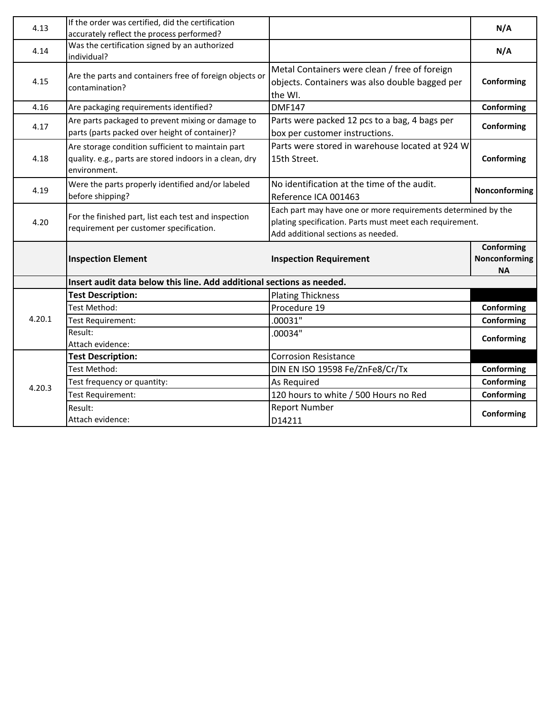| 4.13   | If the order was certified, did the certification                                          |                                                                                                                           | N/A           |
|--------|--------------------------------------------------------------------------------------------|---------------------------------------------------------------------------------------------------------------------------|---------------|
| 4.14   | accurately reflect the process performed?<br>Was the certification signed by an authorized |                                                                                                                           | N/A           |
|        | individual?                                                                                |                                                                                                                           |               |
|        | Are the parts and containers free of foreign objects or                                    | Metal Containers were clean / free of foreign                                                                             |               |
| 4.15   | contamination?                                                                             | objects. Containers was also double bagged per                                                                            | Conforming    |
|        |                                                                                            | the WI.                                                                                                                   |               |
| 4.16   | Are packaging requirements identified?                                                     | <b>DMF147</b>                                                                                                             | Conforming    |
| 4.17   | Are parts packaged to prevent mixing or damage to                                          | Parts were packed 12 pcs to a bag, 4 bags per                                                                             | Conforming    |
|        | parts (parts packed over height of container)?                                             | box per customer instructions.                                                                                            |               |
|        | Are storage condition sufficient to maintain part                                          | Parts were stored in warehouse located at 924 W                                                                           |               |
| 4.18   | quality. e.g., parts are stored indoors in a clean, dry<br>environment.                    | 15th Street.                                                                                                              | Conforming    |
|        |                                                                                            | No identification at the time of the audit.                                                                               |               |
| 4.19   | Were the parts properly identified and/or labeled<br>before shipping?                      | Reference ICA 001463                                                                                                      | Nonconforming |
|        |                                                                                            |                                                                                                                           |               |
| 4.20   | For the finished part, list each test and inspection                                       | Each part may have one or more requirements determined by the<br>plating specification. Parts must meet each requirement. |               |
|        | requirement per customer specification.                                                    | Add additional sections as needed.                                                                                        |               |
|        |                                                                                            |                                                                                                                           | Conforming    |
|        | <b>Inspection Element</b>                                                                  | <b>Inspection Requirement</b>                                                                                             | Nonconforming |
|        |                                                                                            |                                                                                                                           | <b>NA</b>     |
|        | Insert audit data below this line. Add additional sections as needed.                      |                                                                                                                           |               |
|        | <b>Test Description:</b>                                                                   | <b>Plating Thickness</b>                                                                                                  |               |
|        | Test Method:                                                                               | Procedure 19                                                                                                              | Conforming    |
| 4.20.1 | Test Requirement:                                                                          | .00031"                                                                                                                   | Conforming    |
|        | Result:                                                                                    | .00034"                                                                                                                   | Conforming    |
|        | Attach evidence:                                                                           |                                                                                                                           |               |
|        | <b>Test Description:</b>                                                                   | <b>Corrosion Resistance</b>                                                                                               |               |
|        | Test Method:                                                                               | DIN EN ISO 19598 Fe/ZnFe8/Cr/Tx                                                                                           | Conforming    |
| 4.20.3 | Test frequency or quantity:                                                                | As Required                                                                                                               | Conforming    |
|        | Test Requirement:                                                                          | 120 hours to white / 500 Hours no Red                                                                                     | Conforming    |
|        | Result:                                                                                    | <b>Report Number</b>                                                                                                      | Conforming    |
|        | Attach evidence:                                                                           | D14211                                                                                                                    |               |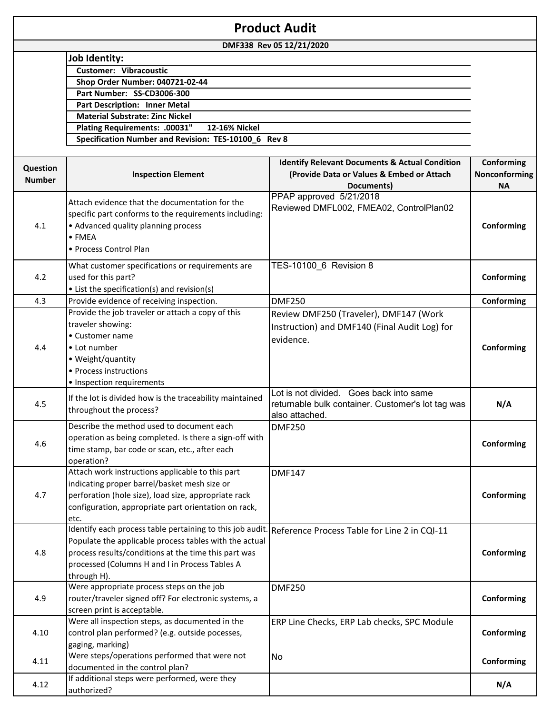| <b>Product Audit</b> |                                                          |                                                           |               |
|----------------------|----------------------------------------------------------|-----------------------------------------------------------|---------------|
|                      |                                                          | DMF338 Rev 05 12/21/2020                                  |               |
|                      | <b>Job Identity:</b>                                     |                                                           |               |
|                      | <b>Customer: Vibracoustic</b>                            |                                                           |               |
|                      | Shop Order Number: 040721-02-44                          |                                                           |               |
|                      | Part Number: SS-CD3006-300                               |                                                           |               |
|                      | <b>Part Description: Inner Metal</b>                     |                                                           |               |
|                      | <b>Material Substrate: Zinc Nickel</b>                   |                                                           |               |
|                      | Plating Requirements: .00031"<br>12-16% Nickel           |                                                           |               |
|                      | Specification Number and Revision: TES-10100_6 Rev 8     |                                                           |               |
|                      |                                                          |                                                           |               |
| Question             |                                                          | <b>Identify Relevant Documents &amp; Actual Condition</b> | Conforming    |
| <b>Number</b>        | <b>Inspection Element</b>                                | (Provide Data or Values & Embed or Attach                 | Nonconforming |
|                      |                                                          | Documents)                                                | <b>NA</b>     |
|                      | Attach evidence that the documentation for the           | PPAP approved 5/21/2018                                   |               |
|                      | specific part conforms to the requirements including:    | Reviewed DMFL002, FMEA02, ControlPlan02                   |               |
| 4.1                  | • Advanced quality planning process                      |                                                           | Conforming    |
|                      | $\bullet$ FMEA                                           |                                                           |               |
|                      | • Process Control Plan                                   |                                                           |               |
|                      |                                                          |                                                           |               |
|                      | What customer specifications or requirements are         | TES-10100_6 Revision 8                                    |               |
| 4.2                  | used for this part?                                      |                                                           | Conforming    |
|                      | • List the specification(s) and revision(s)              |                                                           |               |
| 4.3                  | Provide evidence of receiving inspection.                | <b>DMF250</b>                                             | Conforming    |
|                      | Provide the job traveler or attach a copy of this        | Review DMF250 (Traveler), DMF147 (Work                    |               |
|                      | traveler showing:                                        | Instruction) and DMF140 (Final Audit Log) for             |               |
|                      | • Customer name                                          |                                                           |               |
| 4.4                  | • Lot number                                             | evidence.                                                 | Conforming    |
|                      | • Weight/quantity                                        |                                                           |               |
|                      | • Process instructions                                   |                                                           |               |
|                      | • Inspection requirements                                |                                                           |               |
|                      |                                                          | Lot is not divided. Goes back into same                   |               |
| 4.5                  | If the lot is divided how is the traceability maintained | returnable bulk container. Customer's lot tag was         | N/A           |
|                      | throughout the process?                                  | also attached.                                            |               |
|                      | Describe the method used to document each                | <b>DMF250</b>                                             |               |
|                      | operation as being completed. Is there a sign-off with   |                                                           |               |
| 4.6                  | time stamp, bar code or scan, etc., after each           |                                                           | Conforming    |
|                      | operation?                                               |                                                           |               |
|                      | Attach work instructions applicable to this part         | <b>DMF147</b>                                             |               |
|                      | indicating proper barrel/basket mesh size or             |                                                           |               |
| 4.7                  | perforation (hole size), load size, appropriate rack     |                                                           | Conforming    |
|                      | configuration, appropriate part orientation on rack,     |                                                           |               |
|                      | etc.                                                     |                                                           |               |
|                      | Identify each process table pertaining to this job audit | Reference Process Table for Line 2 in CQI-11              |               |
|                      | Populate the applicable process tables with the actual   |                                                           |               |
| 4.8                  | process results/conditions at the time this part was     |                                                           | Conforming    |
|                      | processed (Columns H and I in Process Tables A           |                                                           |               |
|                      | through H).                                              |                                                           |               |
|                      | Were appropriate process steps on the job                | <b>DMF250</b>                                             |               |
| 4.9                  | router/traveler signed off? For electronic systems, a    |                                                           | Conforming    |
|                      | screen print is acceptable.                              |                                                           |               |
|                      | Were all inspection steps, as documented in the          | ERP Line Checks, ERP Lab checks, SPC Module               |               |
| 4.10                 | control plan performed? (e.g. outside pocesses,          |                                                           | Conforming    |
|                      | gaging, marking)                                         |                                                           |               |
|                      | Were steps/operations performed that were not            | <b>No</b>                                                 |               |
| 4.11                 | documented in the control plan?                          |                                                           | Conforming    |
|                      | If additional steps were performed, were they            |                                                           |               |
| 4.12                 | authorized?                                              |                                                           | N/A           |
|                      |                                                          |                                                           |               |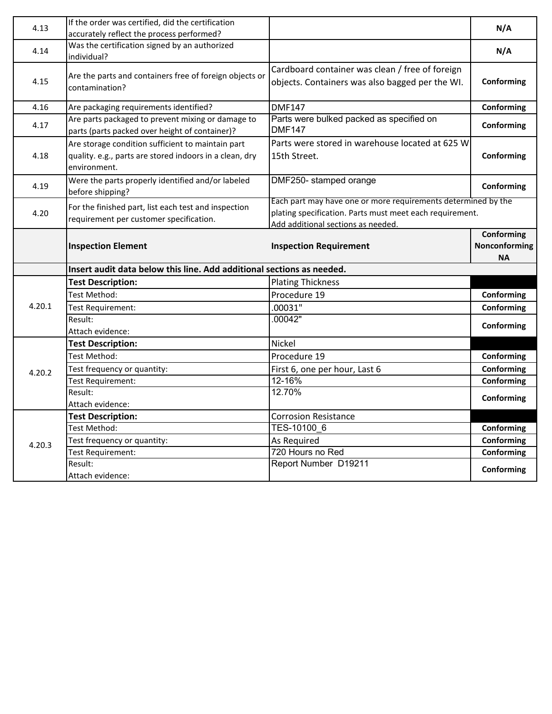| 4.13   | If the order was certified, did the certification<br>accurately reflect the process performed?                               |                                                                                                                                                                 | N/A                                      |
|--------|------------------------------------------------------------------------------------------------------------------------------|-----------------------------------------------------------------------------------------------------------------------------------------------------------------|------------------------------------------|
| 4.14   | Was the certification signed by an authorized<br>individual?                                                                 |                                                                                                                                                                 | N/A                                      |
| 4.15   | Are the parts and containers free of foreign objects or<br>contamination?                                                    | Cardboard container was clean / free of foreign<br>objects. Containers was also bagged per the WI.                                                              | Conforming                               |
| 4.16   | Are packaging requirements identified?                                                                                       | <b>DMF147</b>                                                                                                                                                   | Conforming                               |
| 4.17   | Are parts packaged to prevent mixing or damage to<br>parts (parts packed over height of container)?                          | Parts were bulked packed as specified on<br><b>DMF147</b>                                                                                                       | Conforming                               |
| 4.18   | Are storage condition sufficient to maintain part<br>quality. e.g., parts are stored indoors in a clean, dry<br>environment. | Parts were stored in warehouse located at 625 W<br>15th Street.                                                                                                 | Conforming                               |
| 4.19   | Were the parts properly identified and/or labeled<br>before shipping?                                                        | DMF250- stamped orange                                                                                                                                          | Conforming                               |
| 4.20   | For the finished part, list each test and inspection<br>requirement per customer specification.                              | Each part may have one or more requirements determined by the<br>plating specification. Parts must meet each requirement.<br>Add additional sections as needed. |                                          |
|        | <b>Inspection Element</b>                                                                                                    | <b>Inspection Requirement</b>                                                                                                                                   | Conforming<br>Nonconforming<br><b>NA</b> |
|        | Insert audit data below this line. Add additional sections as needed.                                                        |                                                                                                                                                                 |                                          |
|        | <b>Test Description:</b>                                                                                                     | <b>Plating Thickness</b>                                                                                                                                        |                                          |
|        | <b>Test Method:</b>                                                                                                          | Procedure 19                                                                                                                                                    | Conforming                               |
| 4.20.1 | <b>Test Requirement:</b>                                                                                                     | .00031"                                                                                                                                                         | Conforming                               |
|        | Result:                                                                                                                      | .00042"                                                                                                                                                         | Conforming                               |
|        | Attach evidence:                                                                                                             |                                                                                                                                                                 |                                          |
|        | <b>Test Description:</b>                                                                                                     | Nickel                                                                                                                                                          |                                          |
|        | Test Method:                                                                                                                 | Procedure 19                                                                                                                                                    | Conforming                               |
| 4.20.2 | Test frequency or quantity:                                                                                                  | First 6, one per hour, Last 6                                                                                                                                   | Conforming                               |
|        | <b>Test Requirement:</b>                                                                                                     | 12-16%                                                                                                                                                          | Conforming                               |
|        | Result:                                                                                                                      | 12.70%                                                                                                                                                          | Conforming                               |
|        |                                                                                                                              |                                                                                                                                                                 |                                          |
|        | Attach evidence:                                                                                                             |                                                                                                                                                                 |                                          |
|        | <b>Test Description:</b>                                                                                                     | <b>Corrosion Resistance</b>                                                                                                                                     |                                          |
|        | Test Method:                                                                                                                 | TES-10100 6                                                                                                                                                     | Conforming                               |
| 4.20.3 | Test frequency or quantity:                                                                                                  | As Required                                                                                                                                                     | Conforming                               |
|        | <b>Test Requirement:</b><br>Result:                                                                                          | 720 Hours no Red<br>Report Number D19211                                                                                                                        | Conforming                               |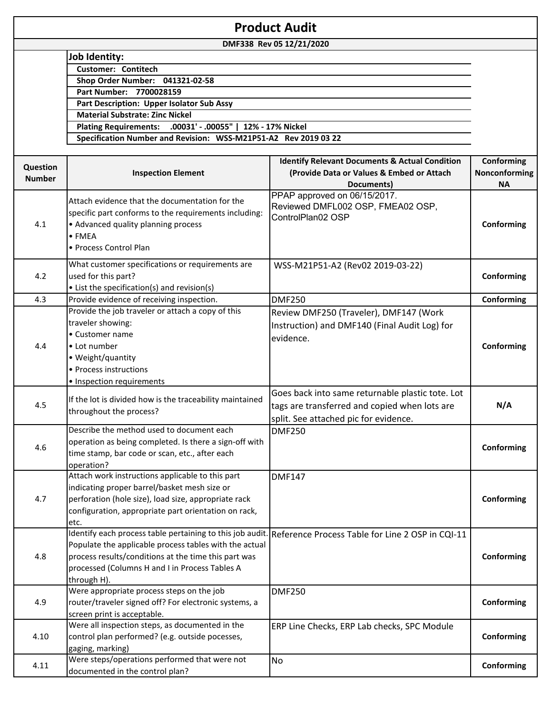| <b>Product Audit</b> |                                                                 |                                                           |               |
|----------------------|-----------------------------------------------------------------|-----------------------------------------------------------|---------------|
|                      |                                                                 | DMF338 Rev 05 12/21/2020                                  |               |
|                      | Job Identity:                                                   |                                                           |               |
|                      | <b>Customer: Contitech</b>                                      |                                                           |               |
|                      | Shop Order Number: 041321-02-58                                 |                                                           |               |
|                      | Part Number: 7700028159                                         |                                                           |               |
|                      | Part Description: Upper Isolator Sub Assy                       |                                                           |               |
|                      | <b>Material Substrate: Zinc Nickel</b>                          |                                                           |               |
|                      | Plating Requirements: .00031' - .00055"                         | 12% - 17% Nickel                                          |               |
|                      | Specification Number and Revision: WSS-M21P51-A2 Rev 2019 03 22 |                                                           |               |
|                      |                                                                 |                                                           |               |
| Question             |                                                                 | <b>Identify Relevant Documents &amp; Actual Condition</b> | Conforming    |
| <b>Number</b>        | <b>Inspection Element</b>                                       | (Provide Data or Values & Embed or Attach                 | Nonconforming |
|                      |                                                                 | Documents)                                                | <b>NA</b>     |
|                      | Attach evidence that the documentation for the                  | PPAP approved on 06/15/2017.                              |               |
|                      | specific part conforms to the requirements including:           | Reviewed DMFL002 OSP, FMEA02 OSP,<br>ControlPlan02 OSP    |               |
| 4.1                  | • Advanced quality planning process                             |                                                           | Conforming    |
|                      | $\bullet$ FMEA                                                  |                                                           |               |
|                      | • Process Control Plan                                          |                                                           |               |
|                      |                                                                 |                                                           |               |
|                      | What customer specifications or requirements are                | WSS-M21P51-A2 (Rev02 2019-03-22)                          |               |
| 4.2                  | used for this part?                                             |                                                           | Conforming    |
|                      | • List the specification(s) and revision(s)                     |                                                           |               |
| 4.3                  | Provide evidence of receiving inspection.                       | <b>DMF250</b>                                             | Conforming    |
|                      | Provide the job traveler or attach a copy of this               | Review DMF250 (Traveler), DMF147 (Work                    |               |
|                      | traveler showing:                                               | Instruction) and DMF140 (Final Audit Log) for             |               |
|                      | • Customer name                                                 | evidence.                                                 |               |
| 4.4                  | • Lot number                                                    |                                                           | Conforming    |
|                      | • Weight/quantity                                               |                                                           |               |
|                      | • Process instructions                                          |                                                           |               |
|                      | · Inspection requirements                                       |                                                           |               |
|                      | If the lot is divided how is the traceability maintained        | Goes back into same returnable plastic tote. Lot          |               |
| 4.5                  | throughout the process?                                         | tags are transferred and copied when lots are             | N/A           |
|                      |                                                                 | split. See attached pic for evidence.                     |               |
|                      | Describe the method used to document each                       | <b>DMF250</b>                                             |               |
|                      | operation as being completed. Is there a sign-off with          |                                                           |               |
| 4.6                  | time stamp, bar code or scan, etc., after each                  |                                                           | Conforming    |
|                      | operation?                                                      |                                                           |               |
|                      | Attach work instructions applicable to this part                | <b>DMF147</b>                                             |               |
|                      | indicating proper barrel/basket mesh size or                    |                                                           |               |
| 4.7                  | perforation (hole size), load size, appropriate rack            |                                                           | Conforming    |
|                      | configuration, appropriate part orientation on rack,            |                                                           |               |
|                      | etc.                                                            |                                                           |               |
|                      | Identify each process table pertaining to this job audit.       | Reference Process Table for Line 2 OSP in CQI-11          |               |
|                      | Populate the applicable process tables with the actual          |                                                           |               |
| 4.8                  | process results/conditions at the time this part was            |                                                           | Conforming    |
|                      | processed (Columns H and I in Process Tables A                  |                                                           |               |
|                      | through H).                                                     |                                                           |               |
|                      | Were appropriate process steps on the job                       | <b>DMF250</b>                                             |               |
| 4.9                  | router/traveler signed off? For electronic systems, a           |                                                           | Conforming    |
|                      | screen print is acceptable.                                     |                                                           |               |
|                      | Were all inspection steps, as documented in the                 | ERP Line Checks, ERP Lab checks, SPC Module               |               |
| 4.10                 | control plan performed? (e.g. outside pocesses,                 |                                                           | Conforming    |
|                      | gaging, marking)                                                |                                                           |               |
| 4.11                 | Were steps/operations performed that were not                   | <b>No</b>                                                 | Conforming    |
|                      | documented in the control plan?                                 |                                                           |               |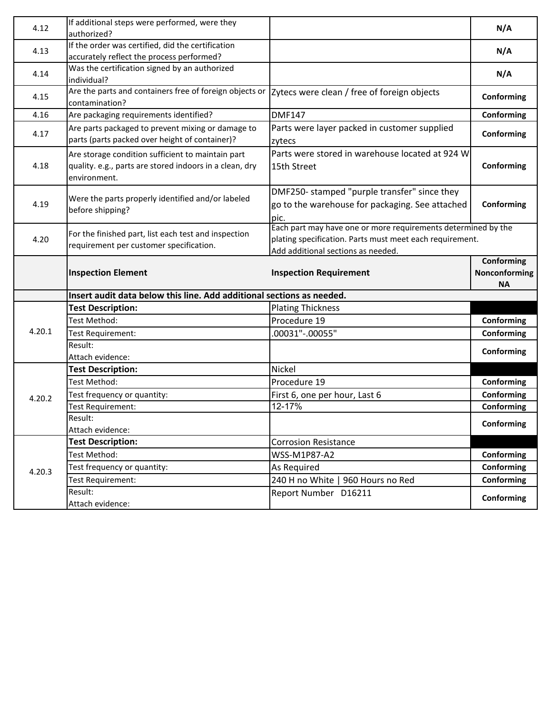| 4.12   | If additional steps were performed, were they<br>authorized?                                                                 |                                                                                                                                                                 | N/A                        |
|--------|------------------------------------------------------------------------------------------------------------------------------|-----------------------------------------------------------------------------------------------------------------------------------------------------------------|----------------------------|
|        | If the order was certified, did the certification                                                                            |                                                                                                                                                                 |                            |
| 4.13   | accurately reflect the process performed?                                                                                    |                                                                                                                                                                 | N/A                        |
| 4.14   | Was the certification signed by an authorized<br>individual?                                                                 |                                                                                                                                                                 | N/A                        |
| 4.15   | Are the parts and containers free of foreign objects or<br>contamination?                                                    | Zytecs were clean / free of foreign objects                                                                                                                     | Conforming                 |
| 4.16   | Are packaging requirements identified?                                                                                       | <b>DMF147</b>                                                                                                                                                   | Conforming                 |
| 4.17   | Are parts packaged to prevent mixing or damage to<br>parts (parts packed over height of container)?                          | Parts were layer packed in customer supplied<br>zytecs                                                                                                          | Conforming                 |
| 4.18   | Are storage condition sufficient to maintain part<br>quality. e.g., parts are stored indoors in a clean, dry<br>environment. | Parts were stored in warehouse located at 924 W<br>15th Street                                                                                                  | Conforming                 |
| 4.19   | Were the parts properly identified and/or labeled<br>before shipping?                                                        | DMF250- stamped "purple transfer" since they<br>go to the warehouse for packaging. See attached<br>pic.                                                         | Conforming                 |
| 4.20   | For the finished part, list each test and inspection<br>requirement per customer specification.                              | Each part may have one or more requirements determined by the<br>plating specification. Parts must meet each requirement.<br>Add additional sections as needed. |                            |
|        |                                                                                                                              |                                                                                                                                                                 | Conforming                 |
|        | <b>Inspection Element</b>                                                                                                    | <b>Inspection Requirement</b>                                                                                                                                   | Nonconforming<br><b>NA</b> |
|        | Insert audit data below this line. Add additional sections as needed.                                                        |                                                                                                                                                                 |                            |
|        | <b>Test Description:</b>                                                                                                     | <b>Plating Thickness</b>                                                                                                                                        |                            |
|        | Test Method:                                                                                                                 | Procedure 19                                                                                                                                                    | Conforming                 |
| 4.20.1 | Test Requirement:                                                                                                            | 00031"-.00055"                                                                                                                                                  | Conforming                 |
|        | Result:<br>Attach evidence:                                                                                                  |                                                                                                                                                                 | Conforming                 |
|        | <b>Test Description:</b>                                                                                                     | Nickel                                                                                                                                                          |                            |
|        | Test Method:                                                                                                                 | Procedure 19                                                                                                                                                    | Conforming                 |
|        | Test frequency or quantity:                                                                                                  | First 6, one per hour, Last 6                                                                                                                                   | Conforming                 |
| 4.20.2 | Test Requirement:                                                                                                            | 12-17%                                                                                                                                                          | Conforming                 |
|        | Result:                                                                                                                      |                                                                                                                                                                 |                            |
|        | Attach evidence:                                                                                                             |                                                                                                                                                                 | Conforming                 |
|        | <b>Test Description:</b>                                                                                                     | <b>Corrosion Resistance</b>                                                                                                                                     |                            |
|        | Test Method:                                                                                                                 | WSS-M1P87-A2                                                                                                                                                    | Conforming                 |
|        | Test frequency or quantity:                                                                                                  | As Required                                                                                                                                                     | Conforming                 |
| 4.20.3 | Test Requirement:<br>Result:                                                                                                 | 240 H no White   960 Hours no Red<br>Report Number D16211                                                                                                       | Conforming                 |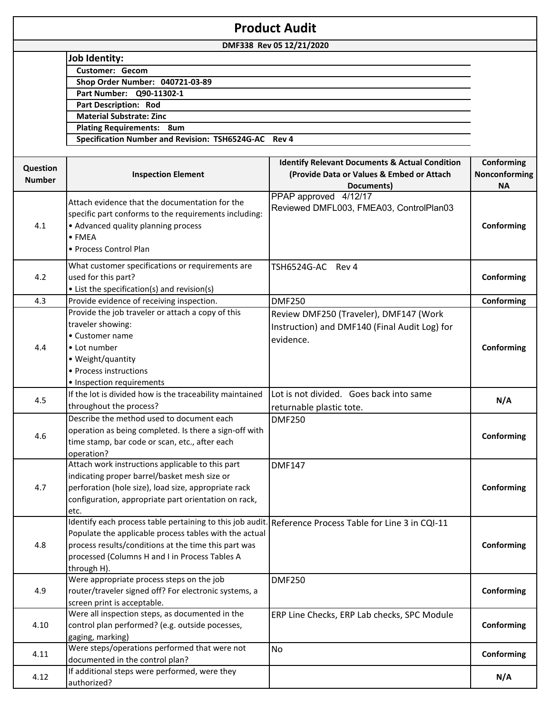|                           |                                                                                                        | <b>Product Audit</b>                                                                                                 |                                          |
|---------------------------|--------------------------------------------------------------------------------------------------------|----------------------------------------------------------------------------------------------------------------------|------------------------------------------|
|                           |                                                                                                        | DMF338 Rev 05 12/21/2020                                                                                             |                                          |
|                           | <b>Job Identity:</b>                                                                                   |                                                                                                                      |                                          |
|                           | <b>Customer: Gecom</b>                                                                                 |                                                                                                                      |                                          |
|                           | Shop Order Number: 040721-03-89                                                                        |                                                                                                                      |                                          |
|                           | Part Number: Q90-11302-1                                                                               |                                                                                                                      |                                          |
|                           | <b>Part Description: Rod</b>                                                                           |                                                                                                                      |                                          |
|                           | <b>Material Substrate: Zinc</b>                                                                        |                                                                                                                      |                                          |
|                           | <b>Plating Requirements: 8um</b>                                                                       |                                                                                                                      |                                          |
|                           | Specification Number and Revision: TSH6524G-AC Rev 4                                                   |                                                                                                                      |                                          |
|                           |                                                                                                        |                                                                                                                      |                                          |
| Question<br><b>Number</b> | <b>Inspection Element</b>                                                                              | <b>Identify Relevant Documents &amp; Actual Condition</b><br>(Provide Data or Values & Embed or Attach<br>Documents) | Conforming<br>Nonconforming<br><b>NA</b> |
|                           | Attach evidence that the documentation for the                                                         | PPAP approved 4/12/17                                                                                                |                                          |
|                           |                                                                                                        | Reviewed DMFL003, FMEA03, ControlPlan03                                                                              |                                          |
|                           | specific part conforms to the requirements including:                                                  |                                                                                                                      |                                          |
| 4.1                       | • Advanced quality planning process<br>$\bullet$ FMEA                                                  |                                                                                                                      | Conforming                               |
|                           |                                                                                                        |                                                                                                                      |                                          |
|                           | • Process Control Plan                                                                                 |                                                                                                                      |                                          |
|                           | What customer specifications or requirements are                                                       | TSH6524G-AC Rev 4                                                                                                    |                                          |
| 4.2                       | used for this part?                                                                                    |                                                                                                                      | Conforming                               |
|                           | • List the specification(s) and revision(s)                                                            |                                                                                                                      |                                          |
| 4.3                       | Provide evidence of receiving inspection.                                                              | <b>DMF250</b>                                                                                                        | Conforming                               |
|                           | Provide the job traveler or attach a copy of this                                                      | Review DMF250 (Traveler), DMF147 (Work                                                                               |                                          |
|                           | traveler showing:                                                                                      | Instruction) and DMF140 (Final Audit Log) for                                                                        |                                          |
|                           | • Customer name                                                                                        | evidence.                                                                                                            |                                          |
| 4.4                       | • Lot number                                                                                           |                                                                                                                      | Conforming                               |
|                           | • Weight/quantity                                                                                      |                                                                                                                      |                                          |
|                           | • Process instructions                                                                                 |                                                                                                                      |                                          |
|                           | • Inspection requirements                                                                              |                                                                                                                      |                                          |
|                           | If the lot is divided how is the traceability maintained                                               | Lot is not divided. Goes back into same                                                                              |                                          |
| 4.5                       | throughout the process?                                                                                | returnable plastic tote.                                                                                             | N/A                                      |
|                           | Describe the method used to document each                                                              | <b>DMF250</b>                                                                                                        |                                          |
|                           | operation as being completed. Is there a sign-off with                                                 |                                                                                                                      |                                          |
| 4.6                       | time stamp, bar code or scan, etc., after each                                                         |                                                                                                                      | Conforming                               |
|                           | operation?                                                                                             |                                                                                                                      |                                          |
|                           | Attach work instructions applicable to this part                                                       | <b>DMF147</b>                                                                                                        |                                          |
|                           | indicating proper barrel/basket mesh size or                                                           |                                                                                                                      |                                          |
| 4.7                       | perforation (hole size), load size, appropriate rack                                                   |                                                                                                                      | Conforming                               |
|                           | configuration, appropriate part orientation on rack,                                                   |                                                                                                                      |                                          |
|                           | etc.                                                                                                   |                                                                                                                      |                                          |
|                           | Identify each process table pertaining to this job audit. Reference Process Table for Line 3 in CQI-11 |                                                                                                                      |                                          |
|                           | Populate the applicable process tables with the actual                                                 |                                                                                                                      |                                          |
| 4.8                       | process results/conditions at the time this part was                                                   |                                                                                                                      | Conforming                               |
|                           | processed (Columns H and I in Process Tables A                                                         |                                                                                                                      |                                          |
|                           | through H).                                                                                            |                                                                                                                      |                                          |
|                           | Were appropriate process steps on the job                                                              | <b>DMF250</b>                                                                                                        |                                          |
| 4.9                       | router/traveler signed off? For electronic systems, a                                                  |                                                                                                                      | Conforming                               |
|                           | screen print is acceptable.                                                                            |                                                                                                                      |                                          |
|                           | Were all inspection steps, as documented in the                                                        | ERP Line Checks, ERP Lab checks, SPC Module                                                                          |                                          |
| 4.10                      | control plan performed? (e.g. outside pocesses,                                                        |                                                                                                                      | Conforming                               |
|                           | gaging, marking)                                                                                       |                                                                                                                      |                                          |
|                           | Were steps/operations performed that were not                                                          | No                                                                                                                   |                                          |
| 4.11                      | documented in the control plan?                                                                        |                                                                                                                      | Conforming                               |
|                           | If additional steps were performed, were they                                                          |                                                                                                                      |                                          |
| 4.12                      | authorized?                                                                                            |                                                                                                                      | N/A                                      |
|                           |                                                                                                        |                                                                                                                      |                                          |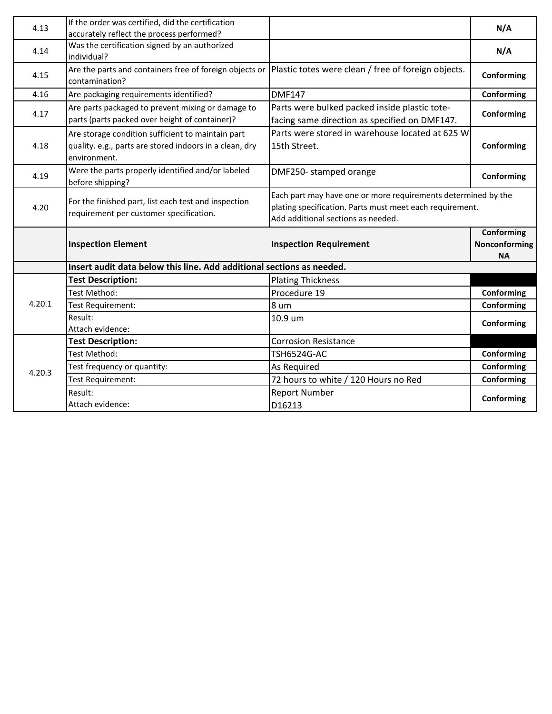| 4.13   | If the order was certified, did the certification<br>accurately reflect the process performed?                               |                                                                                                                                                                 | N/A                                      |
|--------|------------------------------------------------------------------------------------------------------------------------------|-----------------------------------------------------------------------------------------------------------------------------------------------------------------|------------------------------------------|
| 4.14   | Was the certification signed by an authorized<br>individual?                                                                 |                                                                                                                                                                 | N/A                                      |
| 4.15   | Are the parts and containers free of foreign objects or<br>contamination?                                                    | Plastic totes were clean / free of foreign objects.                                                                                                             | Conforming                               |
| 4.16   | Are packaging requirements identified?                                                                                       | <b>DMF147</b>                                                                                                                                                   | Conforming                               |
| 4.17   | Are parts packaged to prevent mixing or damage to<br>parts (parts packed over height of container)?                          | Parts were bulked packed inside plastic tote-<br>facing same direction as specified on DMF147.                                                                  | Conforming                               |
| 4.18   | Are storage condition sufficient to maintain part<br>quality. e.g., parts are stored indoors in a clean, dry<br>environment. | Parts were stored in warehouse located at 625 W<br>15th Street.                                                                                                 | Conforming                               |
| 4.19   | Were the parts properly identified and/or labeled<br>before shipping?                                                        | DMF250- stamped orange                                                                                                                                          | Conforming                               |
| 4.20   | For the finished part, list each test and inspection<br>requirement per customer specification.                              | Each part may have one or more requirements determined by the<br>plating specification. Parts must meet each requirement.<br>Add additional sections as needed. |                                          |
|        | <b>Inspection Element</b>                                                                                                    | <b>Inspection Requirement</b>                                                                                                                                   | Conforming<br>Nonconforming<br><b>NA</b> |
|        | Insert audit data below this line. Add additional sections as needed.                                                        |                                                                                                                                                                 |                                          |
|        | <b>Test Description:</b>                                                                                                     | <b>Plating Thickness</b>                                                                                                                                        |                                          |
|        | <b>Test Method:</b>                                                                                                          | Procedure 19                                                                                                                                                    | Conforming                               |
| 4.20.1 | Test Requirement:                                                                                                            | 8 um                                                                                                                                                            | Conforming                               |
|        | Result:<br>Attach evidence:                                                                                                  | 10.9 um                                                                                                                                                         | Conforming                               |
|        | <b>Test Description:</b>                                                                                                     | <b>Corrosion Resistance</b>                                                                                                                                     |                                          |
|        | <b>Test Method:</b>                                                                                                          | <b>TSH6524G-AC</b>                                                                                                                                              | Conforming                               |
|        |                                                                                                                              |                                                                                                                                                                 |                                          |
|        | Test frequency or quantity:                                                                                                  | As Required                                                                                                                                                     | Conforming                               |
| 4.20.3 | <b>Test Requirement:</b>                                                                                                     | 72 hours to white / 120 Hours no Red                                                                                                                            | Conforming                               |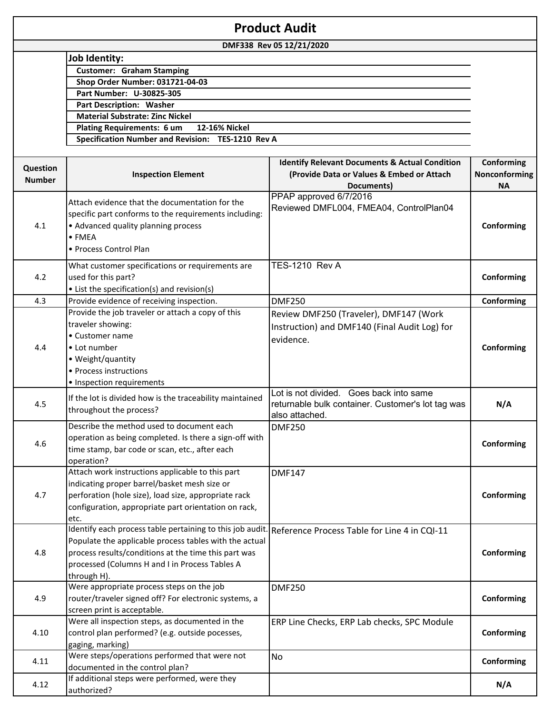|                           |                                                                                                                                                                                                                                              | <b>Product Audit</b>                                                                                                 |                                          |
|---------------------------|----------------------------------------------------------------------------------------------------------------------------------------------------------------------------------------------------------------------------------------------|----------------------------------------------------------------------------------------------------------------------|------------------------------------------|
|                           |                                                                                                                                                                                                                                              | DMF338 Rev 05 12/21/2020                                                                                             |                                          |
|                           | <b>Job Identity:</b>                                                                                                                                                                                                                         |                                                                                                                      |                                          |
|                           | <b>Customer: Graham Stamping</b>                                                                                                                                                                                                             |                                                                                                                      |                                          |
|                           | Shop Order Number: 031721-04-03                                                                                                                                                                                                              |                                                                                                                      |                                          |
|                           | Part Number: U-30825-305                                                                                                                                                                                                                     |                                                                                                                      |                                          |
|                           | Part Description: Washer                                                                                                                                                                                                                     |                                                                                                                      |                                          |
|                           | <b>Material Substrate: Zinc Nickel</b>                                                                                                                                                                                                       |                                                                                                                      |                                          |
|                           | 12-16% Nickel<br><b>Plating Requirements: 6 um</b>                                                                                                                                                                                           |                                                                                                                      |                                          |
|                           | Specification Number and Revision: TES-1210 Rev A                                                                                                                                                                                            |                                                                                                                      |                                          |
| Question<br><b>Number</b> | <b>Inspection Element</b>                                                                                                                                                                                                                    | <b>Identify Relevant Documents &amp; Actual Condition</b><br>(Provide Data or Values & Embed or Attach<br>Documents) | Conforming<br>Nonconforming<br><b>NA</b> |
| 4.1                       | Attach evidence that the documentation for the<br>specific part conforms to the requirements including:<br>• Advanced quality planning process<br>$\bullet$ FMFA<br>• Process Control Plan                                                   | PPAP approved 6/7/2016<br>Reviewed DMFL004, FMEA04, ControlPlan04                                                    | Conforming                               |
| 4.2                       | What customer specifications or requirements are<br>used for this part?<br>• List the specification(s) and revision(s)                                                                                                                       | <b>TES-1210 Rev A</b>                                                                                                | Conforming                               |
| 4.3                       | Provide evidence of receiving inspection.                                                                                                                                                                                                    | <b>DMF250</b>                                                                                                        | Conforming                               |
| 4.4                       | Provide the job traveler or attach a copy of this<br>traveler showing:<br>• Customer name<br>• Lot number<br>• Weight/quantity<br>• Process instructions<br>· Inspection requirements                                                        | Review DMF250 (Traveler), DMF147 (Work<br>Instruction) and DMF140 (Final Audit Log) for<br>evidence.                 | Conforming                               |
| 4.5                       | If the lot is divided how is the traceability maintained<br>throughout the process?                                                                                                                                                          | Lot is not divided. Goes back into same<br>returnable bulk container. Customer's lot tag was<br>also attached.       | N/A                                      |
| 4.6                       | Describe the method used to document each<br>operation as being completed. Is there a sign-off with<br>time stamp, bar code or scan, etc., after each<br>operation?                                                                          | <b>DMF250</b>                                                                                                        | Conforming                               |
| 4.7                       | Attach work instructions applicable to this part<br>indicating proper barrel/basket mesh size or<br>perforation (hole size), load size, appropriate rack<br>configuration, appropriate part orientation on rack,<br>etc.                     | <b>DMF147</b>                                                                                                        | Conforming                               |
| 4.8                       | Identify each process table pertaining to this job audit.<br>Populate the applicable process tables with the actual<br>process results/conditions at the time this part was<br>processed (Columns H and I in Process Tables A<br>through H). | Reference Process Table for Line 4 in CQI-11                                                                         | Conforming                               |
| 4.9                       | Were appropriate process steps on the job<br>router/traveler signed off? For electronic systems, a<br>screen print is acceptable.                                                                                                            | <b>DMF250</b>                                                                                                        | Conforming                               |
| 4.10                      | Were all inspection steps, as documented in the<br>control plan performed? (e.g. outside pocesses,<br>gaging, marking)                                                                                                                       | ERP Line Checks, ERP Lab checks, SPC Module                                                                          | Conforming                               |
| 4.11                      | Were steps/operations performed that were not<br>documented in the control plan?                                                                                                                                                             | No                                                                                                                   | Conforming                               |
| 4.12                      | If additional steps were performed, were they<br>authorized?                                                                                                                                                                                 |                                                                                                                      | N/A                                      |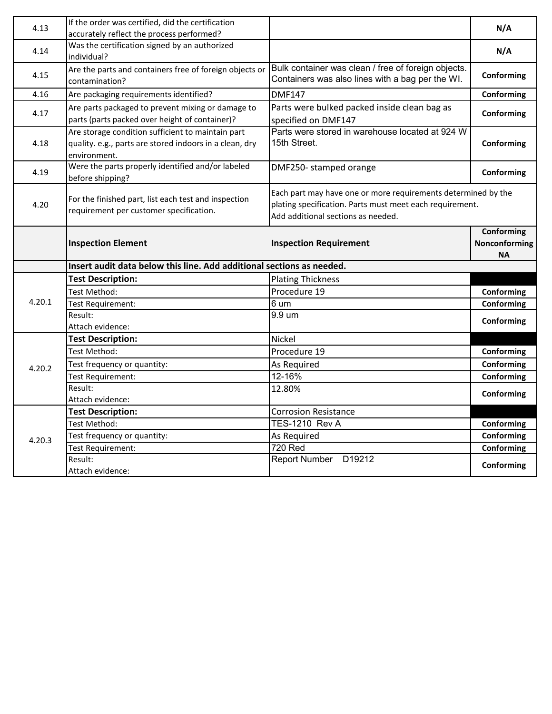| 4.13   | If the order was certified, did the certification<br>accurately reflect the process performed?                               |                                                                                                                                                                 | N/A                               |
|--------|------------------------------------------------------------------------------------------------------------------------------|-----------------------------------------------------------------------------------------------------------------------------------------------------------------|-----------------------------------|
| 4.14   | Was the certification signed by an authorized<br>individual?                                                                 |                                                                                                                                                                 | N/A                               |
| 4.15   | Are the parts and containers free of foreign objects or<br>contamination?                                                    | Bulk container was clean / free of foreign objects.<br>Containers was also lines with a bag per the WI.                                                         | Conforming                        |
| 4.16   | Are packaging requirements identified?                                                                                       | <b>DMF147</b>                                                                                                                                                   | Conforming                        |
| 4.17   | Are parts packaged to prevent mixing or damage to<br>parts (parts packed over height of container)?                          | Parts were bulked packed inside clean bag as<br>specified on DMF147                                                                                             | Conforming                        |
| 4.18   | Are storage condition sufficient to maintain part<br>quality. e.g., parts are stored indoors in a clean, dry<br>environment. | Parts were stored in warehouse located at 924 W<br>15th Street.                                                                                                 | Conforming                        |
| 4.19   | Were the parts properly identified and/or labeled<br>before shipping?                                                        | DMF250- stamped orange                                                                                                                                          | Conforming                        |
| 4.20   | For the finished part, list each test and inspection<br>requirement per customer specification.                              | Each part may have one or more requirements determined by the<br>plating specification. Parts must meet each requirement.<br>Add additional sections as needed. |                                   |
|        | <b>Inspection Element</b>                                                                                                    | <b>Inspection Requirement</b>                                                                                                                                   | Conforming<br>Nonconforming<br>ΝA |
|        | Insert audit data below this line. Add additional sections as needed.                                                        |                                                                                                                                                                 |                                   |
|        | <b>Test Description:</b>                                                                                                     | <b>Plating Thickness</b>                                                                                                                                        |                                   |
|        | Test Method:                                                                                                                 | Procedure 19                                                                                                                                                    | Conforming                        |
| 4.20.1 | Test Requirement:                                                                                                            |                                                                                                                                                                 |                                   |
|        |                                                                                                                              | 6 um                                                                                                                                                            | Conforming                        |
|        | Result:                                                                                                                      | 9.9 um                                                                                                                                                          |                                   |
|        | Attach evidence:                                                                                                             |                                                                                                                                                                 | Conforming                        |
|        | <b>Test Description:</b>                                                                                                     | Nickel                                                                                                                                                          |                                   |
|        | Test Method:                                                                                                                 | Procedure 19                                                                                                                                                    | Conforming                        |
| 4.20.2 | Test frequency or quantity:                                                                                                  | As Required                                                                                                                                                     | Conforming                        |
|        | Test Requirement:                                                                                                            | 12-16%                                                                                                                                                          | Conforming                        |
|        | Result:<br>Attach evidence:                                                                                                  | 12.80%                                                                                                                                                          | Conforming                        |
|        | <b>Test Description:</b>                                                                                                     | <b>Corrosion Resistance</b>                                                                                                                                     |                                   |
|        | Test Method:                                                                                                                 | <b>TES-1210 Rev A</b>                                                                                                                                           | Conforming                        |
| 4.20.3 | Test frequency or quantity:                                                                                                  | As Required                                                                                                                                                     | Conforming                        |
|        | Test Requirement:<br>Result:                                                                                                 | <b>720 Red</b><br>Report Number D19212                                                                                                                          | Conforming                        |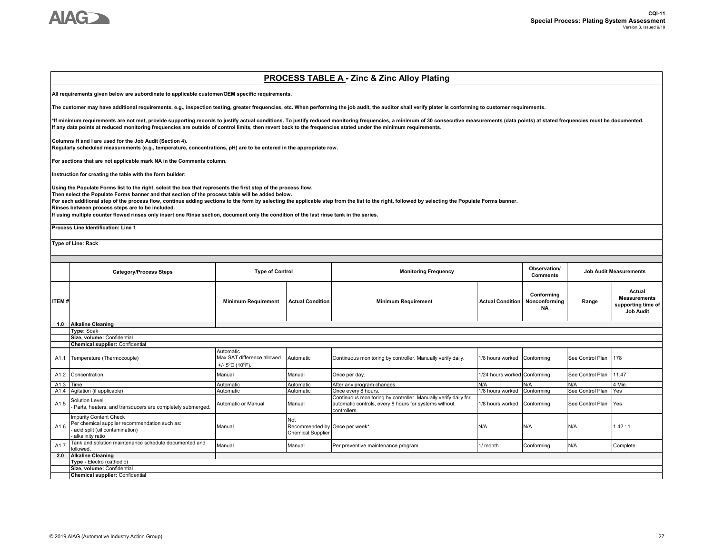

#### **Category/Process Steps Observation/ Comments ITEM # Minimum Requirement Actual Condition Minimum Requirement Actual Condition Conforming Nonconforming NA Range Actual Measurements supporting time of Job Audit 1.0 Alkaline Cleaning** A1.1 Temperature (Thermocouple) Automatic Max SAT difference allowed  $+/- 5^{\circ}$ C (10 $^{\circ}$ F). Automatic Continuous monitoring by controller. Manually verify daily. 1/8 hours worked Conforming See Control Plan 178 A1.2 Concentration Manual Manual Once per day. 1/24 hours worked Conforming See Control Plan 11.47 A1.3 Time Automatic Automatic After any program changes. N/A N/A N/A 4 Min. A1.4 Agitation (if applicable) **Automatic** Automatic Automatic **Once every 8 hours.** 1/8 hours worked Conforming See Control Plan Yes A<sub>1.5</sub> Solution Level - Parts, heaters, and transducers are completely submerged. Automatic or Manual Manual Manual Continuous monitoring by controller. Manually verify daily for automatic controls, every 8 hours for systems without controllers. 1/8 hours worked Conforming See Control Plan Yes A1.6 Impurity Content Check Per chemical supplier recommendation such as: acid split (oil contamination) alkalinity ratio Manual Not Recommended by Once per week\* Chemical Supplier Once per week\* N/A N/A N/A 1.42 : 1 A1.7 Tank and solution maintenance schedule documented and<br>followed. The means of the contour maintenance program. The complete conforming N/A Complete Conforming N/A Complete Complete **2.0 Alkaline Cleaning Chemical supplier:** Confidential **Type -** Electro (cathodic) **Size, volume:** Confidential **Chemical supplier:** Confidential **Type of Control Monitoring Frequency Job Audit Measurements Type:** Soak **Size, volume:** Confidential **PROCESS TABLE A - Zinc & Zinc Alloy Plating All requirements given below are subordinate to applicable customer/OEM specific requirements. The customer may have additional requirements, e.g., inspection testing, greater frequencies, etc. When performing the job audit, the auditor shall verify plater is conforming to customer requirements.** \*If minimum requirements are not met, provide supporting records to justify actual conditions. To justify reduced monitoring frequencies, a minimum of 30 consecutive measurements (data points) at stated frequencies must be **If any data points at reduced monitoring frequencies are outside of control limits, then revert back to the frequencies stated under the minimum requirements. Columns H and I are used for the Job Audit (Section 4). Regularly scheduled measurements (e.g., temperature, concentrations, pH) are to be entered in the appropriate row. For sections that are not applicable mark NA in the Comments column. Instruction for creating the table with the form builder: Using the Populate Forms list to the right, select the box that represents the first step of the process flow. Then select the Populate Forms banner and that section of the process table will be added below. For each additional step of the process flow, continue adding sections to the form by selecting the applicable step from the list to the right, followed by selecting the Populate Forms banner. Rinses between process steps are to be included. If using multiple counter flowed rinses only insert one Rinse section, document only the condition of the last rinse tank in the series. Process Line Identification: Line 1 Type of Line: Rack**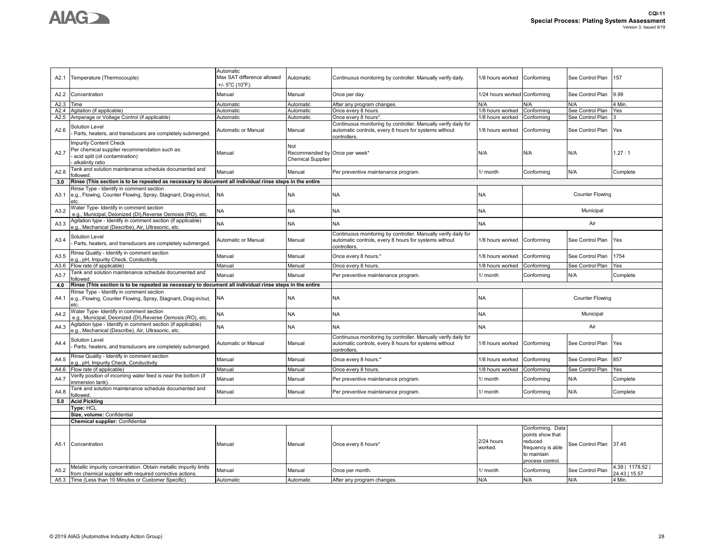

| A2.1 | Temperature (Thermocouple)                                                                                                   | Automatic<br>Max SAT difference allowed<br>+/- 5°C (10°F) | Automatic                                                        | Continuous monitoring by controller. Manually verify daily.                                                                             | 1/8 hours worked             | Conforming                                                                                             | See Control Plan       | 157            |
|------|------------------------------------------------------------------------------------------------------------------------------|-----------------------------------------------------------|------------------------------------------------------------------|-----------------------------------------------------------------------------------------------------------------------------------------|------------------------------|--------------------------------------------------------------------------------------------------------|------------------------|----------------|
| A2.2 | Concentration                                                                                                                | Manual                                                    | Manual                                                           | Once per day.                                                                                                                           | 1/24 hours worked Conforming |                                                                                                        | See Control Plan       | 9.99           |
| A2.3 | Time                                                                                                                         | Automatic                                                 | Automatic                                                        | After any program changes                                                                                                               | N/A                          | N/A                                                                                                    | N/A                    | 4 Min          |
| A2.4 | Agitation (if applicable)                                                                                                    | Automatic                                                 | Automatic                                                        | Once every 8 hours                                                                                                                      | 1/8 hours worked             | Conforming                                                                                             | See Control Plan       | Yes            |
|      | A2.5 Amperage or Voltage Control (if applicable)                                                                             | Automatic                                                 | Automatic                                                        | Once every 8 hours*                                                                                                                     | 1/8 hours worked             | Conforming                                                                                             | See Control Plan       |                |
| A2.6 | Solution Level<br>Parts, heaters, and transducers are completely submerged.                                                  | Automatic or Manual                                       | Manual                                                           | Continuous monitoring by controller. Manually verify daily for<br>automatic controls, every 8 hours for systems without<br>controllers. | 1/8 hours worked             | Conforming                                                                                             | See Control Plan       | Yes            |
| A2.7 | mpurity Content Check<br>Per chemical supplier recommendation such as:<br>acid split (oil contamination)<br>alkalinity ratio | Manual                                                    | Not<br>Recommended by Once per week*<br><b>Chemical Supplier</b> |                                                                                                                                         | N/A                          | N/A                                                                                                    | N/A                    | 1.27:1         |
| A2.8 | Tank and solution maintenance schedule documented and<br>followed                                                            | Manual                                                    | Manual                                                           | Per preventive maintenance program.                                                                                                     | 1/ month                     | Conforming                                                                                             | N/A                    | Complete       |
| 3.0  | Rinse (This section is to be repeated as necessary to document all individual rinse steps in the entire                      |                                                           |                                                                  |                                                                                                                                         |                              |                                                                                                        |                        |                |
| A3.1 | Rinse Type - Identify in comment section<br>e.g., Flowing, Counter Flowing, Spray, Stagnant, Drag-in/out,<br>etc.            | <b>NA</b>                                                 | <b>NA</b>                                                        | <b>NA</b>                                                                                                                               | NA                           |                                                                                                        | <b>Counter Flowing</b> |                |
| A3.2 | Water Type- Identify in comment section<br>e.g., Municipal, Deionized (DI), Reverse Osmosis (RO), etc.                       | <b>NA</b>                                                 | <b>NA</b>                                                        | <b>NA</b>                                                                                                                               | <b>NA</b>                    |                                                                                                        | Municipal              |                |
| A3.3 | Agitation type - Identify in comment section (if applicable)<br>e.g., Mechanical (Describe), Air, Ultrasonic, etc.           | NA                                                        | <b>NA</b>                                                        | <b>NA</b>                                                                                                                               | NA                           |                                                                                                        | Air                    |                |
| A3.4 | Solution Level<br>Parts, heaters, and transducers are completely submerged.                                                  | Automatic or Manual                                       | Manual                                                           | Continuous monitoring by controller. Manually verify daily for<br>automatic controls, every 8 hours for systems without<br>controllers  | 1/8 hours worked             | Conforming                                                                                             | See Control Plan       | Yes            |
| A3.5 | Rinse Quality - Identify in comment section<br>e.g., pH, Impurity Check, Conductivity                                        | Manual                                                    | Manual                                                           | Once every 8 hours.*                                                                                                                    | 1/8 hours worked             | Conforming                                                                                             | See Control Plan       | 1754           |
| A3.6 | Flow rate (if applicable)                                                                                                    | Manual                                                    | Manual                                                           | Once every 8 hours.                                                                                                                     | 1/8 hours worked             | Conforming                                                                                             | See Control Plan       | Yes            |
| A3.7 | Tank and solution maintenance schedule documented and<br>ollowed.                                                            | Manual                                                    | Manual                                                           | Per preventive maintenance program.                                                                                                     | 1/ month                     | Conforming                                                                                             | N/A                    | Complete       |
| 4.0  | Rinse (This section is to be repeated as necessary to document all individual rinse steps in the entire                      |                                                           |                                                                  |                                                                                                                                         |                              |                                                                                                        |                        |                |
| A4.1 | Rinse Type - Identify in comment section<br>e.g., Flowing, Counter Flowing, Spray, Stagnant, Drag-in/out,<br>etc.            | <b>NA</b>                                                 | <b>NA</b>                                                        | <b>NA</b>                                                                                                                               | <b>NA</b>                    |                                                                                                        | <b>Counter Flowing</b> |                |
| A4.2 | Water Type- Identify in comment section<br>e.g., Municipal, Deionized (DI), Reverse Osmosis (RO), etc.                       | NA.                                                       | <b>NA</b>                                                        | <b>NA</b>                                                                                                                               | NA                           |                                                                                                        | Municipal              |                |
| A4.3 | Agitation type - Identify in comment section (if applicable)<br>e.g., Mechanical (Describe), Air, Ultrasonic, etc.           | <b>NA</b>                                                 | <b>NA</b>                                                        | <b>NA</b>                                                                                                                               | <b>NA</b>                    |                                                                                                        | Air                    |                |
| A4.4 | Solution Level<br>Parts, heaters, and transducers are completely submerged.                                                  | Automatic or Manual                                       | Manual                                                           | Continuous monitoring by controller. Manually verify daily for<br>automatic controls, every 8 hours for systems without<br>controllers. | 1/8 hours worked Conforming  |                                                                                                        | See Control Plan       | Yes            |
| A4.5 | Rinse Quality - Identify in comment section<br>e.g., pH, Impurity Check, Conductivity                                        | Manual                                                    | Manual                                                           | Once every 8 hours.'                                                                                                                    | 1/8 hours worked             | Conforming                                                                                             | See Control Plan       | 857            |
| A4.6 | Flow rate (if applicable)                                                                                                    | Manual                                                    | Manual                                                           | Once every 8 hours                                                                                                                      | 1/8 hours worked             | Conforming                                                                                             | See Control Plan       | Yes            |
| A4.7 | Verify position of incoming water feed is near the bottom (if<br>immersion tank)                                             | Manual                                                    | Manual                                                           | Per preventive maintenance program.                                                                                                     | l/ month                     | Conforming                                                                                             | N/A                    | Complete       |
| A4.8 | Tank and solution maintenance schedule documented and<br>ollowed.                                                            | Manual                                                    | Manual                                                           | Per preventive maintenance program.                                                                                                     | 1/ month                     | Conforming                                                                                             | N/A                    | Complete       |
| 5.0  | <b>Acid Pickling</b><br>Type: HCL                                                                                            |                                                           |                                                                  |                                                                                                                                         |                              |                                                                                                        |                        |                |
|      | Size, volume: Confidential                                                                                                   |                                                           |                                                                  |                                                                                                                                         |                              |                                                                                                        |                        |                |
|      | <b>Chemical supplier: Confidential</b>                                                                                       |                                                           |                                                                  |                                                                                                                                         |                              |                                                                                                        |                        |                |
| A5.1 | Concentration                                                                                                                | Manual                                                    | Manual                                                           | Once every 8 hours*                                                                                                                     | 2/24 hours<br>worked.        | Conforming. Data<br>points show that<br>reduced<br>frequency is able<br>to maintain<br>process control | See Control Plan       | 37.45          |
| A5.2 | Metallic impurity concentration. Obtain metallic impurity limits                                                             | Manual                                                    | Manual                                                           | Once per month.                                                                                                                         | 1/ month                     | Conforming                                                                                             | See Control Plan       | 4.39   1178.52 |
|      | from chemical supplier with required corrective actions.                                                                     |                                                           |                                                                  |                                                                                                                                         |                              |                                                                                                        |                        | 24.43   15.57  |
|      | A5.3 Time (Less than 10 Minutes or Customer Specific)                                                                        | Automatic                                                 | Automatic                                                        | After any program changes                                                                                                               | N/A                          | N/A                                                                                                    | N/A                    | 4 Min.         |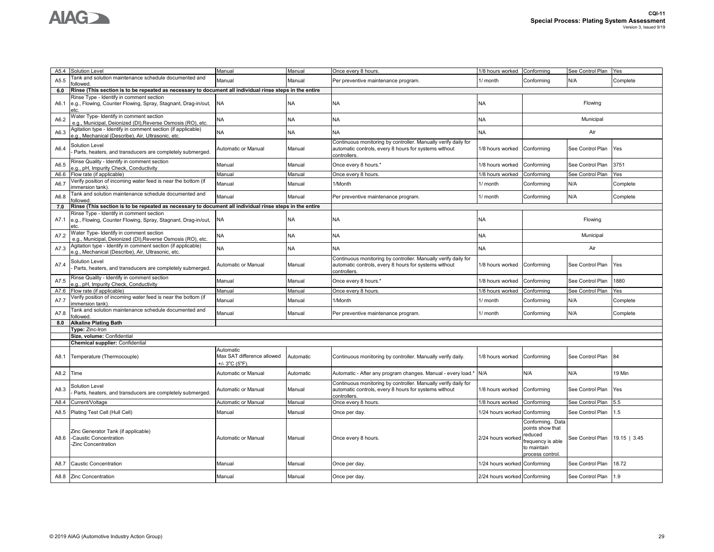

| A5.4    | Solution Level                                                                                                    | Manual                                                   | Manual    | Once every 8 hours                                                                                                                      | 1/8 hours worked             | Conforming                                                                                             | See Control Plan | Yes            |
|---------|-------------------------------------------------------------------------------------------------------------------|----------------------------------------------------------|-----------|-----------------------------------------------------------------------------------------------------------------------------------------|------------------------------|--------------------------------------------------------------------------------------------------------|------------------|----------------|
| A5.5    | Tank and solution maintenance schedule documented and<br>ollowed                                                  | Manual                                                   | Manual    | Per preventive maintenance program.                                                                                                     | 1/ month                     | Conforming                                                                                             | N/A              | Complete       |
| $6.0\,$ | Rinse (This section is to be repeated as necessary to document all individual rinse steps in the entire           |                                                          |           |                                                                                                                                         |                              |                                                                                                        |                  |                |
| A6.1    | Rinse Type - Identify in comment section<br>e.g., Flowing, Counter Flowing, Spray, Stagnant, Drag-in/out,<br>etc. | <b>NA</b>                                                | <b>NA</b> | <b>NA</b>                                                                                                                               | NA                           |                                                                                                        | Flowing          |                |
| A6.2    | Water Type- Identify in comment section<br>e.g., Municipal, Deionized (DI), Reverse Osmosis (RO), etc.            | NA                                                       | <b>NA</b> | NA                                                                                                                                      | NA                           |                                                                                                        | Municipal        |                |
| A6.3    | Agitation type - Identify in comment section (if applicable)<br>.g., Mechanical (Describe), Air, Ultrasonic, etc. | NA                                                       | <b>NA</b> | <b>NA</b>                                                                                                                               | NΑ                           |                                                                                                        | Air              |                |
| A6.4    | Solution Level<br>Parts, heaters, and transducers are completely submerged.                                       | Automatic or Manual                                      | Manual    | Continuous monitoring by controller. Manually verify daily for<br>automatic controls, every 8 hours for systems without<br>controllers. | 1/8 hours worked             | Conforming                                                                                             | See Control Plan | Yes            |
| A6.5    | Rinse Quality - Identify in comment section<br>.g., pH, Impurity Check, Conductivity                              | Manual                                                   | Manual    | Once every 8 hours.*                                                                                                                    | 1/8 hours worked             | Conforming                                                                                             | See Control Plan | 3751           |
| A6.6    | Flow rate (if applicable)                                                                                         | Manual                                                   | Manual    | Once every 8 hours                                                                                                                      | 1/8 hours worked             | Conforming                                                                                             | See Control Plan | Yes            |
| A6.7    | Verify position of incoming water feed is near the bottom (if<br>immersion tank)                                  | Manual                                                   | Manual    | 1/Month                                                                                                                                 | 1/ month                     | Conforming                                                                                             | N/A              | Complete       |
| A6.8    | Tank and solution maintenance schedule documented and<br>ollowed.                                                 | Manual                                                   | Manual    | Per preventive maintenance program.                                                                                                     | 1/ month                     | Conforming                                                                                             | N/A              | Complete       |
| 7.0     | Rinse (This section is to be repeated as necessary to document all individual rinse steps in the entire           |                                                          |           |                                                                                                                                         |                              |                                                                                                        |                  |                |
| A7.1    | Rinse Type - Identify in comment section<br>e.g., Flowing, Counter Flowing, Spray, Stagnant, Drag-in/out,<br>etc. | <b>NA</b>                                                | <b>NA</b> | <b>NA</b>                                                                                                                               | <b>NA</b>                    |                                                                                                        | Flowing          |                |
| A7.2    | Water Type- Identify in comment section<br>e.g., Municipal, Deionized (DI), Reverse Osmosis (RO), etc.            | NA                                                       | <b>NA</b> | <b>NA</b>                                                                                                                               | NA                           |                                                                                                        | Municipal        |                |
| A7.3    | Agitation type - Identify in comment section (if applicable)<br>.g., Mechanical (Describe), Air, Ultrasonic, etc. | <b>NA</b>                                                | <b>NA</b> | <b>NA</b>                                                                                                                               | <b>NA</b>                    |                                                                                                        | Air              |                |
| A7.4    | Solution Level<br>Parts, heaters, and transducers are completely submerged.                                       | Automatic or Manual                                      | Manual    | Continuous monitoring by controller. Manually verify daily for<br>automatic controls, every 8 hours for systems without<br>controllers. | 1/8 hours worked             | Conforming                                                                                             | See Control Plan | Yes            |
| A7.5    | Rinse Quality - Identify in comment section<br>.g., pH, Impurity Check, Conductivity                              | Manual                                                   | Manual    | Once every 8 hours.*                                                                                                                    | 1/8 hours worked             | Conforming                                                                                             | See Control Plan | 1880           |
| A7.6    | Flow rate (if applicable)                                                                                         | Manual                                                   | Manual    | Once every 8 hours.                                                                                                                     | 1/8 hours worked             | Conforming                                                                                             | See Control Plan | Yes            |
| A7.7    | /erify position of incoming water feed is near the bottom (if<br>mmersion tank)                                   | Manual                                                   | Manual    | 1/Month                                                                                                                                 | 1/ month                     | Conforming                                                                                             | N/A              | Complete       |
| A7.8    | Tank and solution maintenance schedule documented and<br>ollowed.                                                 | Manual                                                   | Manual    | Per preventive maintenance program.                                                                                                     | 1/ month                     | Conforming                                                                                             | N/A              | Complete       |
| 8.0     | <b>Alkaline Plating Bath</b>                                                                                      |                                                          |           |                                                                                                                                         |                              |                                                                                                        |                  |                |
|         | Type: Zinc-Iron                                                                                                   |                                                          |           |                                                                                                                                         |                              |                                                                                                        |                  |                |
|         | Size, volume: Confidential<br>Chemical supplier: Confidential                                                     |                                                          |           |                                                                                                                                         |                              |                                                                                                        |                  |                |
| A8.1    | Temperature (Thermocouple)                                                                                        | Automatic<br>Max SAT difference allowed<br>+/- 3°C (5°F) | Automatic | Continuous monitoring by controller. Manually verify daily.                                                                             | 1/8 hours worked             | Conforming                                                                                             | See Control Plan | 84             |
| A8.2    | Time                                                                                                              | Automatic or Manual                                      | Automatic | Automatic - After any program changes. Manual - every load.*                                                                            | N/A                          | N/A                                                                                                    | N/A              | 19 Min         |
| A8.3    | Solution Level<br>Parts, heaters, and transducers are completely submerged.                                       | Automatic or Manual                                      | Manual    | Continuous monitoring by controller. Manually verify daily for<br>automatic controls, every 8 hours for systems without<br>controllers. | 1/8 hours worked             | Conforming                                                                                             | See Control Plan | Yes            |
| A8.4    | Current/Voltage                                                                                                   | Automatic or Manual                                      | Manual    | Once every 8 hours.                                                                                                                     | 1/8 hours worked             | Conformina                                                                                             | See Control Plan | 5.5            |
| A8.5    | Plating Test Cell (Hull Cell)                                                                                     | Manual                                                   | Manual    | Once per day.                                                                                                                           | 1/24 hours worked            | Conforming                                                                                             | See Control Plan | 1.5            |
| A8.6    | Zinc Generator Tank (if applicable)<br>-Caustic Concentration<br>-Zinc Concentration                              | Automatic or Manual                                      | Manual    | Once every 8 hours.                                                                                                                     | 2/24 hours worked            | Conforming. Data<br>points show that<br>reduced<br>requency is able<br>to maintain<br>process control. | See Control Plan | $19.15$   3.45 |
| A8.7    | Caustic Concentration                                                                                             | Manual                                                   | Manual    | Once per day.                                                                                                                           | 1/24 hours worked            | Conforming                                                                                             | See Control Plan | 18.72          |
|         | A8.8 Zinc Concentration                                                                                           | Manual                                                   | Manual    | Once per day.                                                                                                                           | 2/24 hours worked Conforming |                                                                                                        | See Control Plan | 1.9            |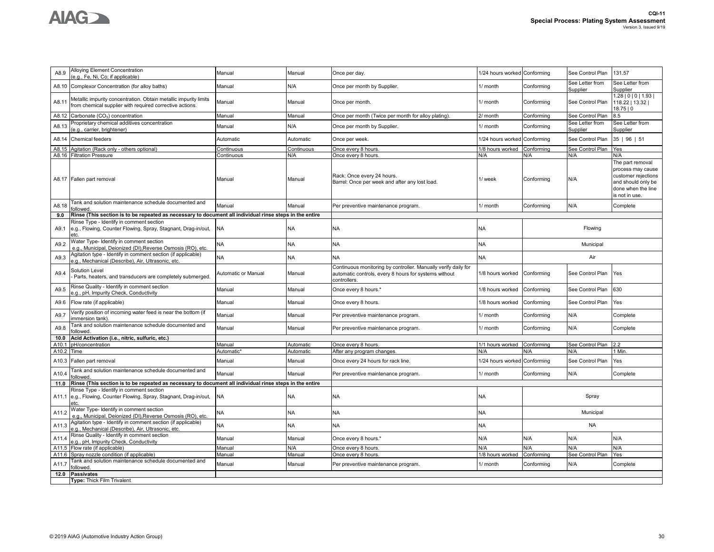



| A8.9              | Alloying Element Concentration<br>(e.g., Fe, Ni, Co; if applicable)                                                          | Manual                 | Manual     | Once per day.                                                                                                                          | 1/24 hours worked | Conforming | See Control Plan            | 131.57                                                                                                                     |
|-------------------|------------------------------------------------------------------------------------------------------------------------------|------------------------|------------|----------------------------------------------------------------------------------------------------------------------------------------|-------------------|------------|-----------------------------|----------------------------------------------------------------------------------------------------------------------------|
| A8.10             | Complexor Concentration (for alloy baths)                                                                                    | Manual                 | N/A        | Once per month by Supplier.                                                                                                            | 1/ month          | Conforming | See Letter from<br>Supplier | See Letter from<br>Supplier                                                                                                |
| A8.11             | Metallic impurity concentration. Obtain metallic impurity limits<br>from chemical supplier with required corrective actions. | Manual                 | Manual     | Once per month.                                                                                                                        | 1/ month          | Conforming | See Control Plan            | 1.28   0   0   1.93  <br>118.22   13.32  <br>18.75 0                                                                       |
| A8.12             | Carbonate (CO <sub>3</sub> ) concentration                                                                                   | Manual                 | Manual     | Once per month (Twice per month for alloy plating)                                                                                     | 2/ month          | Conforming | See Control Plan            | $3.5^{\circ}$                                                                                                              |
| A8.13             | Proprietary chemical additives concentration<br>e.g., carrier, brightener)                                                   | Manual                 | N/A        | Once per month by Supplier.                                                                                                            | 1/ month          | Conforming | See Letter from<br>Supplier | See Letter from<br>Supplier                                                                                                |
| A8.14             | Chemical feeders                                                                                                             | Automatic              | Automatic  | Once per week.                                                                                                                         | 1/24 hours worked | Conforming | See Control Plan            | 35   96   51                                                                                                               |
| A8.15             | Agitation (Rack only - others optional)                                                                                      | Continuous             | Continuous | Once every 8 hours.                                                                                                                    | 1/8 hours worked  | Conformina | See Control Plan            | Yes                                                                                                                        |
|                   | A8.16 Filtration Pressure                                                                                                    | Continuous             | N/A        | Once every 8 hours                                                                                                                     | N/A               | N/A        | N/A                         | N/A                                                                                                                        |
|                   | A8.17 Fallen part removal                                                                                                    | Manual                 | Manual     | Rack: Once every 24 hours.<br>Barrel: Once per week and after any lost load.                                                           | 1/ week           | Conforming | N/A                         | The part removal<br>process may cause<br>customer rejections<br>and should only be<br>done when the line<br>is not in use. |
| A8.18             | Tank and solution maintenance schedule documented and<br>followed                                                            | Manual                 | Manual     | Per preventive maintenance program.                                                                                                    | 1/ month          | Conforming | N/A                         | Complete                                                                                                                   |
| 9.0               | Rinse (This section is to be repeated as necessary to document all individual rinse steps in the entire                      |                        |            |                                                                                                                                        |                   |            |                             |                                                                                                                            |
| A9.1              | Rinse Type - Identify in comment section<br>e.g., Flowing, Counter Flowing, Spray, Stagnant, Drag-in/out,<br>etc.            | NA                     | <b>NA</b>  | NA                                                                                                                                     | <b>NA</b>         |            | Flowing                     |                                                                                                                            |
| A9.2              | Water Type- Identify in comment section<br>e.g., Municipal, Deionized (DI), Reverse Osmosis (RO), etc.                       | NA.                    | <b>NA</b>  | <b>NA</b>                                                                                                                              | <b>NA</b>         |            | Municipal                   |                                                                                                                            |
| A9.3              | Agitation type - Identify in comment section (if applicable)<br>e.g., Mechanical (Describe), Air, Ultrasonic, etc.           | <b>NA</b>              | <b>NA</b>  | <b>NA</b>                                                                                                                              | <b>NA</b>         |            | Air                         |                                                                                                                            |
| A9.4              | <b>Solution Level</b><br>Parts, heaters, and transducers are completely submerged.                                           | Automatic or Manual    | Manual     | Continuous monitoring by controller. Manually verify daily for<br>automatic controls, every 8 hours for systems without<br>controllers | 1/8 hours worked  | Conforming | See Control Plan            | Yes                                                                                                                        |
| A9.5              | Rinse Quality - Identify in comment section<br>e.g., pH, Impurity Check, Conductivity                                        | Manual                 | Manual     | Once every 8 hours.*                                                                                                                   | 1/8 hours worked  | Conforming | See Control Plan            | 630                                                                                                                        |
| A9.6              | Flow rate (if applicable)                                                                                                    | Manual                 | Manual     | Once every 8 hours.                                                                                                                    | 1/8 hours worked  | Conforming | See Control Plan            | Yes                                                                                                                        |
| A9.7              | Verify position of incoming water feed is near the bottom (if<br>immersion tank)                                             | Manual                 | Manual     | Per preventive maintenance program.                                                                                                    | 1/ month          | Conforming | N/A                         | Complete                                                                                                                   |
| A9.8              | Tank and solution maintenance schedule documented and<br>followed                                                            | Manual                 | Manual     | Per preventive maintenance program.                                                                                                    | 1/ month          | Conforming | N/A                         | Complete                                                                                                                   |
| 10.0              | Acid Activation (i.e., nitric, sulfuric, etc.)                                                                               |                        |            |                                                                                                                                        |                   |            |                             |                                                                                                                            |
| A <sub>10.1</sub> | pH/concentration                                                                                                             | Manual                 | Automatic  | Once every 8 hours.                                                                                                                    | 1/1 hours worked  | Conforming | See Control Plan            | 2.2                                                                                                                        |
| A10.2 Time        |                                                                                                                              | Automatic <sup>®</sup> | Automatic  | After any program changes.                                                                                                             | N/A               | N/A        | N/A                         | I Min.                                                                                                                     |
| A10.3             | Fallen part removal                                                                                                          | Manual                 | Manual     | Once every 24 hours for rack line.                                                                                                     | 1/24 hours worked | Conforming | See Control Plan            | Yes                                                                                                                        |
| A10.4             | Tank and solution maintenance schedule documented and<br>ollowed                                                             | Manual                 | Manual     | Per preventive maintenance program.                                                                                                    | 1/ month          | Conforming | N/A                         | Complete                                                                                                                   |
| 11.0              | Rinse (This section is to be repeated as necessary to document all individual rinse steps in the entire                      |                        |            |                                                                                                                                        |                   |            |                             |                                                                                                                            |
| A11.1             | Rinse Type - Identify in comment section<br>e.g., Flowing, Counter Flowing, Spray, Stagnant, Drag-in/out,<br>etc.            | NΑ                     | NA         | NA                                                                                                                                     | <b>NA</b>         |            | Spray                       |                                                                                                                            |
| A11.2             | Water Type- Identify in comment section<br>e.g., Municipal, Deionized (DI), Reverse Osmosis (RO), etc.                       | <b>NA</b>              | <b>NA</b>  | <b>NA</b>                                                                                                                              | <b>NA</b>         |            | Municipal                   |                                                                                                                            |
| A11.3             | Agitation type - Identify in comment section (if applicable)<br>e.g., Mechanical (Describe), Air, Ultrasonic, etc.           | NA                     | <b>NA</b>  | NA                                                                                                                                     | <b>NA</b>         |            | <b>NA</b>                   |                                                                                                                            |
| A11.4             | Rinse Quality - Identify in comment section<br>e.g., pH, Impurity Check, Conductivity                                        | Manual                 | Manual     | Once every 8 hours.*                                                                                                                   | N/A               | N/A        | N/A                         | N/A                                                                                                                        |
| A11.5             | Flow rate (if applicable)                                                                                                    | Manual                 | N/A        | Once every 8 hours.                                                                                                                    | N/A               | N/A        | N/A                         | N/A                                                                                                                        |
|                   | A11.6 Spray nozzle condition (if applicable)                                                                                 | Manual                 | Manual     | Once every 8 hours.                                                                                                                    | 1/8 hours worked  | Conforming | See Control Plan            | Yes                                                                                                                        |
| A11.7             | Tank and solution maintenance schedule documented and<br>ollowed.                                                            | Manual                 | Manual     | Per preventive maintenance program.                                                                                                    | 1/ month          | Conforming | N/A                         | Complete                                                                                                                   |
| 12.0              | <b>Passivates</b>                                                                                                            |                        |            |                                                                                                                                        |                   |            |                             |                                                                                                                            |
|                   | Type: Thick Film Trivalent                                                                                                   |                        |            |                                                                                                                                        |                   |            |                             |                                                                                                                            |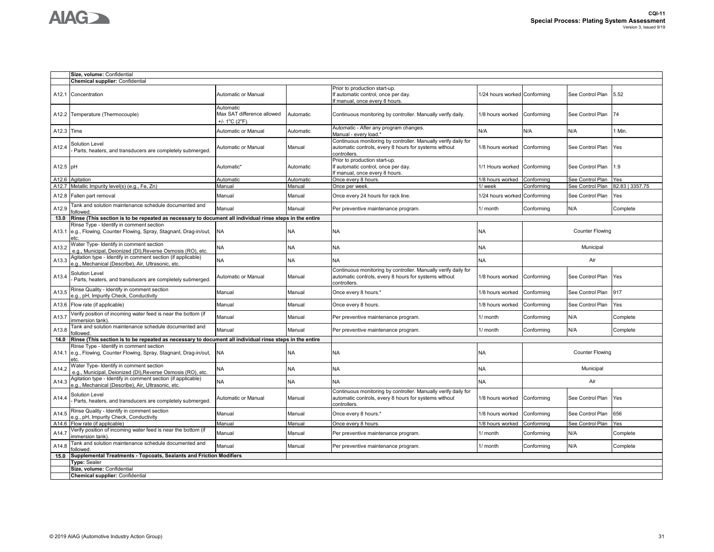|            | Size, volume: Confidential                                                                                              |                                                                                |           |                                                                                                                                         |                              |            |                        |                 |
|------------|-------------------------------------------------------------------------------------------------------------------------|--------------------------------------------------------------------------------|-----------|-----------------------------------------------------------------------------------------------------------------------------------------|------------------------------|------------|------------------------|-----------------|
|            | <b>Chemical supplier: Confidential</b>                                                                                  |                                                                                |           |                                                                                                                                         |                              |            |                        |                 |
|            | A12.1 Concentration                                                                                                     | Automatic or Manual                                                            |           | Prior to production start-up.<br>If automatic control, once per day.<br>f manual, once every 8 hours.                                   | 1/24 hours worked Conforming |            | See Control Plan       | 5.52            |
|            | A12.2 Temperature (Thermocouple)                                                                                        | Automatic<br>Max SAT difference allowed<br>+/- $1^{\circ}$ C ( $2^{\circ}$ F). | Automatic | Continuous monitoring by controller. Manually verify daily.                                                                             | 1/8 hours worked             | Conforming | See Control Plan       | 74              |
| A12.3 Time |                                                                                                                         | Automatic or Manual                                                            | Automatic | Automatic - After any program changes.<br>Manual - every load.'                                                                         | N/A                          | N/A        | N/A                    | Min.            |
| A12.4      | Solution Level<br>Parts, heaters, and transducers are completely submerged.                                             | Automatic or Manual                                                            | Manual    | Continuous monitoring by controller. Manually verify daily for<br>automatic controls, every 8 hours for systems without<br>controllers. | 1/8 hours worked             | Conforming | See Control Plan       | Yes             |
| A12.5 pH   |                                                                                                                         | Automatic*                                                                     | Automatic | Prior to production start-up.<br>If automatic control, once per day.<br>If manual, once every 8 hours.                                  | 1/1 Hours worked             | Conforming | See Control Plan       | 1.9             |
| A12.6      | Agitation                                                                                                               | Automatic                                                                      | Automatic | Once every 8 hours.                                                                                                                     | 1/8 hours worked             | Conforming | See Control Plan       | Yes             |
|            | A12.7 Metallic Impurity level(s) (e.g., Fe, Zn)                                                                         | Manual                                                                         | Manual    | Once per week.                                                                                                                          | 1/ week                      | Conforming | See Control Plan       | 82.83   3357.75 |
|            | A12.8 Fallen part removal                                                                                               | Manual                                                                         | Manual    | Once every 24 hours for rack line.                                                                                                      | /24 hours worked             | Conforming | See Control Plan       | Yes             |
| A12.9      | Tank and solution maintenance schedule documented and<br>ollowed                                                        | Manual                                                                         | Manual    | Per preventive maintenance program.                                                                                                     | 1/ month                     | Conforming | N/A                    | Complete        |
| 13.0       | Rinse (This section is to be repeated as necessary to document all individual rinse steps in the entire                 |                                                                                |           |                                                                                                                                         |                              |            |                        |                 |
| A13.1      | Rinse Type - Identify in comment section<br>e.g., Flowing, Counter Flowing, Spray, Stagnant, Drag-in/out,<br>etc.       | <b>NA</b>                                                                      | <b>NA</b> | <b>NA</b>                                                                                                                               | NA                           |            | <b>Counter Flowing</b> |                 |
| A13.2      | Water Type- Identify in comment section<br>e.g., Municipal, Deionized (DI),Reverse Osmosis (RO), etc.                   | NΑ                                                                             | <b>NA</b> | <b>NA</b>                                                                                                                               | NA                           |            | Municipal              |                 |
| A13.3      | Agitation type - Identify in comment section (if applicable)<br>e.g., Mechanical (Describe), Air, Ultrasonic, etc.      | NA                                                                             | <b>NA</b> | NA                                                                                                                                      | NA                           |            | Air                    |                 |
| A13.4      | Solution Level<br>Parts, heaters, and transducers are completely submerged.                                             | Automatic or Manual                                                            | Manual    | Continuous monitoring by controller. Manually verify daily for<br>automatic controls, every 8 hours for systems without<br>controllers. | 1/8 hours worked             | Conforming | See Control Plan       | Yes             |
| A13.5      | Rinse Quality - Identify in comment section<br>e.g., pH, Impurity Check, Conductivity                                   | Manual                                                                         | Manual    | Once every 8 hours.*                                                                                                                    | 1/8 hours worked             | Conforming | See Control Plan       | 917             |
|            | A13.6 Flow rate (if applicable)                                                                                         | Manual                                                                         | Manual    | Once every 8 hours.                                                                                                                     | 1/8 hours worked             | Conforming | See Control Plan       | Yes             |
| A13.7      | Verify position of incoming water feed is near the bottom (if<br>mmersion tank)                                         | Manual                                                                         | Manual    | Per preventive maintenance program.                                                                                                     | 1/ month                     | Conforming | N/A                    | Complete        |
| A13.8      | Tank and solution maintenance schedule documented and<br>ollowed.                                                       | Manual                                                                         | Manual    | Per preventive maintenance program.                                                                                                     | 1/ month                     | Conforming | N/A                    | Complete        |
| 14.0       | Rinse (This section is to be repeated as necessary to document all individual rinse steps in the entire                 |                                                                                |           |                                                                                                                                         |                              |            |                        |                 |
|            | Rinse Type - Identify in comment section<br>A14.1 e.g., Flowing, Counter Flowing, Spray, Stagnant, Drag-in/out,<br>etc. | <b>NA</b>                                                                      | <b>NA</b> | <b>NA</b>                                                                                                                               | NA                           |            | <b>Counter Flowing</b> |                 |
| A14.2      | Water Type- Identify in comment section<br>e.g., Municipal, Deionized (DI),Reverse Osmosis (RO), etc.                   | <b>NA</b>                                                                      | <b>NA</b> | <b>NA</b>                                                                                                                               | NA                           |            | Municipal              |                 |
| A14.3      | Agitation type - Identify in comment section (if applicable)<br>.a., Mechanical (Describe), Air, Ultrasonic, etc.       | <b>NA</b>                                                                      | <b>NA</b> | <b>NA</b>                                                                                                                               | <b>NA</b>                    |            | Air                    |                 |
| A14.4      | Solution Level<br>Parts, heaters, and transducers are completely submerged.                                             | Automatic or Manual                                                            | Manual    | Continuous monitoring by controller. Manually verify daily for<br>automatic controls, every 8 hours for systems without<br>controllers. | 1/8 hours worked             | Conforming | See Control Plan       | Yes             |
| A14.5      | Rinse Quality - Identify in comment section<br>e.g., pH, Impurity Check, Conductivity                                   | Manual                                                                         | Manual    | Once every 8 hours.*                                                                                                                    | 1/8 hours worked             | Conforming | See Control Plan       | 656             |
| A14.6      | Flow rate (if applicable)                                                                                               | Manual                                                                         | Manual    | Once every 8 hours.                                                                                                                     | 1/8 hours worked             | Conforming | See Control Plan       | Yes             |
| A14.7      | Verify position of incoming water feed is near the bottom (if<br>mmersion tank).                                        | Manual                                                                         | Manual    | Per preventive maintenance program.                                                                                                     | 1/ month                     | Conforming | N/A                    | Complete        |
| A14.8      | Tank and solution maintenance schedule documented and<br>ollowed                                                        | Manual                                                                         | Manual    | Per preventive maintenance program.                                                                                                     | 1/ month                     | Conforming | N/A                    | Complete        |
| 15.0       | Supplemental Treatments - Topcoats, Sealants and Friction Modifiers                                                     |                                                                                |           |                                                                                                                                         |                              |            |                        |                 |
|            | <b>Type: Sealer</b>                                                                                                     |                                                                                |           |                                                                                                                                         |                              |            |                        |                 |
|            | Size, volume: Confidential                                                                                              |                                                                                |           |                                                                                                                                         |                              |            |                        |                 |
|            | <b>Chemical supplier: Confidential</b>                                                                                  |                                                                                |           |                                                                                                                                         |                              |            |                        |                 |
|            |                                                                                                                         |                                                                                |           |                                                                                                                                         |                              |            |                        |                 |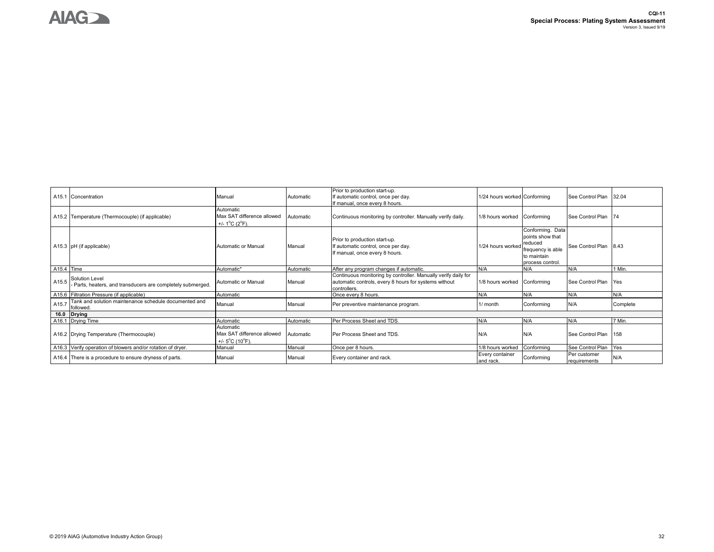

|            | A15.1 Concentration                                                           | Manual                                                                          | Automatic | Prior to production start-up.<br>If automatic control, once per day.<br>If manual, once every 8 hours.                                  | 1/24 hours worked Conforming |                                                                                                         | See Control Plan             | 32.04    |
|------------|-------------------------------------------------------------------------------|---------------------------------------------------------------------------------|-----------|-----------------------------------------------------------------------------------------------------------------------------------------|------------------------------|---------------------------------------------------------------------------------------------------------|------------------------------|----------|
|            | A15.2 Temperature (Thermocouple) (if applicable)                              | Automatic<br>Max SAT difference allowed<br>+/- $1^{\circ}$ C ( $2^{\circ}$ F).  | Automatic | Continuous monitoring by controller. Manually verify daily.                                                                             | 1/8 hours worked             | Conforming                                                                                              | See Control Plan 74          |          |
|            | A15.3 pH (if applicable)                                                      | Automatic or Manual                                                             | Manual    | Prior to production start-up.<br>If automatic control, once per day.<br>If manual, once every 8 hours.                                  | 1/24 hours worked            | Conforming. Data<br>points show that<br>reduced<br>frequency is able<br>to maintain<br>process control. | See Control Plan             | 8.43     |
| A15.4 Time |                                                                               | Automatic*                                                                      | Automatic | After any program changes if automatic.                                                                                                 | N/A                          | N/A                                                                                                     | N/A                          | 1 Min.   |
| A15.5      | Solution Level<br>- Parts, heaters, and transducers are completely submerged. | Automatic or Manual                                                             | Manual    | Continuous monitoring by controller. Manually verify daily for<br>automatic controls, every 8 hours for systems without<br>controllers. | 1/8 hours worked             | Conforming                                                                                              | See Control Plan             | Yes      |
|            | A15.6 Filtration Pressure (if applicable)                                     | Automatic                                                                       |           | Once every 8 hours.                                                                                                                     | N/A                          | N/A                                                                                                     | N/A                          | N/A      |
| A15.7      | Tank and solution maintenance schedule documented and<br>followed.            | Manual                                                                          | Manual    | Per preventive maintenance program.                                                                                                     | $1/m$ onth                   | Conforming                                                                                              | N/A                          | Complete |
| 16.0       | <b>Drying</b>                                                                 |                                                                                 |           |                                                                                                                                         |                              |                                                                                                         |                              |          |
|            | A16.1 Drying Time                                                             | Automatic                                                                       | Automatic | Per Process Sheet and TDS.                                                                                                              | N/A                          | N/A                                                                                                     | N/A                          | 7 Min.   |
|            | A16.2 Drying Temperature (Thermocouple)                                       | Automatic<br>Max SAT difference allowed<br>+/- $5^{\circ}$ C (10 $^{\circ}$ F). | Automatic | Per Process Sheet and TDS.                                                                                                              | N/A                          | N/A                                                                                                     | See Control Plan             | 158      |
|            | A16.3 Verify operation of blowers and/or rotation of dryer.                   | Manual                                                                          | Manual    | Once per 8 hours.                                                                                                                       | 1/8 hours worked             | Conforming                                                                                              | See Control Plan             | Yes      |
|            | A16.4 There is a procedure to ensure dryness of parts.                        | Manual                                                                          | Manual    | Every container and rack.                                                                                                               | Every container<br>and rack. | Conforming                                                                                              | Per customer<br>requirements | N/A      |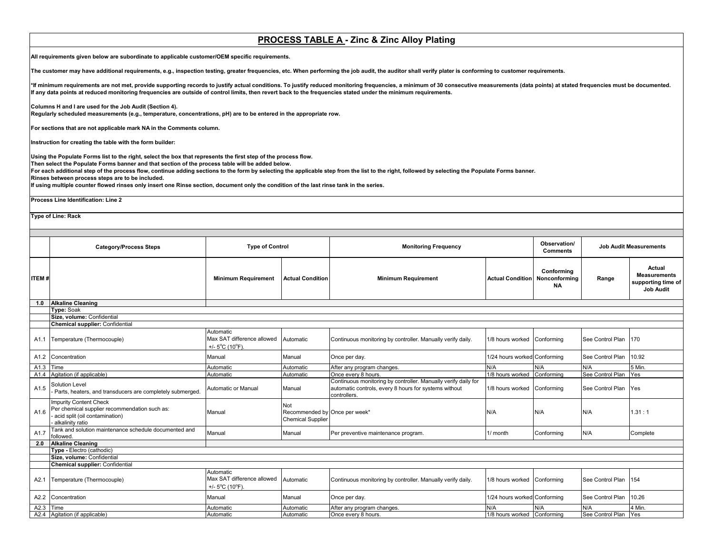# **PROCESS TABLE A - Zinc & Zinc Alloy Plating**

**All requirements given below are subordinate to applicable customer/OEM specific requirements.** 

**The customer may have additional requirements, e.g., inspection testing, greater frequencies, etc. When performing the job audit, the auditor shall verify plater is conforming to customer requirements.**

\*If minimum requirements are not met, provide supporting records to justify actual conditions. To justify reduced monitoring frequencies, a minimum of 30 consecutive measurements (data points) at stated frequencies must be **If any data points at reduced monitoring frequencies are outside of control limits, then revert back to the frequencies stated under the minimum requirements.** 

**Columns H and I are used for the Job Audit (Section 4). Regularly scheduled measurements (e.g., temperature, concentrations, pH) are to be entered in the appropriate row.**

**For sections that are not applicable mark NA in the Comments column.**

**Instruction for creating the table with the form builder:**

**Using the Populate Forms list to the right, select the box that represents the first step of the process flow.**

**Then select the Populate Forms banner and that section of the process table will be added below.**

**For each additional step of the process flow, continue adding sections to the form by selecting the applicable step from the list to the right, followed by selecting the Populate Forms banner. Rinses between process steps are to be included.**

**If using multiple counter flowed rinses only insert one Rinse section, document only the condition of the last rinse tank in the series.**

**Process Line Identification: Line 2**

**Type of Line: Rack** 

|              | <b>Category/Process Steps</b>                                                                                                          | <b>Type of Control</b>                                                          |                                                                  | <b>Monitoring Frequency</b>                                                                                                             |                              | Observation/<br><b>Comments</b>          |                      | <b>Job Audit Measurements</b>                                           |
|--------------|----------------------------------------------------------------------------------------------------------------------------------------|---------------------------------------------------------------------------------|------------------------------------------------------------------|-----------------------------------------------------------------------------------------------------------------------------------------|------------------------------|------------------------------------------|----------------------|-------------------------------------------------------------------------|
| <b>ITEM#</b> |                                                                                                                                        | <b>Minimum Requirement</b>                                                      | <b>Actual Condition</b>                                          | <b>Minimum Requirement</b>                                                                                                              | <b>Actual Condition</b>      | Conformina<br>Nonconforming<br><b>NA</b> | Range                | Actual<br><b>Measurements</b><br>supporting time of<br><b>Job Audit</b> |
| 1.0          | <b>Alkaline Cleaning</b>                                                                                                               |                                                                                 |                                                                  |                                                                                                                                         |                              |                                          |                      |                                                                         |
|              | <b>Type: Soak</b>                                                                                                                      |                                                                                 |                                                                  |                                                                                                                                         |                              |                                          |                      |                                                                         |
|              | Size, volume: Confidential                                                                                                             |                                                                                 |                                                                  |                                                                                                                                         |                              |                                          |                      |                                                                         |
|              | <b>Chemical supplier: Confidential</b>                                                                                                 |                                                                                 |                                                                  |                                                                                                                                         |                              |                                          |                      |                                                                         |
| A1.1         | Temperature (Thermocouple)                                                                                                             | Automatic<br>Max SAT difference allowed<br>+/- $5^{\circ}$ C (10 $^{\circ}$ F). | Automatic                                                        | Continuous monitoring by controller. Manually verify daily.                                                                             | 1/8 hours worked Conforming  |                                          | See Control Plan 170 |                                                                         |
| A1.2         | Concentration                                                                                                                          | Manual                                                                          | Manual                                                           | Once per day.                                                                                                                           | 1/24 hours worked Conforming |                                          | See Control Plan     | 10.92                                                                   |
| A1.3         | Time                                                                                                                                   | Automatic                                                                       | Automatic                                                        | After any program changes.                                                                                                              | N/A                          | N/A                                      | N/A                  | 5 Min.                                                                  |
| A1.4         | Agitation (if applicable)                                                                                                              | Automatic                                                                       | Automatic                                                        | Once every 8 hours.                                                                                                                     | 1/8 hours worked             | Conforming                               | See Control Plan     | Yes                                                                     |
| A1.5         | <b>Solution Level</b><br>Parts, heaters, and transducers are completely submerged.                                                     | Automatic or Manual                                                             | Manual                                                           | Continuous monitoring by controller. Manually verify daily for<br>automatic controls, every 8 hours for systems without<br>controllers. | 1/8 hours worked             | Conforming                               | See Control Plan     | Yes                                                                     |
| A1.6         | <b>Impurity Content Check</b><br>Per chemical supplier recommendation such as:<br>- acid split (oil contamination)<br>alkalinity ratio | Manual                                                                          | Not<br>Recommended by Once per week*<br><b>Chemical Supplier</b> |                                                                                                                                         | N/A                          | N/A                                      | N/A                  | 1.31:1                                                                  |
| A1.7         | Tank and solution maintenance schedule documented and<br>followed.                                                                     | Manual                                                                          | Manual                                                           | Per preventive maintenance program.                                                                                                     | 1/ month                     | Conforming                               | N/A                  | Complete                                                                |
| 2.0          | <b>Alkaline Cleaning</b>                                                                                                               |                                                                                 |                                                                  |                                                                                                                                         |                              |                                          |                      |                                                                         |
|              | Type - Electro (cathodic)                                                                                                              |                                                                                 |                                                                  |                                                                                                                                         |                              |                                          |                      |                                                                         |
|              | Size, volume: Confidential                                                                                                             |                                                                                 |                                                                  |                                                                                                                                         |                              |                                          |                      |                                                                         |
|              | <b>Chemical supplier: Confidential</b>                                                                                                 |                                                                                 |                                                                  |                                                                                                                                         |                              |                                          |                      |                                                                         |
| A2.1         | Temperature (Thermocouple)                                                                                                             | Automatic<br>Max SAT difference allowed<br>+/- $5^{\circ}$ C (10 $^{\circ}$ F). | Automatic                                                        | Continuous monitoring by controller. Manually verify daily.                                                                             | 1/8 hours worked             | Conforming                               | See Control Plan     | 154                                                                     |
| A2.2         | Concentration                                                                                                                          | Manual                                                                          | Manual                                                           | Once per day.                                                                                                                           | 1/24 hours worked Conforming |                                          | See Control Plan     | 10.26                                                                   |
| A2.3         | Time                                                                                                                                   | Automatic                                                                       | Automatic                                                        | After any program changes.                                                                                                              | N/A                          | N/A                                      | N/A                  | 4 Min.                                                                  |
|              | A2.4 Agitation (if applicable)                                                                                                         | Automatic                                                                       | Automatic                                                        | Once every 8 hours.                                                                                                                     | 1/8 hours worked Conforming  |                                          | See Control Plan     | Yes                                                                     |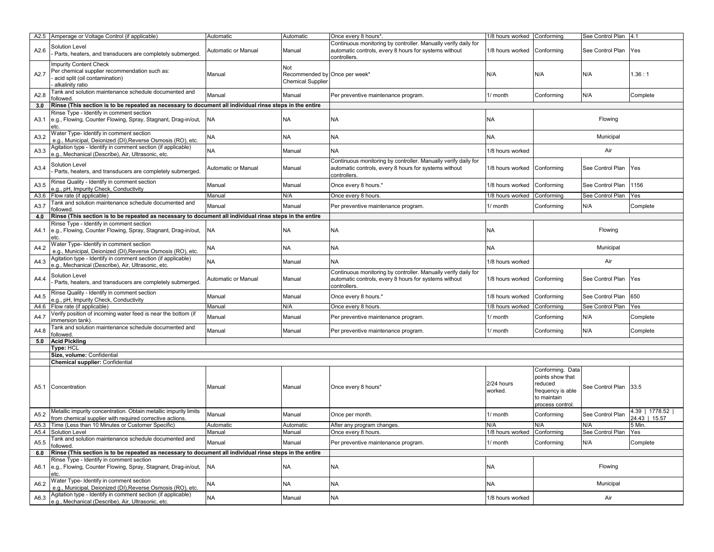| A2.5 Amperage or Voltage Control (if applicable)                                                                                                                              | Automatic           | Automatic                                                        | Once every 8 hours*                                                                                                                     | 1/8 hours worked      | Conformina                                                      | See Control Plan | 14.1                              |
|-------------------------------------------------------------------------------------------------------------------------------------------------------------------------------|---------------------|------------------------------------------------------------------|-----------------------------------------------------------------------------------------------------------------------------------------|-----------------------|-----------------------------------------------------------------|------------------|-----------------------------------|
| Solution Level<br>A2.6<br>Parts, heaters, and transducers are completely submerged.                                                                                           | Automatic or Manual | Manual                                                           | Continuous monitoring by controller. Manually verify daily for<br>automatic controls, every 8 hours for systems without<br>controllers. | 1/8 hours worked      | Conforming                                                      | See Control Plan | Yes                               |
| <b>Impurity Content Check</b><br>Per chemical supplier recommendation such as:<br>A2.7<br>acid split (oil contamination)<br>alkalinity ratio                                  | Manual              | Not<br>Recommended by Once per week*<br><b>Chemical Supplier</b> |                                                                                                                                         | N/A                   | N/A                                                             | N/A              | 1.36:1                            |
| Tank and solution maintenance schedule documented and<br>A2.8<br>followed                                                                                                     | Manual              | Manual                                                           | Per preventive maintenance program.                                                                                                     | 1/ month              | Conforming                                                      | N/A              | Complete                          |
| Rinse (This section is to be repeated as necessary to document all individual rinse steps in the entire<br>3.0                                                                |                     |                                                                  |                                                                                                                                         |                       |                                                                 |                  |                                   |
| Rinse Type - Identify in comment section<br>e.g., Flowing, Counter Flowing, Spray, Stagnant, Drag-in/out,<br>A3.1<br>etc.                                                     | <b>NA</b>           | NA                                                               | NA                                                                                                                                      | NA                    |                                                                 | Flowing          |                                   |
| Vater Type- Identify in comment section<br>A3.2<br>e.g., Municipal, Deionized (DI), Reverse Osmosis (RO), etc.                                                                | <b>NA</b>           | NA.                                                              | <b>NA</b>                                                                                                                               | <b>NA</b>             |                                                                 | Municipal        |                                   |
| Agitation type - Identify in comment section (if applicable)<br>A3.3<br>e.g., Mechanical (Describe), Air, Ultrasonic, etc.                                                    | <b>NA</b>           | Manual                                                           | <b>NA</b>                                                                                                                               | 1/8 hours worked      |                                                                 | Air              |                                   |
| <b>Solution Level</b><br>A3.4<br>Parts, heaters, and transducers are completely submerged                                                                                     | Automatic or Manual | Manual                                                           | Continuous monitoring by controller. Manually verify daily for<br>automatic controls, every 8 hours for systems without<br>controllers. | 1/8 hours worked      | Conforming                                                      | See Control Plan | Yes                               |
| Rinse Quality - Identify in comment section<br>A3.5<br>e.g., pH, Impurity Check, Conductivity                                                                                 | Manual              | Manual                                                           | Once every 8 hours.*                                                                                                                    | 1/8 hours worked      | Conforming                                                      | See Control Plan | 1156                              |
| Flow rate (if applicable)<br>A3.6                                                                                                                                             | Manual              | N/A                                                              | Once every 8 hours                                                                                                                      | 1/8 hours worked      | Conforming                                                      | See Control Plan | Yes                               |
| Tank and solution maintenance schedule documented and<br>A3.7<br>followed                                                                                                     | Manual              | Manual                                                           | Per preventive maintenance program.                                                                                                     | 1/ month              | Conforming                                                      | N/A              | Complete                          |
| Rinse (This section is to be repeated as necessary to document all individual rinse steps in the entire<br>4.0                                                                |                     |                                                                  |                                                                                                                                         |                       |                                                                 |                  |                                   |
| Rinse Type - Identify in comment section<br>e.g., Flowing, Counter Flowing, Spray, Stagnant, Drag-in/out,<br>A4.1<br>etc.                                                     | <b>NA</b>           | NA                                                               | <b>NA</b>                                                                                                                               | <b>NA</b>             |                                                                 | Flowing          |                                   |
| Vater Type- Identify in comment section<br>A4.2<br>e.g., Municipal, Deionized (DI), Reverse Osmosis (RO), etc.                                                                | <b>NA</b>           | NA                                                               | <b>NA</b>                                                                                                                               | NA                    |                                                                 | Municipal        |                                   |
| Agitation type - Identify in comment section (if applicable)<br>A4.3<br>e.g., Mechanical (Describe), Air, Ultrasonic, etc.                                                    | <b>NA</b>           | Manual                                                           | <b>NA</b>                                                                                                                               | 1/8 hours worked      |                                                                 | Air              |                                   |
| Solution Level<br>A4.4<br>Parts, heaters, and transducers are completely submerged                                                                                            | Automatic or Manual | Manual                                                           | Continuous monitoring by controller. Manually verify daily for<br>automatic controls, every 8 hours for systems without<br>controllers. | 1/8 hours worked      | Conforming                                                      | See Control Plan | Yes                               |
| Rinse Quality - Identify in comment section<br>A4.5<br>e.g., pH, Impurity Check, Conductivity                                                                                 | Manual              | Manual                                                           | Once every 8 hours.*                                                                                                                    | 1/8 hours worked      | Conforming                                                      | See Control Plan | 650                               |
| Flow rate (if applicable)<br>A4.6                                                                                                                                             | Manual              | N/A                                                              | Once every 8 hours.                                                                                                                     | 1/8 hours worked      | Conforming                                                      | See Control Plan | Yes                               |
| Verify position of incoming water feed is near the bottom (if<br>A4.7<br>immersion tank).                                                                                     | Manual              | Manual                                                           | Per preventive maintenance program.                                                                                                     | 1/ month              | Conforming                                                      | N/A              | Complete                          |
| Tank and solution maintenance schedule documented and<br>A4.8<br>followed                                                                                                     | Manual              | Manual                                                           | Per preventive maintenance program.                                                                                                     | 1/ month              | Conforming                                                      | N/A              | Complete                          |
| 5.0<br><b>Acid Pickling</b>                                                                                                                                                   |                     |                                                                  |                                                                                                                                         |                       |                                                                 |                  |                                   |
| <b>Type: HCL</b>                                                                                                                                                              |                     |                                                                  |                                                                                                                                         |                       |                                                                 |                  |                                   |
| Size, volume: Confidential                                                                                                                                                    |                     |                                                                  |                                                                                                                                         |                       |                                                                 |                  |                                   |
| <b>Chemical supplier: Confidential</b>                                                                                                                                        |                     |                                                                  |                                                                                                                                         |                       | Conforming. Data                                                |                  |                                   |
| Concentration<br>A5.1                                                                                                                                                         | Manual              | Manual                                                           | Once every 8 hours'                                                                                                                     | 2/24 hours<br>worked. | points show that<br>reduced<br>frequency is able<br>to maintain | See Control Plan | 33.5                              |
|                                                                                                                                                                               |                     |                                                                  |                                                                                                                                         |                       | process control                                                 |                  |                                   |
| Metallic impurity concentration. Obtain metallic impurity limits<br>from chemical supplier with required corrective actions.                                                  | Manual              | Manual                                                           | Once per month.                                                                                                                         | 1/ month              | Conforming                                                      | See Control Plan | 4.39   1778.52  <br>24.43   15.57 |
| Time (Less than 10 Minutes or Customer Specific)<br>A5.3                                                                                                                      | Automatic           | Automatic                                                        | After any program changes.                                                                                                              | N/A                   | N/A                                                             | N/A              | 5 Min.                            |
|                                                                                                                                                                               | Manual              | Manual                                                           | Once every 8 hours.                                                                                                                     | 1/8 hours worked      | Conforming                                                      | See Control Plan | Yes                               |
| A5.2<br>Tank and solution maintenance schedule documented and<br>followed                                                                                                     | Manual              | Manual                                                           | Per preventive maintenance program.                                                                                                     | 1/ month              | Conforming                                                      | N/A              | Complete                          |
| Rinse (This section is to be repeated as necessary to document all individual rinse steps in the entire<br>6.0                                                                |                     |                                                                  |                                                                                                                                         |                       |                                                                 |                  |                                   |
| A5.4 Solution Level<br>A5.5<br>Rinse Type - Identify in comment section<br>e.g., Flowing, Counter Flowing, Spray, Stagnant, Drag-in/out,<br>A6.1<br>etc.                      | <b>NA</b>           | NA                                                               | NA                                                                                                                                      | <b>NA</b>             |                                                                 | Flowing          |                                   |
| Water Type- Identify in comment section<br>A6.2<br>e.g., Municipal, Deionized (DI).Reverse Osmosis (RO), etc.<br>Agitation type - Identify in comment section (if applicable) | <b>NA</b>           | NA                                                               | <b>NA</b>                                                                                                                               | <b>NA</b>             |                                                                 | Municipal        |                                   |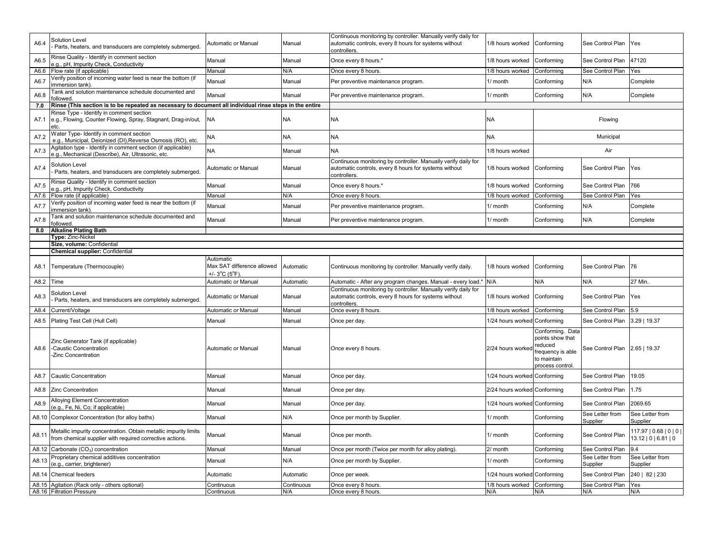| A6.4  | Solution Level<br>Parts, heaters, and transducers are completely submerged.                                                  | Automatic or Manual                          | Manual            | Continuous monitoring by controller. Manually verify daily for<br>automatic controls, every 8 hours for systems without<br>controllers. | 1/8 hours worked             | Conforming                                                                                             | See Control Plan              | Yes                                               |
|-------|------------------------------------------------------------------------------------------------------------------------------|----------------------------------------------|-------------------|-----------------------------------------------------------------------------------------------------------------------------------------|------------------------------|--------------------------------------------------------------------------------------------------------|-------------------------------|---------------------------------------------------|
| A6.5  | Rinse Quality - Identify in comment section<br>e.g., pH, Impurity Check, Conductivity                                        | Manual                                       | Manual            | Once every 8 hours.*                                                                                                                    | 1/8 hours worked             | Conforming                                                                                             | See Control Plan              | 47120                                             |
| A6.6  | Flow rate (if applicable)                                                                                                    | Manual                                       | N/A               | Once every 8 hours                                                                                                                      | 1/8 hours worked             | Conforming                                                                                             | See Control Plan              | Yes                                               |
| A6.7  | /erify position of incoming water feed is near the bottom (if<br>immersion tank)                                             | Manual                                       | Manual            | Per preventive maintenance program.                                                                                                     | 1/ month                     | Conforming                                                                                             | N/A                           | Complete                                          |
| A6.8  | Tank and solution maintenance schedule documented and<br>ollowed                                                             | Manual                                       | Manual            | Per preventive maintenance program.                                                                                                     | 1/ month                     | Conforming                                                                                             | N/A                           | Complete                                          |
| 7.0   | Rinse (This section is to be repeated as necessary to document all individual rinse steps in the entire                      |                                              |                   |                                                                                                                                         |                              |                                                                                                        |                               |                                                   |
| A7.1  | Rinse Type - Identify in comment section<br>e.g., Flowing, Counter Flowing, Spray, Stagnant, Drag-in/out,<br>etc.            | <b>NA</b>                                    | <b>NA</b>         | <b>NA</b>                                                                                                                               | <b>NA</b>                    |                                                                                                        | Flowing                       |                                                   |
| A7.2  | Vater Type- Identify in comment section<br>e.g., Municipal, Deionized (DI), Reverse Osmosis (RO), etc                        | <b>NA</b>                                    | <b>NA</b>         | <b>NA</b>                                                                                                                               | <b>NA</b>                    |                                                                                                        | Municipal                     |                                                   |
| A7.3  | Agitation type - Identify in comment section (if applicable)<br>e.g., Mechanical (Describe), Air, Ultrasonic, etc.           | <b>NA</b>                                    | Manual            | <b>NA</b>                                                                                                                               | 1/8 hours worked             |                                                                                                        | Air                           |                                                   |
| A7.4  | <b>Solution Level</b><br>Parts, heaters, and transducers are completely submerged.                                           | Automatic or Manual                          | Manual            | Continuous monitoring by controller. Manually verify daily for<br>automatic controls, every 8 hours for systems without<br>controllers. | 1/8 hours worked             | Conforming                                                                                             | See Control Plan              | Yes                                               |
| A7.5  | Rinse Quality - Identify in comment section<br>.g., pH, Impurity Check, Conductivity                                         | Manual                                       | Manual            | Once every 8 hours.*                                                                                                                    | 1/8 hours worked             | Conforming                                                                                             | See Control Plan              | 766                                               |
| A7.6  | Flow rate (if applicable)                                                                                                    | Manual                                       | N/A               | Once every 8 hours                                                                                                                      | 1/8 hours worked             | Conforming                                                                                             | See Control Plan              | Yes                                               |
| A7.7  | /erify position of incoming water feed is near the bottom (if<br>mmersion tank)                                              | Manual                                       | Manual            | Per preventive maintenance program.                                                                                                     | 1/ month                     | Conforming                                                                                             | N/A                           | Complete                                          |
| A7.8  | Tank and solution maintenance schedule documented and<br>ollowed.                                                            | Manual                                       | Manual            | Per preventive maintenance program.                                                                                                     | 1/ month                     | Conforming                                                                                             | N/A                           | Complete                                          |
| 8.0   | <b>Alkaline Plating Bath</b>                                                                                                 |                                              |                   |                                                                                                                                         |                              |                                                                                                        |                               |                                                   |
|       | Type: Zinc-Nickel                                                                                                            |                                              |                   |                                                                                                                                         |                              |                                                                                                        |                               |                                                   |
|       | Size, volume: Confidential                                                                                                   |                                              |                   |                                                                                                                                         |                              |                                                                                                        |                               |                                                   |
|       | <b>Chemical supplier: Confidential</b>                                                                                       | Automatic                                    |                   |                                                                                                                                         |                              |                                                                                                        |                               |                                                   |
| A8.1  | Temperature (Thermocouple)                                                                                                   | Max SAT difference allowed<br>+/- 3°C (5°F). | Automatic         | Continuous monitoring by controller. Manually verify daily.                                                                             | 1/8 hours worked             | Conforming                                                                                             | See Control Plan              | 76                                                |
| A8.2  | Time                                                                                                                         | <b>Automatic or Manual</b>                   | Automatic         | Automatic - After any program changes. Manual - every load.'                                                                            | N/A                          | N/A                                                                                                    | N/A                           | 27 Min.                                           |
| A8.3  | Solution Level<br>Parts, heaters, and transducers are completely submerged.                                                  | Automatic or Manual                          | Manual            | Continuous monitoring by controller. Manually verify daily for<br>automatic controls, every 8 hours for systems without<br>controllers  | 1/8 hours worked             | Conforming                                                                                             | See Control Plan              | Yes                                               |
| A8.4  | Current/Voltage                                                                                                              | <b>Automatic or Manual</b>                   | Manual            | Once every 8 hours.                                                                                                                     | 1/8 hours worked             | Conforming                                                                                             | See Control Plan              | 5.9                                               |
| A8.5  | Plating Test Cell (Hull Cell)                                                                                                | Manual                                       | Manual            | Once per day.                                                                                                                           | 1/24 hours worked            | Conforming                                                                                             | See Control Plan              | 3.29   19.37                                      |
| A8.6  | Zinc Generator Tank (if applicable)<br>-Caustic Concentration<br>-Zinc Concentration                                         | <b>Automatic or Manual</b>                   | Manual            | Once every 8 hours.                                                                                                                     | 2/24 hours worke             | Conforming. Data<br>points show that<br>reduced<br>frequency is able<br>to maintain<br>process control | See Control Plan 2.65   19.37 |                                                   |
| A8.7  | <b>Caustic Concentration</b>                                                                                                 | Manual                                       | Manual            | Once per day.                                                                                                                           | 1/24 hours worked Conforming |                                                                                                        | See Control Plan              | 19.05                                             |
| A8.8  | Zinc Concentration                                                                                                           | Manual                                       | Manual            | Once per day.                                                                                                                           | 2/24 hours worked Conforming |                                                                                                        | See Control Plan              | 1.75                                              |
| A8.9  | Alloying Element Concentration<br>(e.g., Fe, Ni, Co; if applicable)                                                          | Manual                                       | Manual            | Once per day.                                                                                                                           | 1/24 hours worked Conforming |                                                                                                        | See Control Plan              | 2069.65                                           |
| A8.10 | Complexor Concentration (for alloy baths)                                                                                    | Manual                                       | N/A               | Once per month by Supplier.                                                                                                             | 1/ month                     | Conforming                                                                                             | See Letter from<br>Supplier   | See Letter from<br>Supplier                       |
| A8.11 | Metallic impurity concentration. Obtain metallic impurity limits<br>from chemical supplier with required corrective actions. | Manual                                       | Manual            | Once per month.                                                                                                                         | 1/ month                     | Conforming                                                                                             | See Control Plan              | 117.97   0.68   0   0    <br>13.12   0   6.81   0 |
| A8.12 | Carbonate (CO <sub>3</sub> ) concentration                                                                                   | Manual                                       | Manual            | Once per month (Twice per month for alloy plating)                                                                                      | 2/ month                     | Conforming                                                                                             | See Control Plan              | 9.4                                               |
| A8.13 | roprietary chemical additives concentration<br>e.g., carrier, brightener)                                                    | Manual                                       | N/A               | Once per month by Supplier.                                                                                                             | 1/ month                     | Conforming                                                                                             | See Letter from<br>Supplier   | See Letter from<br>Supplier                       |
| A8.14 | <b>Chemical feeders</b>                                                                                                      | Automatic                                    | Automatic         | Once per week.                                                                                                                          | 1/24 hours worked            | Conforming                                                                                             | See Control Plan              | 240   82   230                                    |
| A8.15 | Agitation (Rack only - others optional)<br>A8.16 Filtration Pressure                                                         | Continuous<br>Continuous                     | Continuous<br>N/A | Once every 8 hours<br>Once every 8 hours.                                                                                               | 1/8 hours worked<br>N/A      | Conformina<br>N/A                                                                                      | See Control Plan<br>N/A       | Yes<br>N/A                                        |
|       |                                                                                                                              |                                              |                   |                                                                                                                                         |                              |                                                                                                        |                               |                                                   |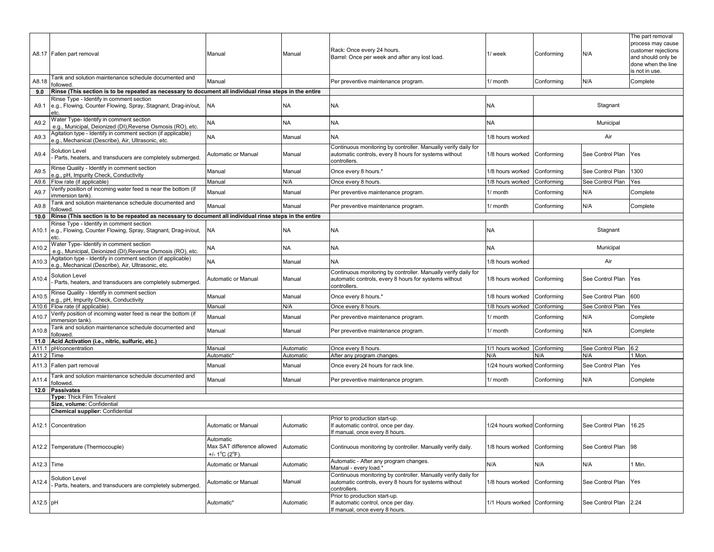|                | A8.17 Fallen part removal                                                                                          | Manual                                                    | Manual                 | Rack: Once every 24 hours.<br>Barrel: Once per week and after any lost load.                                                            | 1/ week                      | Conforming        | N/A                     | The part removal<br>process may cause<br>customer rejections<br>and should only be<br>done when the line<br>is not in use. |
|----------------|--------------------------------------------------------------------------------------------------------------------|-----------------------------------------------------------|------------------------|-----------------------------------------------------------------------------------------------------------------------------------------|------------------------------|-------------------|-------------------------|----------------------------------------------------------------------------------------------------------------------------|
| A8.18          | Tank and solution maintenance schedule documented and<br>followed.                                                 | Manual                                                    |                        | Per preventive maintenance program.                                                                                                     | 1/ month                     | Conforming        | N/A                     | Complete                                                                                                                   |
| 9.0            | Rinse (This section is to be repeated as necessary to document all individual rinse steps in the entire            |                                                           |                        |                                                                                                                                         |                              |                   |                         |                                                                                                                            |
| A9.1           | Rinse Type - Identify in comment section<br>e.g., Flowing, Counter Flowing, Spray, Stagnant, Drag-in/out,<br>etc.  | NA                                                        | <b>NA</b>              | <b>NA</b>                                                                                                                               | <b>NA</b>                    |                   | Stagnant                |                                                                                                                            |
| A9.2           | Water Type- Identify in comment section<br>e.g., Municipal, Deionized (DI), Reverse Osmosis (RO), etc.             | NA                                                        | <b>NA</b>              | <b>NA</b>                                                                                                                               | NA                           |                   | Municipal               |                                                                                                                            |
| A9.3           | Agitation type - Identify in comment section (if applicable)<br>e.g., Mechanical (Describe), Air, Ultrasonic, etc. | NA.                                                       | Manual                 | <b>NA</b>                                                                                                                               | 1/8 hours worked             |                   | Air                     |                                                                                                                            |
| A9.4           | <b>Solution Level</b><br>Parts, heaters, and transducers are completely submerged.                                 | Automatic or Manual                                       | Manual                 | Continuous monitoring by controller. Manually verify daily for<br>automatic controls, every 8 hours for systems without<br>controllers. | 1/8 hours worked             | Conforming        | See Control Plan        | Yes                                                                                                                        |
| A9.5           | Rinse Quality - Identify in comment section<br>e.g., pH, Impurity Check, Conductivity                              | Manual                                                    | Manual                 | Once every 8 hours.*                                                                                                                    | 1/8 hours worked             | Conforming        | See Control Plan        | 1300                                                                                                                       |
| A9.6           | Flow rate (if applicable)                                                                                          | Manual                                                    | N/A                    | Once every 8 hours.                                                                                                                     | 1/8 hours worked             | Conforming        | See Control Plan        | Yes                                                                                                                        |
| A9.7           | Verify position of incoming water feed is near the bottom (if<br>immersion tank).                                  | Manual                                                    | Manual                 | Per preventive maintenance program.                                                                                                     | 1/ month                     | Conforming        | N/A                     | Complete                                                                                                                   |
| A9.8           | Tank and solution maintenance schedule documented and<br>followed.                                                 | Manual                                                    | Manual                 | Per preventive maintenance program.                                                                                                     | 1/ month                     | Conforming        | N/A                     | Complete                                                                                                                   |
| 10.0           | Rinse (This section is to be repeated as necessary to document all individual rinse steps in the entire            |                                                           |                        |                                                                                                                                         |                              |                   |                         |                                                                                                                            |
| A10.1          | Rinse Type - Identify in comment section<br>e.g., Flowing, Counter Flowing, Spray, Stagnant, Drag-in/out,<br>etc.  | NA                                                        | <b>NA</b>              | NA                                                                                                                                      | <b>NA</b>                    |                   | Stagnant                |                                                                                                                            |
| A10.2          | Water Type- Identify in comment section<br>e.g., Municipal, Deionized (DI), Reverse Osmosis (RO), etc.             | <b>NA</b>                                                 | <b>NA</b>              | <b>NA</b>                                                                                                                               | <b>NA</b>                    |                   | Municipal               |                                                                                                                            |
| A10.3          | Agitation type - Identify in comment section (if applicable)<br>e.g., Mechanical (Describe), Air, Ultrasonic, etc. | NA                                                        | Manual                 | NA                                                                                                                                      | 1/8 hours worked             |                   | Air                     |                                                                                                                            |
| A10.4          | Solution Level<br>Parts, heaters, and transducers are completely submerged.                                        | Automatic or Manual                                       | Manual                 | Continuous monitoring by controller. Manually verify daily for<br>automatic controls, every 8 hours for systems without<br>controllers. | 1/8 hours worked             | Conforming        | See Control Plan        | Yes                                                                                                                        |
| A10.5          | Rinse Quality - Identify in comment section<br>e.g., pH, Impurity Check, Conductivity                              | Manual                                                    | Manual                 | Once every 8 hours.*                                                                                                                    | 1/8 hours worked             | Conforming        | See Control Plan        | 600                                                                                                                        |
| A10.6          | Flow rate (if applicable)                                                                                          | Manual                                                    | N/A                    | Once every 8 hours.                                                                                                                     | 1/8 hours worked             | Conforming        | See Control Plan        | Yes                                                                                                                        |
| A10.7          | Verify position of incoming water feed is near the bottom (if                                                      | Manual                                                    | Manual                 | Per preventive maintenance program.                                                                                                     | 1/ month                     | Conforming        | N/A                     | Complete                                                                                                                   |
|                | immersion tank).<br>Tank and solution maintenance schedule documented and                                          |                                                           |                        |                                                                                                                                         |                              |                   |                         |                                                                                                                            |
| A10.8          | followed.                                                                                                          | Manual                                                    | Manual                 | Per preventive maintenance program.                                                                                                     | 1/ month                     | Conforming        | N/A                     | Complete                                                                                                                   |
| 11.0           | Acid Activation (i.e., nitric, sulfuric, etc.)                                                                     |                                                           |                        |                                                                                                                                         |                              |                   |                         |                                                                                                                            |
| A11.1<br>A11.2 | pH/concentration                                                                                                   | Manual<br>Automatic*                                      | Automatic<br>Automatic | Once every 8 hours.                                                                                                                     | 1/1 hours worked<br>N/A      | Conforming<br>N/A | See Control Plan<br>N/A | 6.2<br>1 Mon.                                                                                                              |
| A11.3          | Time<br>Fallen part removal                                                                                        | Manual                                                    | Manual                 | After any program changes<br>Once every 24 hours for rack line.                                                                         | 1/24 hours worked            | Conforming        | See Control Plan        | Yes                                                                                                                        |
| A11.4          | Tank and solution maintenance schedule documented and                                                              | Vlanual                                                   | Manual                 | Per preventive maintenance program.                                                                                                     | 1/ month                     | Conforming        | N/A                     | Complete                                                                                                                   |
| 12.0           | followed.<br>Passivates                                                                                            |                                                           |                        |                                                                                                                                         |                              |                   |                         |                                                                                                                            |
|                | Type: Thick Film Trivalent                                                                                         |                                                           |                        |                                                                                                                                         |                              |                   |                         |                                                                                                                            |
|                | Size, volume: Confidential                                                                                         |                                                           |                        |                                                                                                                                         |                              |                   |                         |                                                                                                                            |
|                | <b>Chemical supplier: Confidential</b>                                                                             |                                                           |                        |                                                                                                                                         |                              |                   |                         |                                                                                                                            |
|                | A12.1 Concentration                                                                                                | Automatic or Manual                                       | Automatic              | Prior to production start-up.<br>If automatic control, once per day.<br>f manual, once every 8 hours.                                   | 1/24 hours worked Conforming |                   | See Control Plan        | 16.25                                                                                                                      |
|                | A12.2 Temperature (Thermocouple)                                                                                   | Automatic<br>Max SAT difference allowed<br>+/- 1°C (2°F). | Automatic              | Continuous monitoring by controller. Manually verify daily.                                                                             | 1/8 hours worked             | Conforming        | See Control Plan        | 98                                                                                                                         |
| A12.3 Time     |                                                                                                                    | Automatic or Manual                                       | Automatic              | Automatic - After any program changes.<br>Manual - every load.*                                                                         | N/A                          | N/A               | N/A                     | 1 Min.                                                                                                                     |
| A12.4          | Solution Level<br>Parts, heaters, and transducers are completely submerged.                                        | Automatic or Manual                                       | Manual                 | Continuous monitoring by controller. Manually verify daily for<br>automatic controls, every 8 hours for systems without<br>controllers. | 1/8 hours worked             | Conforming        | See Control Plan        | Yes                                                                                                                        |
| A12.5 pH       |                                                                                                                    | Automatic*                                                | Automatic              | Prior to production start-up.<br>If automatic control, once per day.<br>If manual, once every 8 hours.                                  | 1/1 Hours worked Conforming  |                   | See Control Plan 2.24   |                                                                                                                            |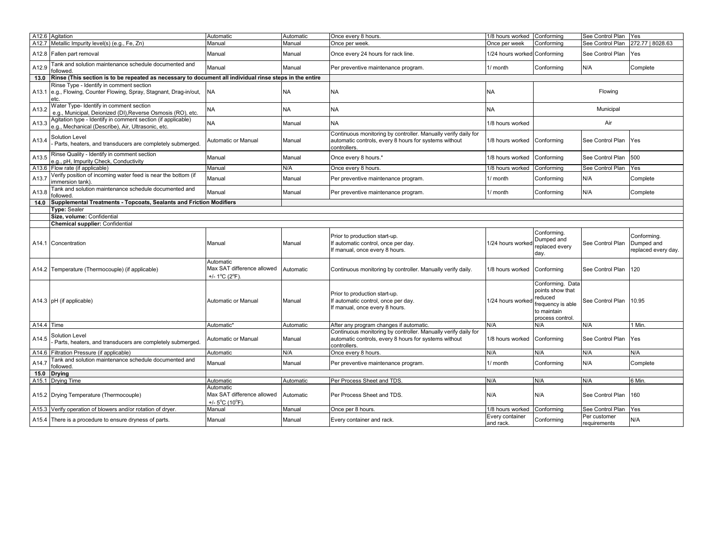|                   | A12.6 Agitation                                                                                                    | Automatic                                                                          | Automatic | Once every 8 hours.                                                                                                                     | 1/8 hours worked             | Conforming                                                                                              | See Control Plan Yes         |                                                  |
|-------------------|--------------------------------------------------------------------------------------------------------------------|------------------------------------------------------------------------------------|-----------|-----------------------------------------------------------------------------------------------------------------------------------------|------------------------------|---------------------------------------------------------------------------------------------------------|------------------------------|--------------------------------------------------|
| A12.7             | Metallic Impurity level(s) (e.g., Fe, Zn)                                                                          | Manual                                                                             | Manual    | Once per week.                                                                                                                          | Once per week                | Conformina                                                                                              | See Control Plan             | 272.77   8028.63                                 |
|                   | A12.8 Fallen part removal                                                                                          | Manual                                                                             | Manual    | Once every 24 hours for rack line.                                                                                                      | 1/24 hours worked Conforming |                                                                                                         | See Control Plan             | Yes                                              |
| A12.9             | ank and solution maintenance schedule documented and<br>ollowed                                                    | Manual                                                                             | Manual    | Per preventive maintenance program.                                                                                                     | 1/ month                     | Conforming                                                                                              | N/A                          | Complete                                         |
| 13.0              | Rinse (This section is to be repeated as necessary to document all individual rinse steps in the entire            |                                                                                    |           |                                                                                                                                         |                              |                                                                                                         |                              |                                                  |
| A13.1             | Rinse Type - Identify in comment section<br>e.g., Flowing, Counter Flowing, Spray, Stagnant, Drag-in/out,<br>etc.  | <b>NA</b>                                                                          | <b>NA</b> | <b>NA</b>                                                                                                                               | <b>NA</b>                    |                                                                                                         | Flowing                      |                                                  |
| A13.2             | <b>Nater Type- Identify in comment section</b><br>e.g., Municipal, Deionized (DI), Reverse Osmosis (RO), etc.      | <b>NA</b>                                                                          | <b>NA</b> | <b>NA</b>                                                                                                                               | <b>NA</b>                    |                                                                                                         | Municipal                    |                                                  |
| A13.3             | Agitation type - Identify in comment section (if applicable)<br>e.g., Mechanical (Describe), Air, Ultrasonic, etc. | <b>NA</b>                                                                          | Manual    | <b>NA</b>                                                                                                                               | 1/8 hours worked             |                                                                                                         | Air                          |                                                  |
| A13.4             | <b>Solution Level</b><br>Parts, heaters, and transducers are completely submerged.                                 | Automatic or Manual                                                                | Manual    | Continuous monitoring by controller. Manually verify daily for<br>automatic controls, every 8 hours for systems without<br>controllers. | 1/8 hours worked             | Conforming                                                                                              | See Control Plan             | Yes                                              |
| A13.5             | Rinse Quality - Identify in comment section<br>.g., pH, Impurity Check, Conductivity                               | Manual                                                                             | Manual    | Once every 8 hours.*                                                                                                                    | 1/8 hours worked             | Conforming                                                                                              | See Control Plan             | 500                                              |
|                   | A13.6 Flow rate (if applicable)                                                                                    | Manual                                                                             | N/A       | Once every 8 hours.                                                                                                                     | 1/8 hours worked             | Conforming                                                                                              | See Control Plan             | Yes                                              |
| A13.7             | erify position of incoming water feed is near the bottom (if<br>mmersion tank)                                     | Manual                                                                             | Manual    | Per preventive maintenance program.                                                                                                     | 1/ month                     | Conforming                                                                                              | N/A                          | Complete                                         |
| A13.8             | Tank and solution maintenance schedule documented and<br>ollowed                                                   | Manual                                                                             | Manual    | Per preventive maintenance program.                                                                                                     | 1/ month                     | Conforming                                                                                              | N/A                          | Complete                                         |
| 14.0              | Supplemental Treatments - Topcoats, Sealants and Friction Modifiers                                                |                                                                                    |           |                                                                                                                                         |                              |                                                                                                         |                              |                                                  |
|                   | Type: Sealer                                                                                                       |                                                                                    |           |                                                                                                                                         |                              |                                                                                                         |                              |                                                  |
|                   | Size, volume: Confidential                                                                                         |                                                                                    |           |                                                                                                                                         |                              |                                                                                                         |                              |                                                  |
|                   | <b>Chemical supplier: Confidential</b>                                                                             |                                                                                    |           |                                                                                                                                         |                              |                                                                                                         |                              |                                                  |
|                   | A <sub>14.1</sub> Concentration                                                                                    | Manual                                                                             | Manual    | Prior to production start-up.<br>If automatic control, once per day.<br>If manual, once every 8 hours.                                  | 1/24 hours worked            | Conforming.<br>Dumped and<br>replaced every<br>day.                                                     | See Control Plan             | Conformina.<br>Dumped and<br>replaced every day. |
|                   | A14.2 Temperature (Thermocouple) (if applicable)                                                                   | Automatic<br>Max SAT difference allowed<br>+/- 1 <sup>o</sup> C (2 <sup>o</sup> F) | Automatic | Continuous monitoring by controller. Manually verify daily.                                                                             | 1/8 hours worked             | Conforming                                                                                              | See Control Plan             | 120                                              |
|                   | A14.3 pH (if applicable)                                                                                           | Automatic or Manual                                                                | Manual    | Prior to production start-up.<br>If automatic control, once per day.<br>If manual, once every 8 hours.                                  | 1/24 hours worked            | Conforming. Data<br>points show that<br>reduced<br>frequency is able<br>to maintain<br>process control. | See Control Plan             | 10.95                                            |
| $A14.4$ Time      |                                                                                                                    | Automatic*                                                                         | Automatic | After any program changes if automatic.                                                                                                 | N/A                          | N/A                                                                                                     | N/A                          | 1 Min.                                           |
| A14.5             | Solution Level<br>Parts, heaters, and transducers are completely submerged.                                        | Automatic or Manual                                                                | Manual    | Continuous monitoring by controller. Manually verify daily for<br>automatic controls, every 8 hours for systems without<br>controllers. | 1/8 hours worked             | Conforming                                                                                              | See Control Plan             | Yes                                              |
| A14.6             | Filtration Pressure (if applicable)                                                                                | Automatic                                                                          | N/A       | Once every 8 hours.                                                                                                                     | N/A                          | N/A                                                                                                     | N/A                          | N/A                                              |
| A14.7             | Tank and solution maintenance schedule documented and<br>ollowed                                                   | Manual                                                                             | Manual    | Per preventive maintenance program.                                                                                                     | 1/ month                     | Conforming                                                                                              | N/A                          | Complete                                         |
| 15.0              | <b>Drying</b>                                                                                                      |                                                                                    |           |                                                                                                                                         |                              |                                                                                                         |                              |                                                  |
| A <sub>15.1</sub> | <b>Drying Time</b>                                                                                                 | Automatic                                                                          | Automatic | Per Process Sheet and TDS.                                                                                                              | N/A                          | N/A                                                                                                     | N/A                          | 6 Min.                                           |
|                   | A15.2 Drying Temperature (Thermocouple)                                                                            | Automatic<br>Max SAT difference allowed<br>+/- $5^{\circ}$ C (10 $^{\circ}$ F)     | Automatic | Per Process Sheet and TDS.                                                                                                              | N/A                          | N/A                                                                                                     | See Control Plan             | 160                                              |
| A15.3             | /erify operation of blowers and/or rotation of dryer.                                                              | Manual                                                                             | Manual    | Once per 8 hours.                                                                                                                       | 1/8 hours worked             | Conforming                                                                                              | See Control Plan             | Yes                                              |
|                   | A15.4 There is a procedure to ensure dryness of parts.                                                             | Manual                                                                             | Manual    | Every container and rack.                                                                                                               | Every container<br>and rack. | Conforming                                                                                              | Per customer<br>requirements | N/A                                              |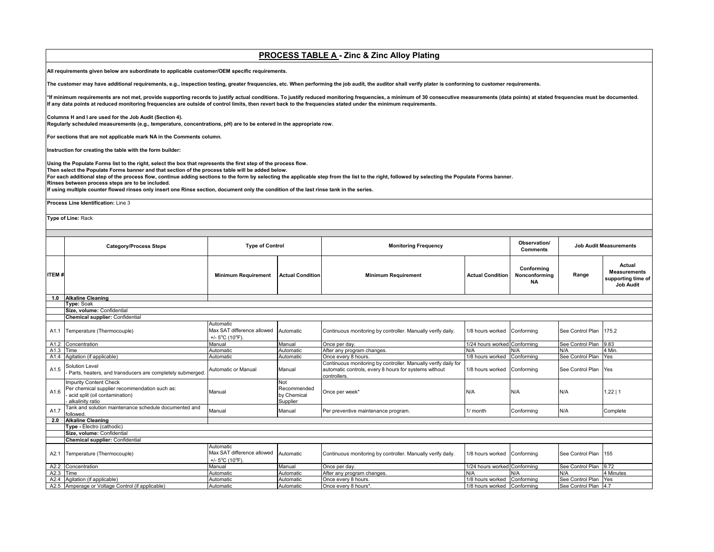# **PROCESS TABLE A - Zinc & Zinc Alloy Plating**

**All requirements given below are subordinate to applicable customer/OEM specific requirements.** 

**The customer may have additional requirements, e.g., inspection testing, greater frequencies, etc. When performing the job audit, the auditor shall verify plater is conforming to customer requirements.**

\*If minimum requirements are not met, provide supporting records to justify actual conditions. To justify reduced monitoring frequencies, a minimum of 30 consecutive measurements (data points) at stated frequencies must be **If any data points at reduced monitoring frequencies are outside of control limits, then revert back to the frequencies stated under the minimum requirements.** 

#### **Columns H and I are used for the Job Audit (Section 4).**

**Regularly scheduled measurements (e.g., temperature, concentrations, pH) are to be entered in the appropriate row.**

**For sections that are not applicable mark NA in the Comments column.**

**Instruction for creating the table with the form builder:**

**Using the Populate Forms list to the right, select the box that represents the first step of the process flow.**

**Then select the Populate Forms banner and that section of the process table will be added below.**

**For each additional step of the process flow, continue adding sections to the form by selecting the applicable step from the list to the right, followed by selecting the Populate Forms banner.**

**Rinses between process steps are to be included.**

**If using multiple counter flowed rinses only insert one Rinse section, document only the condition of the last rinse tank in the series.**

**Process Line Identification:** Line 3

**Type of Line:** Rack

| Observation/<br><b>Job Audit Measurements</b><br><b>Type of Control</b><br><b>Monitoring Frequency</b><br><b>Category/Process Steps</b><br><b>Comments</b><br>Conformina<br><b>ITEM#</b><br><b>Minimum Requirement</b><br><b>Actual Condition</b><br><b>Minimum Requirement</b><br><b>Actual Condition</b><br>Nonconformina<br>Range<br><b>NA</b><br><b>Alkaline Cleaning</b><br>1.0<br><b>Type: Soak</b><br>Size, volume: Confidential<br>Chemical supplier: Confidential<br>Automatic<br>Max SAT difference allowed<br>A1.1 Temperature (Thermocouple)<br>See Control Plan<br>175.2<br>Automatic<br>Continuous monitoring by controller. Manually verify daily.<br>1/8 hours worked<br>Conformina<br>+/- $5^{\circ}$ C (10 $^{\circ}$ F).<br>1/24 hours worked Conforming<br>See Control Plan<br>9.83<br>A1.2 Concentration<br>Manual<br>Manual<br>Once per day.<br>4 Min.<br>A1.3<br>Time<br>Automatic<br>After any program changes.<br>N/A<br>N/A<br>N/A<br>Automatic<br>1/8 hours worked<br>See Control Plan<br>A1.4<br>Agitation (if applicable)<br>Once every 8 hours.<br>Yes<br>Automatic<br>Conforming<br>Automatic<br>Continuous monitoring by controller. Manually verify daily for<br><b>Solution Level</b><br>A1.5<br>Automatic or Manual<br>automatic controls, every 8 hours for systems without<br>Conforming<br>See Control Plan<br>Manual<br>1/8 hours worked<br>Yes<br>Parts, heaters, and transducers are completely submerged.<br>controllers.<br><b>Impurity Content Check</b><br>Not<br>Per chemical supplier recommendation such as:<br>Recommended<br>A1.6<br>N/A<br>N/A<br>1.22   1<br>N/A<br>Manual<br>Once per week*<br>- acid split (oil contamination)<br>by Chemical<br>alkalinity ratio<br>Supplier<br>Tank and solution maintenance schedule documented and<br>A1.7<br>N/A<br>Manual<br>Manual<br>Per preventive maintenance program.<br>1/ month<br>Conforming<br>followed.<br><b>Alkaline Cleaning</b><br>2.0<br>Type - Electro (cathodic)<br>Size, volume: Confidential<br>Chemical supplier: Confidential<br>Automatic<br>Max SAT difference allowed<br>See Control Plan<br>Temperature (Thermocouple)<br>1/8 hours worked<br>Conforming<br>155<br>A2.1<br>Automatic<br>Continuous monitoring by controller. Manually verify daily.<br>+/- $5^{\circ}$ C (10 $^{\circ}$ F).<br>See Control Plan<br>9.72<br>A2.2<br>Concentration<br>Manual<br>Manual<br>Once per day.<br>1/24 hours worked Conforming<br>A2.3<br>After any program changes.<br>Time<br>Automatic<br>Automatic<br>N/A<br>N/A<br>N/A<br>1/8 hours worked<br>See Control Plan<br>A2.4<br>Once every 8 hours.<br>Yes<br>Automatic<br>Automatic |                           |  |  |            |                                                                  |
|-------------------------------------------------------------------------------------------------------------------------------------------------------------------------------------------------------------------------------------------------------------------------------------------------------------------------------------------------------------------------------------------------------------------------------------------------------------------------------------------------------------------------------------------------------------------------------------------------------------------------------------------------------------------------------------------------------------------------------------------------------------------------------------------------------------------------------------------------------------------------------------------------------------------------------------------------------------------------------------------------------------------------------------------------------------------------------------------------------------------------------------------------------------------------------------------------------------------------------------------------------------------------------------------------------------------------------------------------------------------------------------------------------------------------------------------------------------------------------------------------------------------------------------------------------------------------------------------------------------------------------------------------------------------------------------------------------------------------------------------------------------------------------------------------------------------------------------------------------------------------------------------------------------------------------------------------------------------------------------------------------------------------------------------------------------------------------------------------------------------------------------------------------------------------------------------------------------------------------------------------------------------------------------------------------------------------------------------------------------------------------------------------------------------------------------------------------------------------------------------------------------------------------------------------------------------------------------------------------------------------------------------------|---------------------------|--|--|------------|------------------------------------------------------------------|
|                                                                                                                                                                                                                                                                                                                                                                                                                                                                                                                                                                                                                                                                                                                                                                                                                                                                                                                                                                                                                                                                                                                                                                                                                                                                                                                                                                                                                                                                                                                                                                                                                                                                                                                                                                                                                                                                                                                                                                                                                                                                                                                                                                                                                                                                                                                                                                                                                                                                                                                                                                                                                                                 |                           |  |  |            |                                                                  |
|                                                                                                                                                                                                                                                                                                                                                                                                                                                                                                                                                                                                                                                                                                                                                                                                                                                                                                                                                                                                                                                                                                                                                                                                                                                                                                                                                                                                                                                                                                                                                                                                                                                                                                                                                                                                                                                                                                                                                                                                                                                                                                                                                                                                                                                                                                                                                                                                                                                                                                                                                                                                                                                 |                           |  |  |            | Actual<br><b>Measurements</b><br>supporting time of<br>Job Audit |
|                                                                                                                                                                                                                                                                                                                                                                                                                                                                                                                                                                                                                                                                                                                                                                                                                                                                                                                                                                                                                                                                                                                                                                                                                                                                                                                                                                                                                                                                                                                                                                                                                                                                                                                                                                                                                                                                                                                                                                                                                                                                                                                                                                                                                                                                                                                                                                                                                                                                                                                                                                                                                                                 |                           |  |  |            |                                                                  |
|                                                                                                                                                                                                                                                                                                                                                                                                                                                                                                                                                                                                                                                                                                                                                                                                                                                                                                                                                                                                                                                                                                                                                                                                                                                                                                                                                                                                                                                                                                                                                                                                                                                                                                                                                                                                                                                                                                                                                                                                                                                                                                                                                                                                                                                                                                                                                                                                                                                                                                                                                                                                                                                 |                           |  |  |            |                                                                  |
|                                                                                                                                                                                                                                                                                                                                                                                                                                                                                                                                                                                                                                                                                                                                                                                                                                                                                                                                                                                                                                                                                                                                                                                                                                                                                                                                                                                                                                                                                                                                                                                                                                                                                                                                                                                                                                                                                                                                                                                                                                                                                                                                                                                                                                                                                                                                                                                                                                                                                                                                                                                                                                                 |                           |  |  |            |                                                                  |
|                                                                                                                                                                                                                                                                                                                                                                                                                                                                                                                                                                                                                                                                                                                                                                                                                                                                                                                                                                                                                                                                                                                                                                                                                                                                                                                                                                                                                                                                                                                                                                                                                                                                                                                                                                                                                                                                                                                                                                                                                                                                                                                                                                                                                                                                                                                                                                                                                                                                                                                                                                                                                                                 |                           |  |  |            |                                                                  |
|                                                                                                                                                                                                                                                                                                                                                                                                                                                                                                                                                                                                                                                                                                                                                                                                                                                                                                                                                                                                                                                                                                                                                                                                                                                                                                                                                                                                                                                                                                                                                                                                                                                                                                                                                                                                                                                                                                                                                                                                                                                                                                                                                                                                                                                                                                                                                                                                                                                                                                                                                                                                                                                 |                           |  |  |            |                                                                  |
|                                                                                                                                                                                                                                                                                                                                                                                                                                                                                                                                                                                                                                                                                                                                                                                                                                                                                                                                                                                                                                                                                                                                                                                                                                                                                                                                                                                                                                                                                                                                                                                                                                                                                                                                                                                                                                                                                                                                                                                                                                                                                                                                                                                                                                                                                                                                                                                                                                                                                                                                                                                                                                                 |                           |  |  |            |                                                                  |
|                                                                                                                                                                                                                                                                                                                                                                                                                                                                                                                                                                                                                                                                                                                                                                                                                                                                                                                                                                                                                                                                                                                                                                                                                                                                                                                                                                                                                                                                                                                                                                                                                                                                                                                                                                                                                                                                                                                                                                                                                                                                                                                                                                                                                                                                                                                                                                                                                                                                                                                                                                                                                                                 |                           |  |  |            |                                                                  |
|                                                                                                                                                                                                                                                                                                                                                                                                                                                                                                                                                                                                                                                                                                                                                                                                                                                                                                                                                                                                                                                                                                                                                                                                                                                                                                                                                                                                                                                                                                                                                                                                                                                                                                                                                                                                                                                                                                                                                                                                                                                                                                                                                                                                                                                                                                                                                                                                                                                                                                                                                                                                                                                 |                           |  |  |            |                                                                  |
|                                                                                                                                                                                                                                                                                                                                                                                                                                                                                                                                                                                                                                                                                                                                                                                                                                                                                                                                                                                                                                                                                                                                                                                                                                                                                                                                                                                                                                                                                                                                                                                                                                                                                                                                                                                                                                                                                                                                                                                                                                                                                                                                                                                                                                                                                                                                                                                                                                                                                                                                                                                                                                                 |                           |  |  |            |                                                                  |
|                                                                                                                                                                                                                                                                                                                                                                                                                                                                                                                                                                                                                                                                                                                                                                                                                                                                                                                                                                                                                                                                                                                                                                                                                                                                                                                                                                                                                                                                                                                                                                                                                                                                                                                                                                                                                                                                                                                                                                                                                                                                                                                                                                                                                                                                                                                                                                                                                                                                                                                                                                                                                                                 |                           |  |  |            |                                                                  |
|                                                                                                                                                                                                                                                                                                                                                                                                                                                                                                                                                                                                                                                                                                                                                                                                                                                                                                                                                                                                                                                                                                                                                                                                                                                                                                                                                                                                                                                                                                                                                                                                                                                                                                                                                                                                                                                                                                                                                                                                                                                                                                                                                                                                                                                                                                                                                                                                                                                                                                                                                                                                                                                 |                           |  |  |            | Complete                                                         |
|                                                                                                                                                                                                                                                                                                                                                                                                                                                                                                                                                                                                                                                                                                                                                                                                                                                                                                                                                                                                                                                                                                                                                                                                                                                                                                                                                                                                                                                                                                                                                                                                                                                                                                                                                                                                                                                                                                                                                                                                                                                                                                                                                                                                                                                                                                                                                                                                                                                                                                                                                                                                                                                 |                           |  |  |            |                                                                  |
|                                                                                                                                                                                                                                                                                                                                                                                                                                                                                                                                                                                                                                                                                                                                                                                                                                                                                                                                                                                                                                                                                                                                                                                                                                                                                                                                                                                                                                                                                                                                                                                                                                                                                                                                                                                                                                                                                                                                                                                                                                                                                                                                                                                                                                                                                                                                                                                                                                                                                                                                                                                                                                                 |                           |  |  |            |                                                                  |
|                                                                                                                                                                                                                                                                                                                                                                                                                                                                                                                                                                                                                                                                                                                                                                                                                                                                                                                                                                                                                                                                                                                                                                                                                                                                                                                                                                                                                                                                                                                                                                                                                                                                                                                                                                                                                                                                                                                                                                                                                                                                                                                                                                                                                                                                                                                                                                                                                                                                                                                                                                                                                                                 |                           |  |  |            |                                                                  |
|                                                                                                                                                                                                                                                                                                                                                                                                                                                                                                                                                                                                                                                                                                                                                                                                                                                                                                                                                                                                                                                                                                                                                                                                                                                                                                                                                                                                                                                                                                                                                                                                                                                                                                                                                                                                                                                                                                                                                                                                                                                                                                                                                                                                                                                                                                                                                                                                                                                                                                                                                                                                                                                 |                           |  |  |            |                                                                  |
|                                                                                                                                                                                                                                                                                                                                                                                                                                                                                                                                                                                                                                                                                                                                                                                                                                                                                                                                                                                                                                                                                                                                                                                                                                                                                                                                                                                                                                                                                                                                                                                                                                                                                                                                                                                                                                                                                                                                                                                                                                                                                                                                                                                                                                                                                                                                                                                                                                                                                                                                                                                                                                                 |                           |  |  |            |                                                                  |
|                                                                                                                                                                                                                                                                                                                                                                                                                                                                                                                                                                                                                                                                                                                                                                                                                                                                                                                                                                                                                                                                                                                                                                                                                                                                                                                                                                                                                                                                                                                                                                                                                                                                                                                                                                                                                                                                                                                                                                                                                                                                                                                                                                                                                                                                                                                                                                                                                                                                                                                                                                                                                                                 |                           |  |  |            |                                                                  |
|                                                                                                                                                                                                                                                                                                                                                                                                                                                                                                                                                                                                                                                                                                                                                                                                                                                                                                                                                                                                                                                                                                                                                                                                                                                                                                                                                                                                                                                                                                                                                                                                                                                                                                                                                                                                                                                                                                                                                                                                                                                                                                                                                                                                                                                                                                                                                                                                                                                                                                                                                                                                                                                 |                           |  |  |            | 4 Minutes                                                        |
|                                                                                                                                                                                                                                                                                                                                                                                                                                                                                                                                                                                                                                                                                                                                                                                                                                                                                                                                                                                                                                                                                                                                                                                                                                                                                                                                                                                                                                                                                                                                                                                                                                                                                                                                                                                                                                                                                                                                                                                                                                                                                                                                                                                                                                                                                                                                                                                                                                                                                                                                                                                                                                                 | Agitation (if applicable) |  |  | Conforming |                                                                  |
| A2.5 Amperage or Voltage Control (if applicable)<br>1/8 hours worked<br>4.7<br>Automatic<br>Once every 8 hours*<br>Conforming<br>See Control Plan<br>Automatic                                                                                                                                                                                                                                                                                                                                                                                                                                                                                                                                                                                                                                                                                                                                                                                                                                                                                                                                                                                                                                                                                                                                                                                                                                                                                                                                                                                                                                                                                                                                                                                                                                                                                                                                                                                                                                                                                                                                                                                                                                                                                                                                                                                                                                                                                                                                                                                                                                                                                  |                           |  |  |            |                                                                  |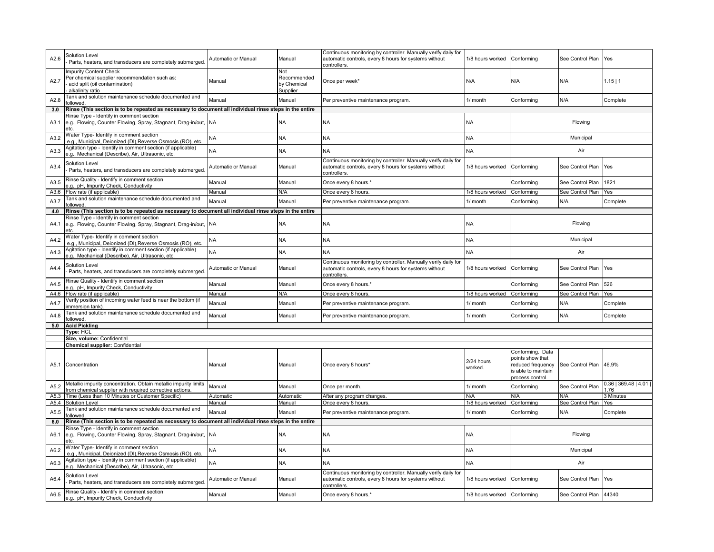| A2.6 | Solution Level<br>Parts, heaters, and transducers are completely submerged                                                           | Automatic or Manual | Manual                                        | Continuous monitoring by controller. Manually verify daily for<br>automatic controls, every 8 hours for systems without<br>controllers. | 1/8 hours worked      | Conforming                                                                                         | See Control Plan | Yes                             |
|------|--------------------------------------------------------------------------------------------------------------------------------------|---------------------|-----------------------------------------------|-----------------------------------------------------------------------------------------------------------------------------------------|-----------------------|----------------------------------------------------------------------------------------------------|------------------|---------------------------------|
| A2.7 | <b>Impurity Content Check</b><br>Per chemical supplier recommendation such as:<br>acid split (oil contamination)<br>alkalinity ratio | Manual              | Not<br>Recommended<br>by Chemical<br>Supplier | Once per week'                                                                                                                          | N/A                   | N/A                                                                                                | N/A              | 1.15 1                          |
| A2.8 | Tank and solution maintenance schedule documented and<br>ollowed.                                                                    | Manual              | Manual                                        | Per preventive maintenance program.                                                                                                     | 1/ month              | Conforming                                                                                         | N/A              | Complete                        |
| 3.0  | Rinse (This section is to be repeated as necessary to document all individual rinse steps in the entire                              |                     |                                               |                                                                                                                                         |                       |                                                                                                    |                  |                                 |
| A3.1 | Rinse Type - Identify in comment section<br>9.g., Flowing, Counter Flowing, Spray, Stagnant, Drag-in/out, NA<br>etc.                 |                     | NA                                            | <b>NA</b>                                                                                                                               | <b>NA</b>             |                                                                                                    | Flowing          |                                 |
| A3.2 | Vater Type- Identify in comment section<br>e.g., Municipal, Deionized (DI),Reverse Osmosis (RO), etc                                 | <b>NA</b>           | NΑ                                            | <b>NA</b>                                                                                                                               | <b>NA</b>             |                                                                                                    | Municipal        |                                 |
| A3.3 | Agitation type - Identify in comment section (if applicable)<br>.g., Mechanical (Describe), Air, Ultrasonic, etc.                    | <b>NA</b>           | NA                                            | NΑ                                                                                                                                      | <b>NA</b>             |                                                                                                    | Air              |                                 |
| A3.4 | Solution Level<br>Parts, heaters, and transducers are completely submerged.                                                          | Automatic or Manual | Manual                                        | Continuous monitoring by controller. Manually verify daily for<br>automatic controls, every 8 hours for systems without<br>controllers. | 1/8 hours worked      | Conforming                                                                                         | See Control Plan | Yes                             |
| A3.5 | Rinse Quality - Identify in comment section<br>.g., pH, Impurity Check, Conductivity                                                 | Manual              | Manual                                        | Once every 8 hours.'                                                                                                                    |                       | Conforming                                                                                         | See Control Plan | 1821                            |
| A3.6 | Flow rate (if applicable)                                                                                                            | Manual              | N/A                                           | Once every 8 hours.                                                                                                                     | 1/8 hours worked      | Conforming                                                                                         | See Control Plan | Yes                             |
| A3.7 | Tank and solution maintenance schedule documented and                                                                                | Manual              | Manual                                        | Per preventive maintenance program.                                                                                                     | 1/ month              | Conforming                                                                                         | N/A              | Complete                        |
| 4.0  | ollowed<br>Rinse (This section is to be repeated as necessary to document all individual rinse steps in the entire                   |                     |                                               |                                                                                                                                         |                       |                                                                                                    |                  |                                 |
|      | Rinse Type - Identify in comment section                                                                                             |                     |                                               |                                                                                                                                         |                       |                                                                                                    |                  |                                 |
| A4.1 | e.g., Flowing, Counter Flowing, Spray, Stagnant, Drag-in/out, NA<br>etc.                                                             |                     | NA                                            | NA                                                                                                                                      | NA                    |                                                                                                    | Flowing          |                                 |
| A4.2 | Water Type- Identify in comment section<br>e.g., Municipal, Deionized (DI),Reverse Osmosis (RO), etc.                                | <b>NA</b>           | <b>NA</b>                                     | <b>NA</b>                                                                                                                               | <b>NA</b>             |                                                                                                    | Municipal        |                                 |
| A4.3 | Agitation type - Identify in comment section (if applicable)<br>.g., Mechanical (Describe), Air, Ultrasonic, etc.                    | <b>NA</b>           | NΑ                                            | <b>NA</b>                                                                                                                               | <b>NA</b>             |                                                                                                    | Air              |                                 |
| A4.4 | Solution Level<br>Parts, heaters, and transducers are completely submerged.                                                          | Automatic or Manual | Manual                                        | Continuous monitoring by controller. Manually verify daily for<br>automatic controls, every 8 hours for systems without<br>controllers. | 1/8 hours worked      | Conforming                                                                                         | See Control Plan | Yes                             |
| A4.5 | Rinse Quality - Identify in comment section<br>.g., pH, Impurity Check, Conductivity                                                 | Manual              | Manual                                        | Once every 8 hours.'                                                                                                                    |                       | Conforming                                                                                         | See Control Plan | 526                             |
| A4.6 | Flow rate (if applicable)                                                                                                            | Manual              | N/A                                           | Once every 8 hours.                                                                                                                     | 1/8 hours worked      | Conforming                                                                                         | See Control Plan | Yes                             |
| A4.7 | /erify position of incoming water feed is near the bottom (if<br>mmersion tank)                                                      | Manual              | Manual                                        | Per preventive maintenance program.                                                                                                     | 1/ month              | Conforming                                                                                         | N/A              | Complete                        |
| A4.8 | Tank and solution maintenance schedule documented and<br>ollowed                                                                     | Manual              | Manual                                        | Per preventive maintenance program.                                                                                                     | 1/ month              | Conforming                                                                                         | N/A              | Complete                        |
| 5.0  | <b>Acid Pickling</b>                                                                                                                 |                     |                                               |                                                                                                                                         |                       |                                                                                                    |                  |                                 |
|      | Type: HCL                                                                                                                            |                     |                                               |                                                                                                                                         |                       |                                                                                                    |                  |                                 |
|      | Size, volume: Confidential<br>Chemical supplier: Confidential                                                                        |                     |                                               |                                                                                                                                         |                       |                                                                                                    |                  |                                 |
| A5.1 | Concentration                                                                                                                        | Manual              | Manual                                        | Once every 8 hours'                                                                                                                     | 2/24 hours<br>worked. | Conforming. Data<br>points show that<br>educed frequency<br>s able to maintain<br>process control. | See Control Plan | 46.9%                           |
| A5.2 | Metallic impurity concentration. Obtain metallic impurity limits<br>from chemical supplier with required corrective actions.         | Manual              | Manual                                        | Once per month.                                                                                                                         | 1/ month              | Conforming                                                                                         | See Control Plan | $0.36$   369.48   4.01  <br>.76 |
| A5.3 | Time (Less than 10 Minutes or Customer Specific)                                                                                     | Automatic           | Automatic                                     | After any program changes.                                                                                                              | N/A                   | N/A                                                                                                | N/A              | 3 Minutes                       |
| A5.4 | Solution Level                                                                                                                       | Manual              | Manual                                        | Once every 8 hours.                                                                                                                     | 1/8 hours worked      | Conforming                                                                                         | See Control Plan | Yes                             |
| A5.5 | Tank and solution maintenance schedule documented and<br>ollowed                                                                     | Manual              | Manual                                        | Per preventive maintenance program.                                                                                                     | 1/ month              | Conforming                                                                                         | N/A              | Complete                        |
| 6.0  | Rinse (This section is to be repeated as necessary to document all individual rinse steps in the entire                              |                     |                                               |                                                                                                                                         |                       |                                                                                                    |                  |                                 |
| A6.1 | Rinse Type - Identify in comment section<br>e.g., Flowing, Counter Flowing, Spray, Stagnant, Drag-in/out,<br>۹tc                     | <b>NA</b>           | NΑ                                            | <b>NA</b>                                                                                                                               | NA                    |                                                                                                    | Flowing          |                                 |
| A6.2 | <b>Nater Type- Identify in comment section</b><br>e.g., Municipal, Deionized (DI),Reverse Osmosis (RO), etc                          | NΑ                  | <b>NA</b>                                     | NA                                                                                                                                      | <b>NA</b>             |                                                                                                    | Municipal        |                                 |
| A6.3 | Agitation type - Identify in comment section (if applicable)<br>.g., Mechanical (Describe), Air, Ultrasonic, etc.                    | <b>NA</b>           | <b>NA</b>                                     | <b>NA</b>                                                                                                                               | <b>NA</b>             |                                                                                                    | Air              |                                 |
| A6.4 | <b>Solution Level</b><br>Parts, heaters, and transducers are completely submerged.                                                   | Automatic or Manual | Manual                                        | Continuous monitoring by controller. Manually verify daily for<br>automatic controls, every 8 hours for systems without<br>controllers  | 1/8 hours worked      | Conforming                                                                                         | See Control Plan | Yes                             |
| A6.5 | Rinse Quality - Identify in comment section<br>e.g., pH, Impurity Check, Conductivity                                                | Manual              | Manual                                        | Once every 8 hours.*                                                                                                                    | 1/8 hours worked      | Conforming                                                                                         | See Control Plan | 44340                           |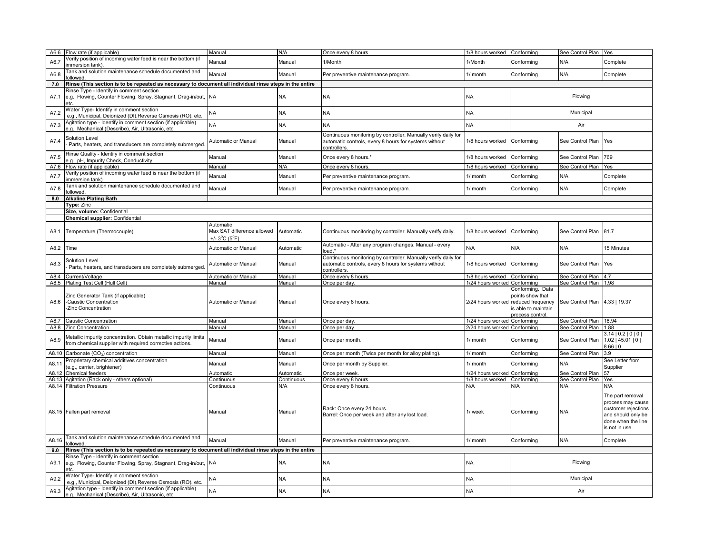|       | A6.6 Flow rate (if applicable)                                                                                                                                        | Manual                                                            | N/A           | Once every 8 hours.                                                                                                                     | 1/8 hours worked             | Conforming                                                                       | See Control Plan      | Yes                                                                                                                               |
|-------|-----------------------------------------------------------------------------------------------------------------------------------------------------------------------|-------------------------------------------------------------------|---------------|-----------------------------------------------------------------------------------------------------------------------------------------|------------------------------|----------------------------------------------------------------------------------|-----------------------|-----------------------------------------------------------------------------------------------------------------------------------|
| A6.7  | /erify position of incoming water feed is near the bottom (if<br>mmersion tank).                                                                                      | Manual                                                            | Manual        | 1/Month                                                                                                                                 | 1/Month                      | Conforming                                                                       | N/A                   | Complete                                                                                                                          |
| A6.8  | Tank and solution maintenance schedule documented and<br>ollowed                                                                                                      | Manual                                                            | Manual        | Per preventive maintenance program.                                                                                                     | 1/ month                     | Conforming                                                                       | N/A                   | Complete                                                                                                                          |
| 7.0   | Rinse (This section is to be repeated as necessary to document all individual rinse steps in the entire                                                               |                                                                   |               |                                                                                                                                         |                              |                                                                                  |                       |                                                                                                                                   |
| A7.1  | Rinse Type - Identify in comment section<br>e.g., Flowing, Counter Flowing, Spray, Stagnant, Drag-in/out, NA                                                          |                                                                   | ΝA            | NA                                                                                                                                      | NA                           |                                                                                  | Flowing               |                                                                                                                                   |
| A7.2  | Water Type- Identify in comment section<br>e.g., Municipal, Deionized (DI), Reverse Osmosis (RO), etc.                                                                | NA                                                                | <b>NA</b>     | NA                                                                                                                                      | <b>NA</b>                    |                                                                                  | Municipal             |                                                                                                                                   |
| A7.3  | Agitation type - Identify in comment section (if applicable)<br>g., Mechanical (Describe), Air, Ultrasonic, etc.                                                      | <b>NA</b>                                                         | NA            | <b>NA</b>                                                                                                                               | <b>NA</b>                    |                                                                                  | Air                   |                                                                                                                                   |
| A7.4  | Solution Level<br>Parts, heaters, and transducers are completely submerged                                                                                            | Automatic or Manual                                               | Manual        | Continuous monitoring by controller. Manually verify daily for<br>automatic controls, every 8 hours for systems without<br>controllers. | 1/8 hours worked             | Conforming                                                                       | See Control Plan      | Yes                                                                                                                               |
| A7.5  | Rinse Quality - Identify in comment section<br>.g., pH, Impurity Check, Conductivity                                                                                  | Manual                                                            | Manual        | Once every 8 hours.*                                                                                                                    | 1/8 hours worked             | Conforming                                                                       | See Control Plan      | 769                                                                                                                               |
| A7.6  | Flow rate (if applicable)                                                                                                                                             | Manual                                                            | N/A           | Once every 8 hours.                                                                                                                     | 1/8 hours worked             | Conforming                                                                       | See Control Plan      | Yes                                                                                                                               |
| A7.7  | /erify position of incoming water feed is near the bottom (if<br>mmersion tank)                                                                                       | Manual                                                            | Manual        | Per preventive maintenance program.                                                                                                     | 1/ month                     | Conforming                                                                       | N/A                   | Complete                                                                                                                          |
| A7.8  | Tank and solution maintenance schedule documented and<br>ollowed.                                                                                                     | Manual                                                            | Manual        | Per preventive maintenance program.                                                                                                     | 1/ month                     | Conforming                                                                       | N/A                   | Complete                                                                                                                          |
| 8.0   | <b>Alkaline Plating Bath</b>                                                                                                                                          |                                                                   |               |                                                                                                                                         |                              |                                                                                  |                       |                                                                                                                                   |
|       | Type: Zinc<br>Size, volume: Confidential                                                                                                                              |                                                                   |               |                                                                                                                                         |                              |                                                                                  |                       |                                                                                                                                   |
|       | <b>Chemical supplier: Confidential</b>                                                                                                                                |                                                                   |               |                                                                                                                                         |                              |                                                                                  |                       |                                                                                                                                   |
|       |                                                                                                                                                                       | Automatic                                                         |               |                                                                                                                                         |                              |                                                                                  |                       |                                                                                                                                   |
| A8.1  | Temperature (Thermocouple)                                                                                                                                            | Max SAT difference allowed<br>+/- $3^{\circ}$ C ( $5^{\circ}$ F). | Automatic     | Continuous monitoring by controller. Manually verify daily.                                                                             | 1/8 hours worked             | Conforming                                                                       | See Control Plan      | 81.7                                                                                                                              |
| A8.2  | Time                                                                                                                                                                  | Automatic or Manual                                               | Automatic     | Automatic - After any program changes. Manual - every<br>load.*                                                                         | N/A                          | N/A                                                                              | N/A                   | 15 Minutes                                                                                                                        |
| A8.3  | Solution Level<br>Parts, heaters, and transducers are completely submerged.                                                                                           | Automatic or Manual                                               | Manual        | Continuous monitoring by controller. Manually verify daily for<br>automatic controls, every 8 hours for systems without<br>controllers  | 1/8 hours worked             | Conforming                                                                       | See Control Plan      | Yes                                                                                                                               |
|       |                                                                                                                                                                       |                                                                   |               |                                                                                                                                         |                              |                                                                                  |                       |                                                                                                                                   |
| A8.4  | Current/Voltage                                                                                                                                                       | Automatic or Manual                                               | Manual        | Once every 8 hours.                                                                                                                     | 1/8 hours worked             | Conforming                                                                       | See Control Plan 4.7  |                                                                                                                                   |
|       | A8.5 Plating Test Cell (Hull Cell)                                                                                                                                    | Manual                                                            | Manual        | Once per day.                                                                                                                           | 1/24 hours worked            | Conforming                                                                       | See Control Plan 1.98 |                                                                                                                                   |
| A8.6  | Zinc Generator Tank (if applicable)<br>-Caustic Concentration<br>-Zinc Concentration                                                                                  | Automatic or Manual                                               | Manual        | Once every 8 hours.                                                                                                                     | 2/24 hours worked            | Conforming. Data<br>points show that<br>reduced frequency<br>is able to maintain | See Control Plan      | 4.33   19.37                                                                                                                      |
| A8.7  | <b>Caustic Concentration</b>                                                                                                                                          | Manual                                                            | Manual        | Once per day                                                                                                                            | /24 hours worked             | process control.<br>Conforming                                                   | See Control Plan      | 18.94                                                                                                                             |
| A8.8  | Zinc Concentration                                                                                                                                                    | Manual                                                            | Manual        | Once per day                                                                                                                            | 2/24 hours worked Conforming |                                                                                  | See Control Plan      | 1.88                                                                                                                              |
| A8.9  | Metallic impurity concentration. Obtain metallic impurity limits<br>from chemical supplier with required corrective actions.                                          | Manual                                                            | Manual        | Once per month.                                                                                                                         | 1/ month                     | Conforming                                                                       | See Control Plan      | 3.14   0.2   0   0  <br>$1.02$   45.01   0  <br>8.66   0                                                                          |
| A8.10 | Carbonate (CO <sub>3</sub> ) concentration                                                                                                                            | Manual                                                            | Manual        | Once per month (Twice per month for alloy plating).                                                                                     | 1/ month                     | Conforming                                                                       | See Control Plan      | 3.9                                                                                                                               |
| A8.11 | Proprietary chemical additives concentration<br>e.g., carrier, brightener)                                                                                            | Manual                                                            | Manual        | Once per month by Supplier.                                                                                                             | 1/ month                     | Conforming                                                                       | N/A                   | See Letter from<br>Supplier                                                                                                       |
|       | A8.12 Chemical feeders                                                                                                                                                | Automatic                                                         | Automatic     | Once per week.                                                                                                                          | 1/24 hours worked            | Conforming                                                                       | See Control Plan      | 57                                                                                                                                |
|       | A8.13 Agitation (Rack only - others optional)                                                                                                                         | Continuous                                                        | Continuous    | Once every 8 hours.                                                                                                                     | 1/8 hours worked             | Conforming                                                                       | See Control Plan      | Yes                                                                                                                               |
|       | A8.14 Filtration Pressure<br>A8.15 Fallen part removal                                                                                                                | Continuous<br>Manual                                              | N/A<br>Manual | Once every 8 hours.<br>Rack: Once every 24 hours.<br>Barrel: Once per week and after any lost load.                                     | N/A<br>1/ week               | N/A<br>Conforming                                                                | N/A<br>N/A            | N/A<br>The part removal<br>process may cause<br>customer rejections<br>and should only be<br>done when the line<br>is not in use. |
| A8.16 | Tank and solution maintenance schedule documented and<br>followed                                                                                                     | Manual                                                            | Manual        | Per preventive maintenance program.                                                                                                     | 1/ month                     | Conforming                                                                       | N/A                   | Complete                                                                                                                          |
| 9.0   | Rinse (This section is to be repeated as necessary to document all individual rinse steps in the entire                                                               |                                                                   |               |                                                                                                                                         |                              |                                                                                  |                       |                                                                                                                                   |
| A9.1  | Rinse Type - Identify in comment section<br>e.g., Flowing, Counter Flowing, Spray, Stagnant, Drag-in/out, NA<br>etc                                                   |                                                                   | NΑ            | NA                                                                                                                                      | NA                           |                                                                                  | Flowing               |                                                                                                                                   |
| A9.2  | Water Type- Identify in comment section<br>e.g., Municipal, Deionized (DI),Reverse Osmosis (RO), etc.<br>Agitation type - Identify in comment section (if applicable) | NΑ                                                                | NΑ            | NΑ                                                                                                                                      | <b>NA</b>                    |                                                                                  | Municipal             |                                                                                                                                   |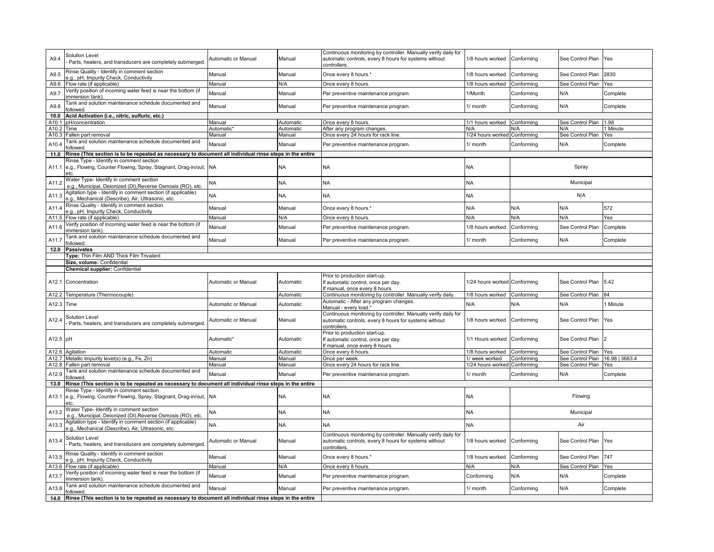| A9.4       | Solution Level<br>Parts, heaters, and transducers are completely submerged.                                        | Automatic or Manual    | Manual    | Continuous monitoring by controller. Manually verify daily for<br>automatic controls, every 8 hours for systems without<br>controllers | 1/8 hours worked             | Conforming | See Control Plan                | Yes           |
|------------|--------------------------------------------------------------------------------------------------------------------|------------------------|-----------|----------------------------------------------------------------------------------------------------------------------------------------|------------------------------|------------|---------------------------------|---------------|
| A9.5       | Rinse Quality - Identify in comment section<br>.g., pH, Impurity Check, Conductivity                               | Manual                 | Manual    | Once every 8 hours.*                                                                                                                   | 1/8 hours worked             | Conforming | See Control Plan                | 2830          |
| A9.6       | Flow rate (if applicable)                                                                                          | Manual                 | N/A       | Once every 8 hours                                                                                                                     | 1/8 hours worked             | Conforming | See Control Plan                | Yes           |
| A9.7       | /erify position of incoming water feed is near the bottom (if<br>mmersion tank)                                    | Manual                 | Manual    | Per preventive maintenance program.                                                                                                    | 1/Month                      | Conforming | N/A                             | Complete      |
| A9.8       | Tank and solution maintenance schedule documented and<br>ollowed.                                                  | Manual                 | Manual    | Per preventive maintenance program                                                                                                     | 1/ month                     | Conforming | N/A                             | Complete      |
| 10.0       | Acid Activation (i.e., nitric, sulfuric, etc.)                                                                     |                        |           |                                                                                                                                        |                              |            |                                 |               |
| A10.1      | pH/concentration                                                                                                   | Manual                 | Automatic | Once every 8 hours                                                                                                                     | 1/1 hours worked             | Conforming | See Control Plan 1.98           |               |
| A10.2      | Time                                                                                                               | Automatic <sup>®</sup> | Automatic | After any program changes.                                                                                                             | N/A                          | N/A        | N/A                             | 1 Minute      |
| A10.3      | Fallen part removal                                                                                                | Manual                 | Manual    | Once every 24 hours for rack line.                                                                                                     | 1/24 hours worked            | Conforming | See Control Plan Yes            |               |
| A10.4      | Tank and solution maintenance schedule documented and<br>ollowed.                                                  | Manual                 | Manual    | Per preventive maintenance program                                                                                                     | 1/ month                     | Conforming | N/A                             | Complete      |
| 11.0       | Rinse (This section is to be repeated as necessary to document all individual rinse steps in the entire            |                        |           |                                                                                                                                        |                              |            |                                 |               |
| A11.1      | Rinse Type - Identify in comment section<br>e.g., Flowing, Counter Flowing, Spray, Stagnant, Drag-in/out,<br>etc   | NA                     | ΝA        | <b>NA</b>                                                                                                                              | <b>NA</b>                    |            | Spray                           |               |
| A11.2      | Water Type- Identify in comment section<br>e.g., Municipal, Deionized (DI),Reverse Osmosis (RO), etc.              | NA                     | <b>NA</b> | <b>NA</b>                                                                                                                              | <b>NA</b>                    |            | Municipal                       |               |
| A11.3      | Agitation type - Identify in comment section (if applicable)<br>e.g., Mechanical (Describe), Air, Ultrasonic, etc. | NA                     | NΑ        | <b>NA</b>                                                                                                                              | <b>NA</b>                    |            | N/A                             |               |
| A11.4      | Rinse Quality - Identify in comment section<br>.g., pH, Impurity Check, Conductivity                               | Manual                 | Manual    | Once every 8 hours.*                                                                                                                   | N/A                          | N/A        | N/A                             | 572           |
| A11.5      | Flow rate (if applicable)                                                                                          | Manual                 | N/A       | Once every 8 hours                                                                                                                     | N/A                          | N/A        | N/A                             | Yes           |
| A11.6      | /erify position of incoming water feed is near the bottom (if<br>mmersion tank)                                    | Manual                 | Manual    | Per preventive maintenance program.                                                                                                    | 1/8 hours worked             | Conforming | See Control Plan                | Complete      |
| A11.7      | Tank and solution maintenance schedule documented and<br>ollowed.                                                  | Manual                 | Manual    | Per preventive maintenance program.                                                                                                    | 1/ month                     | Conforming | N/A                             | Complete      |
| 12.0       | <b>Passivates</b>                                                                                                  |                        |           |                                                                                                                                        |                              |            |                                 |               |
|            | Type: Thin Film AND Thick Film Trivalent                                                                           |                        |           |                                                                                                                                        |                              |            |                                 |               |
|            | Size, volume: Confidential                                                                                         |                        |           |                                                                                                                                        |                              |            |                                 |               |
|            | Chemical supplier: Confidential                                                                                    |                        |           |                                                                                                                                        |                              |            |                                 |               |
|            | A12.1 Concentration                                                                                                | Automatic or Manual    | Automatic | Prior to production start-up.<br>If automatic control, once per day.<br>If manual, once every 8 hours.                                 | 1/24 hours worked Conforming |            | See Control Plan                | 5.42          |
|            | A12.2 Temperature (Thermocouple)                                                                                   |                        | Automatic | Continuous monitoring by controller. Manually verify daily                                                                             | 1/8 hours worked             | Conforming | See Control Plan                | 84            |
| A12.3 Time |                                                                                                                    | Automatic or Manual    | Automatic | Automatic - After any program changes.<br>Manual - every load.                                                                         | N/A                          | N/A        | N/A                             | <b>Minute</b> |
| A12.4      | Solution Level<br>Parts, heaters, and transducers are completely submerged.                                        | Automatic or Manual    | Manual    | Continuous monitoring by controller. Manually verify daily for<br>automatic controls, every 8 hours for systems without<br>controllers | 1/8 hours worked             | Conforming | See Control Plan                | Yes           |
| A12.5 pH   |                                                                                                                    | Automatic*             | Automatic | Prior to production start-up.<br>f automatic control, once per day.<br>f manual, once every 8 hours.                                   | 1/1 Hours worked Conforming  |            | See Control Plan                |               |
|            | A12.6 Agitation                                                                                                    | Automatic              | Automatic | Once every 8 hours.                                                                                                                    | 1/8 hours worked Conforming  |            | See Control Plan Yes            |               |
|            | A12.7 Metallic Impurity level(s) (e.g., Fe, Zn)                                                                    | Manual                 | Manual    | Once per week.                                                                                                                         | 1/ week worked               | Conformina | See Control Plan 16.98   3663.4 |               |
|            | A12.8 Fallen part removal                                                                                          | Manual                 | Manual    | Once every 24 hours for rack line                                                                                                      | 1/24 hours worked Conforming |            | See Control Plan Yes            |               |
| A12.9      | Tank and solution maintenance schedule documented and                                                              | Manual                 | Manual    | Per preventive maintenance program.                                                                                                    | 1/ month                     | Conforming | N/A                             | Complete      |
|            | ollowed                                                                                                            |                        |           |                                                                                                                                        |                              |            |                                 |               |
| 13.0       | Rinse (This section is to be repeated as necessary to document all individual rinse steps in the entire            |                        |           |                                                                                                                                        |                              |            |                                 |               |
| A13.1      | Rinse Type - Identify in comment section<br>e.g., Flowing, Counter Flowing, Spray, Stagnant, Drag-in/out,<br>etc.  | <b>NA</b>              | NΑ        | <b>NA</b>                                                                                                                              | <b>NA</b>                    |            | Flowing                         |               |
| A13.2      | Water Type- Identify in comment section<br>e.g., Municipal, Deionized (DI),Reverse Osmosis (RO), etc               | NΑ                     | <b>NA</b> | <b>NA</b>                                                                                                                              | <b>NA</b>                    |            | Municipal                       |               |
| A13.3      | Agitation type - Identify in comment section (if applicable)<br>.g., Mechanical (Describe), Air, Ultrasonic, etc.  | NA                     | NΑ        | <b>NA</b>                                                                                                                              | <b>NA</b>                    |            | Air                             |               |
| A13.4      | Solution Level<br>Parts, heaters, and transducers are completely submerged.                                        | Automatic or Manual    | Manual    | Continuous monitoring by controller. Manually verify daily for<br>automatic controls, every 8 hours for systems without<br>controllers | 1/8 hours worked             | Conforming | See Control Plan                | <b>Yes</b>    |
| A13.5      | Rinse Quality - Identify in comment section<br>.g., pH, Impurity Check, Conductivity                               | Manual                 | Manual    | Once every 8 hours.*                                                                                                                   | 1/8 hours worked             | Conforming | See Control Plan                | 747           |
| A13.6      | Flow rate (if applicable)                                                                                          | Manual                 | N/A       | Once every 8 hours.                                                                                                                    | N/A                          | N/A        | See Control Plan                | Yes           |
| A13.7      | /erify position of incoming water feed is near the bottom (if<br>mmersion tank).                                   | Manual                 | Manual    | Per preventive maintenance program.                                                                                                    | Conforming                   | N/A        | N/A                             | Complete      |
| A13.8      | Tank and solution maintenance schedule documented and<br>followed.                                                 | Manual                 | Manual    | Per preventive maintenance program.                                                                                                    | 1/ month                     | Conforming | N/A                             | Complete      |
|            | 14.0 Rinse (This section is to be repeated as necessary to document all individual rinse steps in the entire       |                        |           |                                                                                                                                        |                              |            |                                 |               |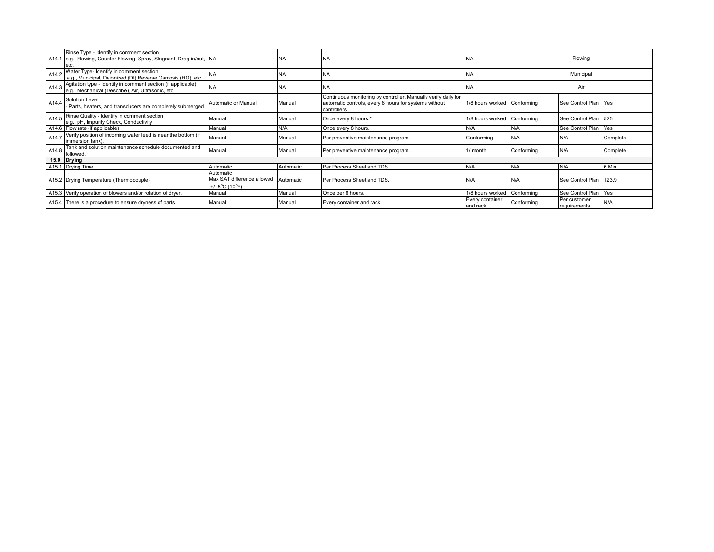|       | Rinse Type - Identify in comment section<br>A14.1 e.g., Flowing, Counter Flowing, Spray, Stagnant, Drag-in/out, NA |                                                                                 | <b>NA</b> | <b>NA</b>                                                                                                                               | <b>NA</b>                    |            | Flowing                      |          |
|-------|--------------------------------------------------------------------------------------------------------------------|---------------------------------------------------------------------------------|-----------|-----------------------------------------------------------------------------------------------------------------------------------------|------------------------------|------------|------------------------------|----------|
| A14.2 | Water Type- Identify in comment section<br>e.g., Municipal, Deionized (DI), Reverse Osmosis (RO), etc.             | <b>INA</b>                                                                      | <b>NA</b> | <b>NA</b>                                                                                                                               | <b>NA</b>                    |            | Municipal                    |          |
| A14.3 | Agitation type - Identify in comment section (if applicable)<br>e.g., Mechanical (Describe), Air, Ultrasonic, etc. | <b>NA</b>                                                                       | <b>NA</b> | <b>NA</b>                                                                                                                               | <b>NA</b>                    |            | Air                          |          |
| A14.4 | Solution Level<br>Parts, heaters, and transducers are completely submerged.                                        | Automatic or Manual                                                             | Manual    | Continuous monitoring by controller. Manually verify daily for<br>automatic controls, every 8 hours for systems without<br>controllers. | 1/8 hours worked Conforming  |            | See Control Plan Yes         |          |
| A14.5 | Rinse Quality - Identify in comment section<br>e.g., pH, Impurity Check, Conductivity                              | Manual                                                                          | Manual    | Once every 8 hours.*                                                                                                                    | 1/8 hours worked             | Conforming | See Control Plan             | 525      |
|       | A14.6 Flow rate (if applicable)                                                                                    | Manual                                                                          | N/A       | Once every 8 hours.                                                                                                                     | N/A                          | N/A        | See Control Plan             | Yes      |
| A14.7 | Verify position of incoming water feed is near the bottom (if<br>immersion tank).                                  | Manual                                                                          | Manual    | Per preventive maintenance program.                                                                                                     | Conforming                   | N/A        | N/A                          | Complete |
| A14.8 | Tank and solution maintenance schedule documented and<br>followed.                                                 | Manual                                                                          | Manual    | Per preventive maintenance program.                                                                                                     | 1/ month                     | Conforming | N/A                          | Complete |
|       | 15.0 Drying                                                                                                        |                                                                                 |           |                                                                                                                                         |                              |            |                              |          |
|       | A15.1 Drying Time                                                                                                  | Automatic                                                                       | Automatic | Per Process Sheet and TDS.                                                                                                              | N/A                          | N/A        | N/A                          | 6 Min    |
|       | A15.2 Drying Temperature (Thermocouple)                                                                            | Automatic<br>Max SAT difference allowed<br>+/- $5^{\circ}$ C (10 $^{\circ}$ F). | Automatic | Per Process Sheet and TDS.                                                                                                              | N/A                          | N/A        | See Control Plan 123.9       |          |
|       | A15.3 Verify operation of blowers and/or rotation of dryer.                                                        | Manual                                                                          | Manual    | Once per 8 hours.                                                                                                                       | 1/8 hours worked             | Conforming | See Control Plan             | Yes      |
|       | A15.4 There is a procedure to ensure dryness of parts.                                                             | Manual                                                                          | Manual    | Every container and rack.                                                                                                               | Every container<br>and rack. | Conforming | Per customer<br>requirements | N/A      |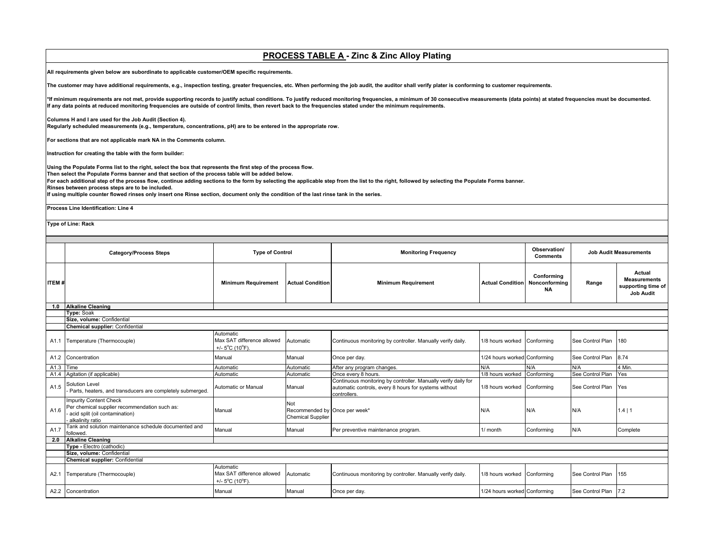## **PROCESS TABLE A - Zinc & Zinc Alloy Plating**

**All requirements given below are subordinate to applicable customer/OEM specific requirements.** 

**The customer may have additional requirements, e.g., inspection testing, greater frequencies, etc. When performing the job audit, the auditor shall verify plater is conforming to customer requirements.**

\*If minimum requirements are not met, provide supporting records to justify actual conditions. To justify reduced monitoring frequencies, a minimum of 30 consecutive measurements (data points) at stated frequencies must be **If any data points at reduced monitoring frequencies are outside of control limits, then revert back to the frequencies stated under the minimum requirements.** 

#### **Columns H and I are used for the Job Audit (Section 4).**

**Regularly scheduled measurements (e.g., temperature, concentrations, pH) are to be entered in the appropriate row.**

**For sections that are not applicable mark NA in the Comments column.**

**Instruction for creating the table with the form builder:**

**Using the Populate Forms list to the right, select the box that represents the first step of the process flow.**

**Then select the Populate Forms banner and that section of the process table will be added below.**

**For each additional step of the process flow, continue adding sections to the form by selecting the applicable step from the list to the right, followed by selecting the Populate Forms banner.**

**Rinses between process steps are to be included.**

**If using multiple counter flowed rinses only insert one Rinse section, document only the condition of the last rinse tank in the series.**

**Process Line Identification: Line 4**

**Type of Line: Rack** 

|              | <b>Category/Process Steps</b>                                                                                                        | <b>Type of Control</b>                                                          |                                                                         | <b>Monitoring Frequency</b>                                                                                                             |                              | Observation/<br><b>Comments</b>          |                  | <b>Job Audit Measurements</b>                                           |
|--------------|--------------------------------------------------------------------------------------------------------------------------------------|---------------------------------------------------------------------------------|-------------------------------------------------------------------------|-----------------------------------------------------------------------------------------------------------------------------------------|------------------------------|------------------------------------------|------------------|-------------------------------------------------------------------------|
| <b>ITEM#</b> |                                                                                                                                      | <b>Minimum Requirement</b>                                                      | <b>Actual Condition</b>                                                 | <b>Minimum Requirement</b>                                                                                                              | <b>Actual Condition</b>      | Conforming<br>Nonconforming<br><b>NA</b> | Range            | Actual<br><b>Measurements</b><br>supporting time of<br><b>Job Audit</b> |
| 1.0          | <b>Alkaline Cleaning</b>                                                                                                             |                                                                                 |                                                                         |                                                                                                                                         |                              |                                          |                  |                                                                         |
|              | Type: Soak                                                                                                                           |                                                                                 |                                                                         |                                                                                                                                         |                              |                                          |                  |                                                                         |
|              | Size, volume: Confidential                                                                                                           |                                                                                 |                                                                         |                                                                                                                                         |                              |                                          |                  |                                                                         |
|              | Chemical supplier: Confidential                                                                                                      |                                                                                 |                                                                         |                                                                                                                                         |                              |                                          |                  |                                                                         |
| A1.1         | Temperature (Thermocouple)                                                                                                           | Automatic<br>Max SAT difference allowed<br>+/- $5^{\circ}$ C (10 $^{\circ}$ F). | Automatic                                                               | Continuous monitoring by controller. Manually verify daily.                                                                             | 1/8 hours worked             | Conforming                               | See Control Plan | 180                                                                     |
|              | A1.2 Concentration                                                                                                                   | Manual                                                                          | Manual                                                                  | Once per day.                                                                                                                           | 1/24 hours worked Conforming |                                          | See Control Plan | 8.74                                                                    |
| A1.3 Time    |                                                                                                                                      | Automatic                                                                       | Automatic                                                               | After any program changes.                                                                                                              | N/A                          | N/A                                      | N/A              | 4 Min.                                                                  |
| A1.4         | Agitation (if applicable)                                                                                                            | Automatic                                                                       | Automatic                                                               | Once every 8 hours.                                                                                                                     | 1/8 hours worked             | Conformina                               | See Control Plan | Yes                                                                     |
| A1.5         | Solution Level<br>Parts, heaters, and transducers are completely submerged.                                                          | Automatic or Manual                                                             | Manual                                                                  | Continuous monitoring by controller. Manually verify daily for<br>automatic controls, every 8 hours for systems without<br>controllers. | 1/8 hours worked             | Conforming                               | See Control Plan | Yes                                                                     |
| A1.6         | <b>Impurity Content Check</b><br>Per chemical supplier recommendation such as:<br>acid split (oil contamination)<br>alkalinity ratio | Manual                                                                          | <b>Not</b><br>Recommended by Once per week*<br><b>Chemical Supplier</b> |                                                                                                                                         | N/A                          | N/A                                      | N/A              | 1.4 1                                                                   |
| A1.7         | Tank and solution maintenance schedule documented and<br>followed.                                                                   | Manual                                                                          | Manual                                                                  | Per preventive maintenance program.                                                                                                     | 1/ month                     | Conforming                               | N/A              | Complete                                                                |
| 2.0          | <b>Alkaline Cleaning</b>                                                                                                             |                                                                                 |                                                                         |                                                                                                                                         |                              |                                          |                  |                                                                         |
|              | Type - Electro (cathodic)                                                                                                            |                                                                                 |                                                                         |                                                                                                                                         |                              |                                          |                  |                                                                         |
|              | Size, volume: Confidential                                                                                                           |                                                                                 |                                                                         |                                                                                                                                         |                              |                                          |                  |                                                                         |
|              | Chemical supplier: Confidential                                                                                                      |                                                                                 |                                                                         |                                                                                                                                         |                              |                                          |                  |                                                                         |
| A2.1         | Temperature (Thermocouple)                                                                                                           | Automatic<br>Max SAT difference allowed<br>+/- $5^{\circ}$ C (10 $^{\circ}$ F). | Automatic                                                               | Continuous monitoring by controller. Manually verify daily.                                                                             | 1/8 hours worked             | Conforming                               | See Control Plan | 155                                                                     |
| A2.2         | Concentration                                                                                                                        | Manual                                                                          | Manual                                                                  | Once per day.                                                                                                                           | 1/24 hours worked Conforming |                                          | See Control Plan | 7.2                                                                     |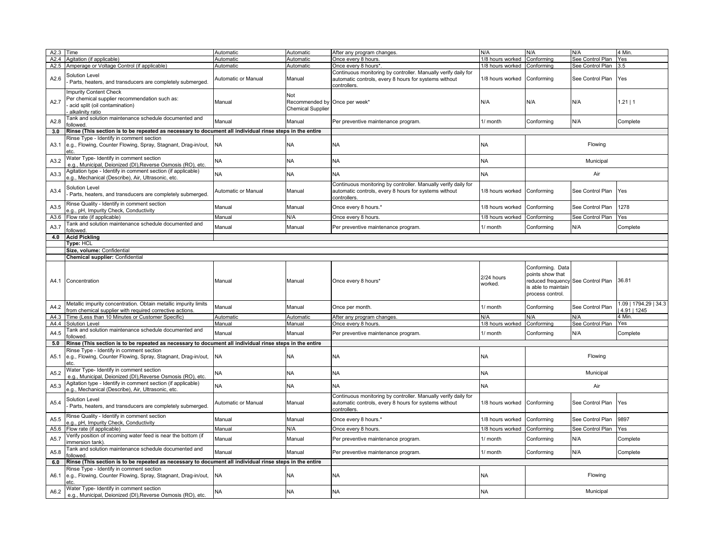| A2.4<br>A2.5<br>A2.6<br>A2.7 | Agitation (if applicable)<br>Amperage or Voltage Control (if applicable)<br>Solution Level<br>Parts, heaters, and transducers are completely submerged.<br><b>Impurity Content Check</b><br>Per chemical supplier recommendation such as: | Automatic<br>Automatic<br>Automatic or Manual | Automatic<br>Automatic                                           | Once every 8 hours.<br>Once every 8 hours*                                                                                              | 1/8 hours worked<br>1/8 hours worked | Conforming<br>Conforming                                                                                              | See Control Plan<br>See Control Plan | Yes<br>3.5                           |
|------------------------------|-------------------------------------------------------------------------------------------------------------------------------------------------------------------------------------------------------------------------------------------|-----------------------------------------------|------------------------------------------------------------------|-----------------------------------------------------------------------------------------------------------------------------------------|--------------------------------------|-----------------------------------------------------------------------------------------------------------------------|--------------------------------------|--------------------------------------|
|                              |                                                                                                                                                                                                                                           |                                               |                                                                  |                                                                                                                                         |                                      |                                                                                                                       |                                      |                                      |
|                              |                                                                                                                                                                                                                                           |                                               |                                                                  |                                                                                                                                         |                                      |                                                                                                                       |                                      |                                      |
|                              |                                                                                                                                                                                                                                           |                                               | Manual                                                           | Continuous monitoring by controller. Manually verify daily for<br>automatic controls, every 8 hours for systems without<br>controllers. | 1/8 hours worked                     | Conforming                                                                                                            | See Control Plan                     | Yes                                  |
|                              | acid split (oil contamination)<br>alkalinity ratio                                                                                                                                                                                        | Manual                                        | Not<br>Recommended by Once per week*<br><b>Chemical Supplier</b> |                                                                                                                                         | N/A                                  | N/A                                                                                                                   | N/A                                  | 1.21   1                             |
| A2.8                         | Tank and solution maintenance schedule documented and<br>ollowed                                                                                                                                                                          | Manual                                        | Manual                                                           | Per preventive maintenance program.                                                                                                     | 1/ month                             | Conforming                                                                                                            | N/A                                  | Complete                             |
| 3.0                          | Rinse (This section is to be repeated as necessary to document all individual rinse steps in the entire                                                                                                                                   |                                               |                                                                  |                                                                                                                                         |                                      |                                                                                                                       |                                      |                                      |
| A3.1                         | Rinse Type - Identify in comment section<br>e.g., Flowing, Counter Flowing, Spray, Stagnant, Drag-in/out,<br>∍tc                                                                                                                          | <b>NA</b>                                     | <b>NA</b>                                                        | <b>NA</b>                                                                                                                               | <b>NA</b>                            |                                                                                                                       | Flowing                              |                                      |
| A3.2                         | Water Type- Identify in comment section<br>e.g., Municipal, Deionized (DI), Reverse Osmosis (RO), etc.                                                                                                                                    | <b>NA</b>                                     | <b>NA</b>                                                        | <b>NA</b>                                                                                                                               | <b>NA</b>                            |                                                                                                                       | Municipal                            |                                      |
| A3.3                         | Agitation type - Identify in comment section (if applicable)<br>e.g., Mechanical (Describe), Air, Ultrasonic, etc.                                                                                                                        | <b>NA</b>                                     | <b>NA</b>                                                        | <b>NA</b>                                                                                                                               | <b>NA</b>                            |                                                                                                                       | Air                                  |                                      |
| A3.4                         | Solution Level<br>Parts, heaters, and transducers are completely submerged.                                                                                                                                                               | Automatic or Manual                           | Manual                                                           | Continuous monitoring by controller. Manually verify daily for<br>automatic controls, every 8 hours for systems without<br>controllers. | 1/8 hours worked                     | Conforming                                                                                                            | See Control Plan                     | Yes                                  |
| A3.5                         | Rinse Quality - Identify in comment section<br>.g., pH, Impurity Check, Conductivity                                                                                                                                                      | Manual                                        | Manual                                                           | Once every 8 hours.'                                                                                                                    | 1/8 hours worked                     | Conforming                                                                                                            | See Control Plan                     | 1278                                 |
| A3.6                         | Flow rate (if applicable)                                                                                                                                                                                                                 | Manual                                        | N/A                                                              | Once every 8 hours.                                                                                                                     | 1/8 hours worked                     | Conforming                                                                                                            | See Control Plan                     | Yes                                  |
| A3.7                         | Tank and solution maintenance schedule documented and<br>ollowed                                                                                                                                                                          | Manual                                        | Manual                                                           | Per preventive maintenance program.                                                                                                     | 1/ month                             | Conforming                                                                                                            | N/A                                  | Complete                             |
| 4.0                          | <b>Acid Pickling</b>                                                                                                                                                                                                                      |                                               |                                                                  |                                                                                                                                         |                                      |                                                                                                                       |                                      |                                      |
|                              | Type: HCL                                                                                                                                                                                                                                 |                                               |                                                                  |                                                                                                                                         |                                      |                                                                                                                       |                                      |                                      |
|                              | Size, volume: Confidential                                                                                                                                                                                                                |                                               |                                                                  |                                                                                                                                         |                                      |                                                                                                                       |                                      |                                      |
|                              | <b>Chemical supplier: Confidential</b>                                                                                                                                                                                                    |                                               |                                                                  |                                                                                                                                         |                                      |                                                                                                                       |                                      |                                      |
| A4.1                         | Concentration                                                                                                                                                                                                                             | Manual                                        | Manual                                                           | Once every 8 hours'                                                                                                                     | 2/24 hours<br>worked.                | Conforming. Data<br>points show that<br>reduced frequency See Control Plan<br>is able to maintain<br>process control. |                                      | 36.81                                |
| A4.2                         | Metallic impurity concentration. Obtain metallic impurity limits<br>rom chemical supplier with required corrective actions.                                                                                                               | Manual                                        | Manual                                                           | Once per month.                                                                                                                         | 1/ month                             | Conforming                                                                                                            | See Control Plan                     | 1.09   1794.29   34.3<br>4.91   1245 |
| A4.3                         | Time (Less than 10 Minutes or Customer Specific)                                                                                                                                                                                          | Automatic                                     | Automatic                                                        | After any program changes                                                                                                               | N/A                                  | N/A                                                                                                                   | N/A                                  | 4 Min.                               |
| A4.4                         | <b>Solution Level</b>                                                                                                                                                                                                                     | Manual                                        | Manual                                                           | Once every 8 hours.                                                                                                                     | 1/8 hours worked                     | Conforming                                                                                                            | See Control Plan                     | Yes                                  |
| A4.5                         | Fank and solution maintenance schedule documented and<br>followed                                                                                                                                                                         | Manual                                        | Manual                                                           | Per preventive maintenance program.                                                                                                     | 1/ month                             | Conforming                                                                                                            | N/A                                  | Complete                             |
| 5.0                          | Rinse (This section is to be repeated as necessary to document all individual rinse steps in the entire                                                                                                                                   |                                               |                                                                  |                                                                                                                                         |                                      |                                                                                                                       |                                      |                                      |
|                              | Rinse Type - Identify in comment section                                                                                                                                                                                                  |                                               |                                                                  |                                                                                                                                         |                                      |                                                                                                                       |                                      |                                      |
| A5.1                         | e.g., Flowing, Counter Flowing, Spray, Stagnant, Drag-in/out,<br>∍te                                                                                                                                                                      | <b>NA</b>                                     | <b>NA</b>                                                        | <b>NA</b>                                                                                                                               | <b>NA</b>                            |                                                                                                                       | Flowing                              |                                      |
| A5.2                         | <b>Nater Type- Identify in comment section</b><br>e.g., Municipal, Deionized (DI), Reverse Osmosis (RO), etc.                                                                                                                             | <b>NA</b>                                     | <b>NA</b>                                                        | <b>NA</b>                                                                                                                               | <b>NA</b>                            |                                                                                                                       | Municipal                            |                                      |
| A5.3                         | Agitation type - Identify in comment section (if applicable)<br>e.g., Mechanical (Describe), Air, Ultrasonic, etc.                                                                                                                        | <b>NA</b>                                     | <b>NA</b>                                                        | <b>NA</b>                                                                                                                               | NA                                   |                                                                                                                       | Air                                  |                                      |
| A5.4                         | Solution Level<br>Parts, heaters, and transducers are completely submerged.                                                                                                                                                               | Automatic or Manual                           | Manual                                                           | Continuous monitoring by controller. Manually verify daily for<br>automatic controls, every 8 hours for systems without<br>controllers. | 1/8 hours worked                     | Conforming                                                                                                            | See Control Plan                     | Yes                                  |
| A5.5                         | Rinse Quality - Identify in comment section<br>.g., pH, Impurity Check, Conductivity                                                                                                                                                      | Manual                                        | Manual                                                           | Once every 8 hours.'                                                                                                                    | 1/8 hours worked                     | Conforming                                                                                                            | See Control Plan                     | 9897                                 |
| A5.6                         | Flow rate (if applicable)                                                                                                                                                                                                                 | Manual                                        | N/A                                                              | Once every 8 hours.                                                                                                                     | 1/8 hours worked                     | Conforming                                                                                                            | See Control Plan                     | Yes                                  |
| A5.7                         | Verify position of incoming water feed is near the bottom (if<br>immersion tank)                                                                                                                                                          | Manual                                        | Manual                                                           | Per preventive maintenance program.                                                                                                     | 1/ month                             | Conforming                                                                                                            | N/A                                  | Complete                             |
| A5.8                         | Tank and solution maintenance schedule documented and<br>ollowed                                                                                                                                                                          | Manual                                        | Manual                                                           | Per preventive maintenance program.                                                                                                     | 1/ month                             | Conforming                                                                                                            | N/A                                  | Complete                             |
| 6.0                          | Rinse (This section is to be repeated as necessary to document all individual rinse steps in the entire                                                                                                                                   |                                               |                                                                  |                                                                                                                                         |                                      |                                                                                                                       |                                      |                                      |
| A6.1                         | Rinse Type - Identify in comment section<br>e.g., Flowing, Counter Flowing, Spray, Stagnant, Drag-in/out,<br>etc                                                                                                                          | <b>NA</b>                                     | <b>NA</b>                                                        | <b>NA</b>                                                                                                                               | <b>NA</b>                            |                                                                                                                       | Flowing                              |                                      |
| A6.2                         | Water Type- Identify in comment section<br>e.g., Municipal, Deionized (DI), Reverse Osmosis (RO), etc.                                                                                                                                    | <b>NA</b>                                     | <b>NA</b>                                                        | <b>NA</b>                                                                                                                               | <b>NA</b>                            |                                                                                                                       | Municipal                            |                                      |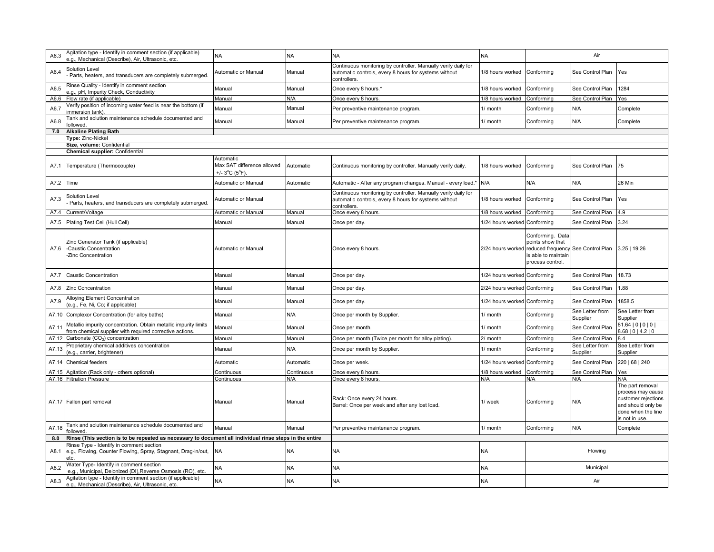| A6.3  | Agitation type - Identify in comment section (if applicable)<br>e.g., Mechanical (Describe), Air, Ultrasonic, etc.           | <b>NA</b>                                                   | <b>NA</b>     | <b>NA</b>                                                                                                                               | <b>NA</b>                    |                                                                                | Air                                             |                                                                                                                                   |
|-------|------------------------------------------------------------------------------------------------------------------------------|-------------------------------------------------------------|---------------|-----------------------------------------------------------------------------------------------------------------------------------------|------------------------------|--------------------------------------------------------------------------------|-------------------------------------------------|-----------------------------------------------------------------------------------------------------------------------------------|
| A6.4  | Solution Level<br>Parts, heaters, and transducers are completely submerged.                                                  | Automatic or Manual                                         | Manual        | Continuous monitoring by controller. Manually verify daily for<br>automatic controls, every 8 hours for systems without<br>controllers. | 1/8 hours worked             | Conforming                                                                     | See Control Plan                                | Yes                                                                                                                               |
| A6.5  | Rinse Quality - Identify in comment section<br>e.g., pH, Impurity Check, Conductivity                                        | Manual                                                      | Manual        | Once every 8 hours.*                                                                                                                    | 1/8 hours worked             | Conforming                                                                     | See Control Plan                                | 1284                                                                                                                              |
| A6.6  | Flow rate (if applicable)                                                                                                    | Manual                                                      | N/A           | Once every 8 hours.                                                                                                                     | 1/8 hours worked             | Conforming                                                                     | See Control Plan                                | Yes                                                                                                                               |
| A6.7  | Verify position of incoming water feed is near the bottom (if<br>immersion tank).                                            | Manual                                                      | Manual        | Per preventive maintenance program.                                                                                                     | 1/ month                     | Conforming                                                                     | N/A                                             | Complete                                                                                                                          |
| A6.8  | Tank and solution maintenance schedule documented and<br>followed                                                            | Manual                                                      | Manual        | Per preventive maintenance program.                                                                                                     | 1/ month                     | Conforming                                                                     | N/A                                             | Complete                                                                                                                          |
| 7.0   | <b>Alkaline Plating Bath</b>                                                                                                 |                                                             |               |                                                                                                                                         |                              |                                                                                |                                                 |                                                                                                                                   |
|       | Type: Zinc-Nickel                                                                                                            |                                                             |               |                                                                                                                                         |                              |                                                                                |                                                 |                                                                                                                                   |
|       | Size, volume: Confidential                                                                                                   |                                                             |               |                                                                                                                                         |                              |                                                                                |                                                 |                                                                                                                                   |
|       | Chemical supplier: Confidential                                                                                              |                                                             |               |                                                                                                                                         |                              |                                                                                |                                                 |                                                                                                                                   |
| A7.1  | Temperature (Thermocouple)                                                                                                   | Automatic<br>Max SAT difference allowed<br>$+/- 3$ °C (5°F) | Automatic     | Continuous monitoring by controller. Manually verify daily.                                                                             | 1/8 hours worked Conforming  |                                                                                | See Control Plan                                | 75                                                                                                                                |
| A7.2  | Time                                                                                                                         | Automatic or Manual                                         | Automatic     | Automatic - After any program changes. Manual - every load.'                                                                            | N/A                          | N/A                                                                            | N/A                                             | 26 Min                                                                                                                            |
| A7.3  | Solution Level<br>Parts, heaters, and transducers are completely submerged.                                                  | Automatic or Manual                                         |               | Continuous monitoring by controller. Manually verify daily for<br>automatic controls, every 8 hours for systems without<br>controllers. | 1/8 hours worked             | Conforming                                                                     | See Control Plan                                | Yes                                                                                                                               |
| A7.4  | Current/Voltage                                                                                                              | Automatic or Manual                                         | Manual        | Once every 8 hours.                                                                                                                     | 1/8 hours worked             | Conforming                                                                     | See Control Plan                                | 4.9                                                                                                                               |
| A7.5  | Plating Test Cell (Hull Cell)                                                                                                | Manual                                                      | Manual        | Once per day.                                                                                                                           | 1/24 hours worked            | Conforming                                                                     | See Control Plan                                | 3.24                                                                                                                              |
| A7.6  | Zinc Generator Tank (if applicable)<br>-Caustic Concentration<br>Zinc Concentration                                          | Automatic or Manual                                         |               | Once every 8 hours.                                                                                                                     | 2/24 hours worked            | Conforming. Data<br>points show that<br>s able to maintain<br>process control. | reduced frequency See Control Plan 3.25   19.26 |                                                                                                                                   |
| A7.7  | <b>Caustic Concentration</b>                                                                                                 | Manual                                                      | Manual        | Once per day.                                                                                                                           | 1/24 hours worked Conforming |                                                                                | See Control Plan                                | 18.73                                                                                                                             |
| A7.8  | <b>Zinc Concentration</b>                                                                                                    | Manual                                                      | Manual        | Once per day.                                                                                                                           | 2/24 hours worked Conforming |                                                                                | See Control Plan                                | 1.88                                                                                                                              |
| A7.9  | Alloying Element Concentration<br>(e.g., Fe, Ni, Co; if applicable)                                                          | Manual                                                      | Manual        | Once per day.                                                                                                                           | 1/24 hours worked Conforming |                                                                                | See Control Plan                                | 1858.5                                                                                                                            |
| A7.10 | Complexor Concentration (for alloy baths)                                                                                    | Manual                                                      | N/A           | Once per month by Supplier.                                                                                                             | 1/ month                     | Conforming                                                                     | See Letter from<br>Supplier                     | See Letter from<br>Supplier                                                                                                       |
| A7.11 | Metallic impurity concentration. Obtain metallic impurity limits<br>from chemical supplier with required corrective actions. | Manual                                                      | Manual        | Once per month.                                                                                                                         | 1/ month                     | Conforming                                                                     | See Control Plan                                | 81.64   0   0   0  <br>8.68   0   4.2   0                                                                                         |
| A7.12 | Carbonate (CO <sub>3</sub> ) concentration                                                                                   | Manual                                                      | Manual        | Once per month (Twice per month for alloy plating).                                                                                     | 2/ month                     | Conforming                                                                     | See Control Plan                                | 8.4                                                                                                                               |
| A7.13 | Proprietary chemical additives concentration<br>(e.g., carrier, brightener)                                                  | Manual                                                      | N/A           | Once per month by Supplier.                                                                                                             | 1/ month                     | Conforming                                                                     | See Letter from<br>Supplier                     | See Letter from<br>Supplier                                                                                                       |
| A7.14 | Chemical feeders                                                                                                             | Automatic                                                   | Automatic     | Once per week.                                                                                                                          | 1/24 hours worked Conforming |                                                                                | See Control Plan                                | 220   68   240                                                                                                                    |
| A7.15 | Agitation (Rack only - others optional)                                                                                      | Continuous                                                  | Continuous    | Once every 8 hours.                                                                                                                     | 1/8 hours worked             | Conforming                                                                     | See Control Plan                                | Yes                                                                                                                               |
|       | A7.16 Filtration Pressure<br>A7.17 Fallen part removal                                                                       | Continuous<br>Manual                                        | N/A<br>Manual | Once every 8 hours.<br>Rack: Once every 24 hours.<br>Barrel: Once per week and after any lost load.                                     | N/A<br>1/ week               | N/A<br>Conforming                                                              | N/A<br>N/A                                      | N/A<br>The part removal<br>process may cause<br>customer rejections<br>and should only be<br>done when the line<br>is not in use. |
| A7.18 | Tank and solution maintenance schedule documented and<br>followed                                                            | Manual                                                      | Manual        | Per preventive maintenance program.                                                                                                     | 1/ month                     | Conforming                                                                     | N/A                                             | Complete                                                                                                                          |
| 8.0   | Rinse (This section is to be repeated as necessary to document all individual rinse steps in the entire                      |                                                             |               |                                                                                                                                         |                              |                                                                                |                                                 |                                                                                                                                   |
| A8.1  | Rinse Type - Identify in comment section<br>e.g., Flowing, Counter Flowing, Spray, Stagnant, Drag-in/out,<br>etc.            | <b>NA</b>                                                   | <b>NA</b>     | <b>NA</b>                                                                                                                               | <b>NA</b>                    |                                                                                | Flowing                                         |                                                                                                                                   |
|       | Water Type- Identify in comment section                                                                                      | <b>NA</b>                                                   | <b>NA</b>     | <b>NA</b>                                                                                                                               | <b>NA</b>                    |                                                                                | Municipal                                       |                                                                                                                                   |
| A8.2  | e.g., Municipal, Deionized (DI), Reverse Osmosis (RO), etc.<br>Agitation type - Identify in comment section (if applicable)  |                                                             |               |                                                                                                                                         |                              |                                                                                |                                                 |                                                                                                                                   |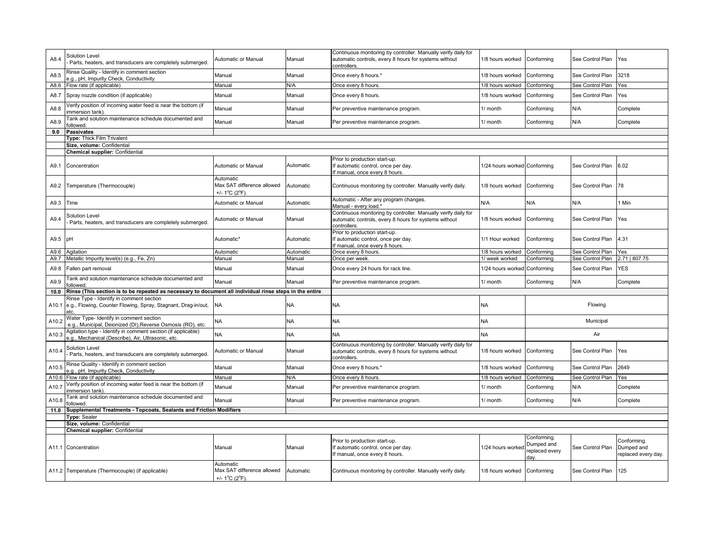| A8.4  | Solution Level<br>Parts, heaters, and transducers are completely submerged.                                        | Automatic or Manual                                      | Manual    | Continuous monitoring by controller. Manually verify daily for<br>automatic controls, every 8 hours for systems without<br>controllers | 1/8 hours worked             | Conforming                                          | See Control Plan | Yes                                              |
|-------|--------------------------------------------------------------------------------------------------------------------|----------------------------------------------------------|-----------|----------------------------------------------------------------------------------------------------------------------------------------|------------------------------|-----------------------------------------------------|------------------|--------------------------------------------------|
| A8.5  | Rinse Quality - Identify in comment section<br>.g., pH, Impurity Check, Conductivity                               | Manual                                                   | Manual    | Once every 8 hours.*                                                                                                                   | 1/8 hours worked             | Conforming                                          | See Control Plan | 3218                                             |
| A8.6  | Flow rate (if applicable)                                                                                          | Manual                                                   | N/A       | Once every 8 hours                                                                                                                     | 1/8 hours worked             | Conformina                                          | See Control Plan | Yes                                              |
| A8.7  | Spray nozzle condition (if applicable)                                                                             | Manual                                                   | Manual    | Once every 8 hours.                                                                                                                    | 1/8 hours worked             | Conforming                                          | See Control Plan | Yes                                              |
| A8.8  | /erify position of incoming water feed is near the bottom (if<br>mmersion tank)                                    | Manual                                                   | Manual    | Per preventive maintenance program.                                                                                                    | 1/ month                     | Conforming                                          | N/A              | Complete                                         |
| A8.9  | Tank and solution maintenance schedule documented and<br>ollowed.                                                  | Manual                                                   | Manual    | Per preventive maintenance program.                                                                                                    | 1/ month                     | Conforming                                          | N/A              | Complete                                         |
| 9.0   | Passivates                                                                                                         |                                                          |           |                                                                                                                                        |                              |                                                     |                  |                                                  |
|       | Type: Thick Film Trivalent                                                                                         |                                                          |           |                                                                                                                                        |                              |                                                     |                  |                                                  |
|       | Size, volume: Confidential                                                                                         |                                                          |           |                                                                                                                                        |                              |                                                     |                  |                                                  |
| A9.1  | Chemical supplier: Confidential<br>Concentration                                                                   | Automatic or Manual                                      | Automatic | Prior to production start-up.<br>If automatic control, once per day.<br>If manual, once every 8 hours.                                 | 1/24 hours worked Conforming |                                                     | See Control Plan | 6.02                                             |
| A9.2  | Temperature (Thermocouple)                                                                                         | Automatic<br>Max SAT difference allowed<br>+/- 1°C (2°F) | Automatic | Continuous monitoring by controller. Manually verify daily.                                                                            | 1/8 hours worked             | Conforming                                          | See Control Plan | 78                                               |
| A9.3  | Time                                                                                                               | Automatic or Manual                                      | Automatic | Automatic - After any program changes.<br>Manual - every load.                                                                         | N/A                          | N/A                                                 | N/A              | 1 Min                                            |
| A9.4  | Solution Level<br>Parts, heaters, and transducers are completely submerged                                         | Automatic or Manual                                      | Manual    | Continuous monitoring by controller. Manually verify daily for<br>automatic controls, every 8 hours for systems without<br>controllers | 1/8 hours worked             | Conforming                                          | See Control Plan | Yes                                              |
| A9.5  | pH                                                                                                                 | Automatic*                                               | Automatic | Prior to production start-up.<br>If automatic control, once per day.<br>If manual, once every 8 hours.                                 | I/1 Hour worked              | Conforming                                          | See Control Plan | 4.31                                             |
| A9.6  | Agitation                                                                                                          | Automatic                                                | Automatic | Once every 8 hours.                                                                                                                    | 1/8 hours worked             | Conforming                                          | See Control Plan | Yes                                              |
| A9.7  | Metallic Impurity level(s) (e.g., Fe, Zn)                                                                          | Manual                                                   | Manual    | Once per week.                                                                                                                         | / week worked                | Conforming                                          | See Control Plan | 2.71   807.75                                    |
|       | Fallen part removal                                                                                                | Manual                                                   | Manual    | Once every 24 hours for rack line                                                                                                      | 1/24 hours worked            | Conforming                                          | See Control Plan | <b>YES</b>                                       |
| A9.8  |                                                                                                                    |                                                          |           |                                                                                                                                        |                              |                                                     |                  |                                                  |
| A9.9  | Tank and solution maintenance schedule documented and<br>ollowed.                                                  | Manual                                                   | Manual    | Per preventive maintenance program.                                                                                                    | 1/ month                     | Conforming                                          | N/A              | Complete                                         |
| 10.0  | Rinse (This section is to be repeated as necessary to document all individual rinse steps in the entire            |                                                          |           |                                                                                                                                        |                              |                                                     |                  |                                                  |
| A10.1 | Rinse Type - Identify in comment section<br>e.g., Flowing, Counter Flowing, Spray, Stagnant, Drag-in/out,<br>etc.  | <b>NA</b>                                                | <b>NA</b> | <b>NA</b>                                                                                                                              | <b>NA</b>                    |                                                     | Flowing          |                                                  |
| A10.2 | Water Type- Identify in comment section<br>e.g., Municipal, Deionized (DI), Reverse Osmosis (RO), etc.             | <b>NA</b>                                                | <b>NA</b> | <b>NA</b>                                                                                                                              | NA                           |                                                     | Municipal        |                                                  |
| A10.3 | Agitation type - Identify in comment section (if applicable)<br>e.g., Mechanical (Describe), Air, Ultrasonic, etc. | <b>NA</b>                                                | <b>NA</b> | <b>NA</b>                                                                                                                              | <b>NA</b>                    |                                                     | Air              |                                                  |
| A10.4 | Solution Level<br>Parts, heaters, and transducers are completely submerged.                                        | Automatic or Manual                                      | Manual    | Continuous monitoring by controller. Manually verify daily for<br>automatic controls, every 8 hours for systems without<br>controllers | 1/8 hours worked             | Conforming                                          | See Control Plan | Yes                                              |
| A10.5 | Rinse Quality - Identify in comment section<br>.g., pH, Impurity Check, Conductivity                               | Manual                                                   | Manual    | Once every 8 hours.'                                                                                                                   | 1/8 hours worked             | Conforming                                          | See Control Plan | 2649                                             |
| A10.6 | Flow rate (if applicable)                                                                                          | Manual                                                   | N/A       | Once every 8 hours.                                                                                                                    | 1/8 hours worked             | Conforming                                          | See Control Plan | Yes                                              |
| A10.7 | /erify position of incoming water feed is near the bottom (if<br>immersion tank)                                   | Manual                                                   | Manual    | Per preventive maintenance program.                                                                                                    | 1/ month                     | Conforming                                          | N/A              | Complete                                         |
| A10.8 | Tank and solution maintenance schedule documented and<br>ollowed.                                                  | Manual                                                   | Manual    | Per preventive maintenance program.                                                                                                    | 1/ month                     | Conforming                                          | N/A              | Complete                                         |
| 11.0  | Supplemental Treatments - Topcoats, Sealants and Friction Modifiers                                                |                                                          |           |                                                                                                                                        |                              |                                                     |                  |                                                  |
|       | <b>Type: Sealer</b>                                                                                                |                                                          |           |                                                                                                                                        |                              |                                                     |                  |                                                  |
|       | Size, volume: Confidential                                                                                         |                                                          |           |                                                                                                                                        |                              |                                                     |                  |                                                  |
|       | <b>Chemical supplier: Confidential</b>                                                                             |                                                          |           |                                                                                                                                        |                              |                                                     |                  |                                                  |
|       | A11.1 Concentration                                                                                                | Manual<br>Automatic                                      | Manual    | Prior to production start-up.<br>If automatic control, once per day.<br>If manual, once every 8 hours.                                 | 1/24 hours worked            | Conforming.<br>Dumped and<br>replaced every<br>dav. | See Control Plan | Conforming.<br>Dumped and<br>replaced every day. |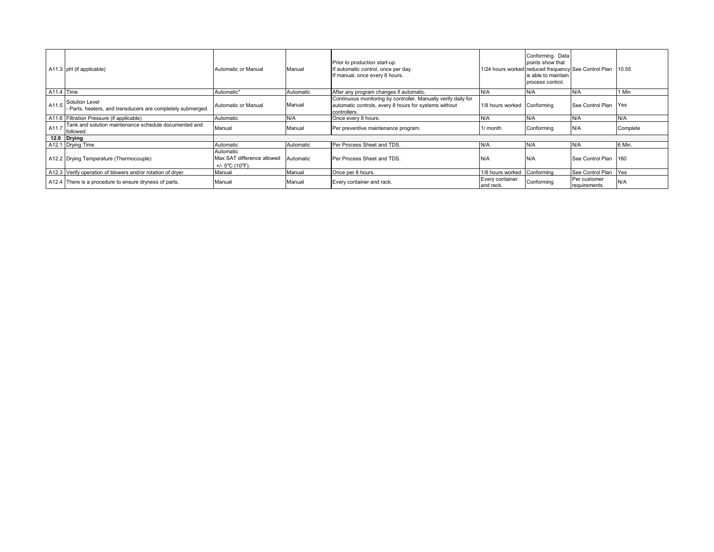|            | A11.3 pH (if applicable)                                                    | Automatic or Manual                                                             | Manual    | Prior to production start-up.<br>If automatic control, once per day.<br>f manual, once every 8 hours.                                   |                              | Conforming. Data<br>points show that<br>1/24 hours worked reduced frequency See Control Plan<br>is able to maintain<br>process control. |                              | 10.55    |
|------------|-----------------------------------------------------------------------------|---------------------------------------------------------------------------------|-----------|-----------------------------------------------------------------------------------------------------------------------------------------|------------------------------|-----------------------------------------------------------------------------------------------------------------------------------------|------------------------------|----------|
| A11.4 Time |                                                                             | Automatic*                                                                      | Automatic | After any program changes if automatic.                                                                                                 | N/A                          | N/A                                                                                                                                     | N/A                          | 1 Min    |
| A11.5      | Solution Level<br>Parts, heaters, and transducers are completely submerged. | Automatic or Manual                                                             | Manual    | Continuous monitoring by controller. Manually verify daily for<br>automatic controls, every 8 hours for systems without<br>controllers. | 1/8 hours worked             | Conforming                                                                                                                              | See Control Plan Yes         |          |
|            | A11.6 Filtration Pressure (if applicable)                                   | Automatic                                                                       | N/A       | Once every 8 hours.                                                                                                                     | N/A                          | N/A                                                                                                                                     | N/A                          | N/A      |
| A11.7      | Tank and solution maintenance schedule documented and<br>followed.          | Manual                                                                          | Manual    | Per preventive maintenance program.                                                                                                     | 1/ month                     | Conforming                                                                                                                              | N/A                          | Complete |
|            | 12.0 Drying                                                                 |                                                                                 |           |                                                                                                                                         |                              |                                                                                                                                         |                              |          |
|            | A12.1 Drying Time                                                           | Automatic                                                                       | Automatic | Per Process Sheet and TDS.                                                                                                              | N/A                          | N/A                                                                                                                                     | N/A                          | 6 Min.   |
|            | A12.2 Drying Temperature (Thermocouple)                                     | Automatic<br>Max SAT difference allowed<br>+/- $5^{\circ}$ C (10 $^{\circ}$ F). | Automatic | Per Process Sheet and TDS.                                                                                                              | IN/A                         |                                                                                                                                         | See Control Plan 160         |          |
|            | A12.3 Verify operation of blowers and/or rotation of dryer.                 | Manual                                                                          | Manual    | Once per 8 hours.                                                                                                                       | 1/8 hours worked             | Conforming                                                                                                                              | See Control Plan             | Yes      |
|            | A12.4 There is a procedure to ensure dryness of parts.                      | Manual                                                                          | Manual    | Every container and rack.                                                                                                               | Every container<br>and rack. | Conforming                                                                                                                              | Per customer<br>requirements | N/A      |